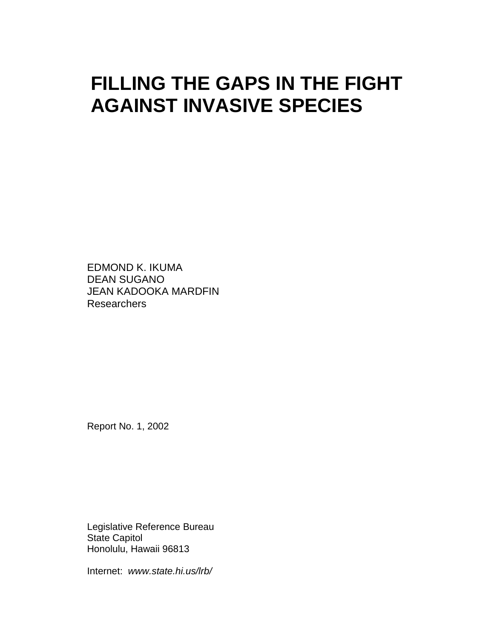# **FILLING THE GAPS IN THE FIGHT AGAINST INVASIVE SPECIES**

EDMOND K. IKUMA DEAN SUGANO JEAN KADOOKA MARDFIN Researchers

Report No. 1, 2002

Legislative Reference Bureau State Capitol Honolulu, Hawaii 96813

Internet: *[www.state.hi.us/lrb/](http://www.state.hi.us/lrb/)*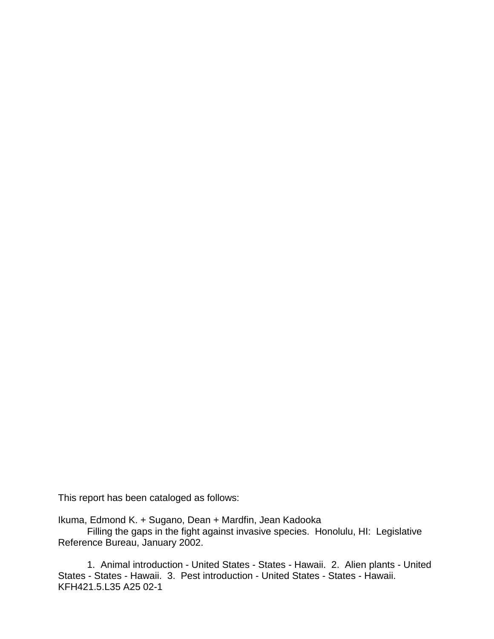This report has been cataloged as follows:

Ikuma, Edmond K. + Sugano, Dean + Mardfin, Jean Kadooka

Filling the gaps in the fight against invasive species. Honolulu, HI: Legislative Reference Bureau, January 2002.

1. Animal introduction - United States - States - Hawaii. 2. Alien plants - United States - States - Hawaii. 3. Pest introduction - United States - States - Hawaii. KFH421.5.L35 A25 02-1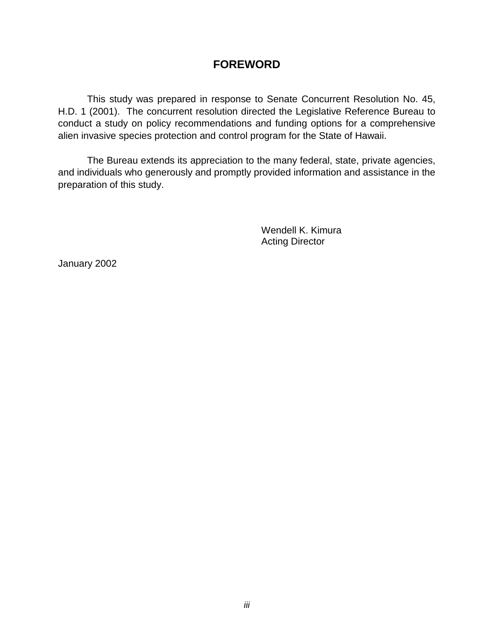### **FOREWORD**

This study was prepared in response to Senate Concurrent Resolution No. 45, H.D. 1 (2001). The concurrent resolution directed the Legislative Reference Bureau to conduct a study on policy recommendations and funding options for a comprehensive alien invasive species protection and control program for the State of Hawaii.

The Bureau extends its appreciation to the many federal, state, private agencies, and individuals who generously and promptly provided information and assistance in the preparation of this study.

> Wendell K. Kimura Acting Director

January 2002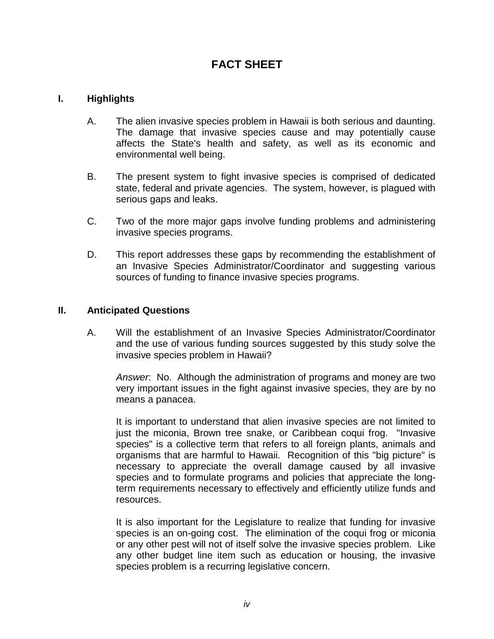### **FACT SHEET**

#### **I. Highlights**

- A. The alien invasive species problem in Hawaii is both serious and daunting. The damage that invasive species cause and may potentially cause affects the State's health and safety, as well as its economic and environmental well being.
- B. The present system to fight invasive species is comprised of dedicated state, federal and private agencies. The system, however, is plagued with serious gaps and leaks.
- C. Two of the more major gaps involve funding problems and administering invasive species programs.
- D. This report addresses these gaps by recommending the establishment of an Invasive Species Administrator/Coordinator and suggesting various sources of funding to finance invasive species programs.

#### **II. Anticipated Questions**

A. Will the establishment of an Invasive Species Administrator/Coordinator and the use of various funding sources suggested by this study solve the invasive species problem in Hawaii?

*Answer*: No. Although the administration of programs and money are two very important issues in the fight against invasive species, they are by no means a panacea.

It is important to understand that alien invasive species are not limited to just the miconia, Brown tree snake, or Caribbean coqui frog. "Invasive species" is a collective term that refers to all foreign plants, animals and organisms that are harmful to Hawaii. Recognition of this "big picture" is necessary to appreciate the overall damage caused by all invasive species and to formulate programs and policies that appreciate the longterm requirements necessary to effectively and efficiently utilize funds and resources.

It is also important for the Legislature to realize that funding for invasive species is an on-going cost. The elimination of the coqui frog or miconia or any other pest will not of itself solve the invasive species problem. Like any other budget line item such as education or housing, the invasive species problem is a recurring legislative concern.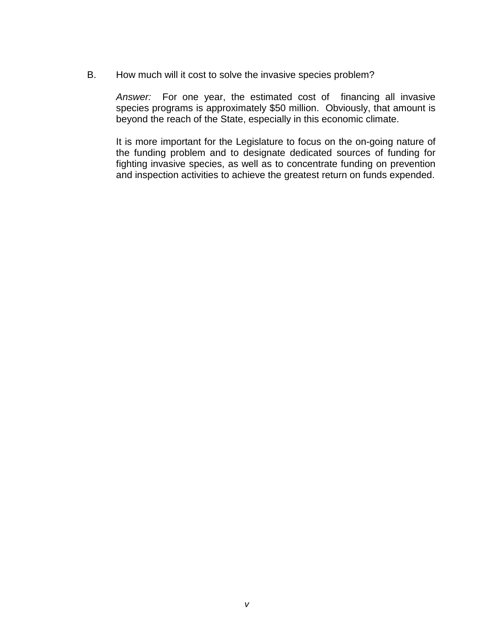B. How much will it cost to solve the invasive species problem?

*Answer:* For one year, the estimated cost of financing all invasive species programs is approximately \$50 million. Obviously, that amount is beyond the reach of the State, especially in this economic climate.

It is more important for the Legislature to focus on the on-going nature of the funding problem and to designate dedicated sources of funding for fighting invasive species, as well as to concentrate funding on prevention and inspection activities to achieve the greatest return on funds expended.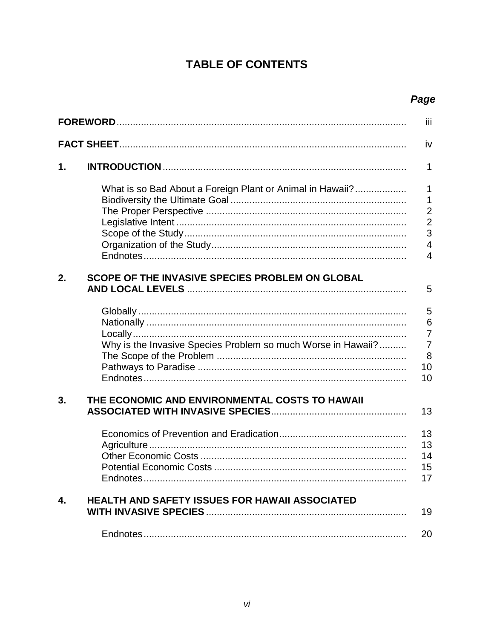# **TABLE OF CONTENTS**

# Page

|    |                                                              | iii                                                                                     |
|----|--------------------------------------------------------------|-----------------------------------------------------------------------------------------|
|    |                                                              | iv                                                                                      |
| 1. |                                                              | 1                                                                                       |
|    | What is so Bad About a Foreign Plant or Animal in Hawaii?    | $\mathbf 1$<br>1<br>$\overline{c}$<br>$\frac{2}{3}$<br>$\overline{4}$<br>$\overline{4}$ |
| 2. | SCOPE OF THE INVASIVE SPECIES PROBLEM ON GLOBAL              | 5                                                                                       |
|    | Why is the Invasive Species Problem so much Worse in Hawaii? | 5<br>$6\phantom{1}6$<br>$\overline{7}$<br>$\overline{7}$<br>8<br>10<br>10               |
| 3. | THE ECONOMIC AND ENVIRONMENTAL COSTS TO HAWAII               | 13<br>13<br>13<br>14                                                                    |
| 4. | HEALTH AND SAFETY ISSUES FOR HAWAII ASSOCIATED               | 15<br>17                                                                                |
|    |                                                              | 19                                                                                      |
|    |                                                              | 20                                                                                      |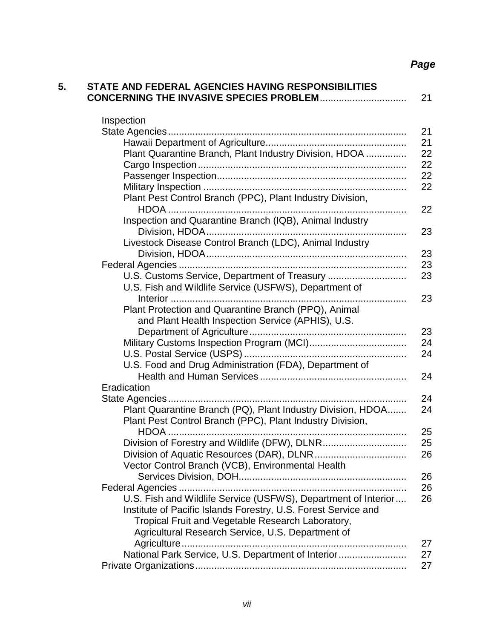# *Page*

| <b>STATE AND FEDERAL AGENCIES HAVING RESPONSIBILITIES</b>      |
|----------------------------------------------------------------|
| Inspection                                                     |
|                                                                |
|                                                                |
| Plant Quarantine Branch, Plant Industry Division, HDOA         |
|                                                                |
|                                                                |
|                                                                |
| Plant Pest Control Branch (PPC), Plant Industry Division,      |
|                                                                |
| Inspection and Quarantine Branch (IQB), Animal Industry        |
|                                                                |
|                                                                |
| Livestock Disease Control Branch (LDC), Animal Industry        |
|                                                                |
|                                                                |
| U.S. Customs Service, Department of Treasury                   |
| U.S. Fish and Wildlife Service (USFWS), Department of          |
|                                                                |
| Plant Protection and Quarantine Branch (PPQ), Animal           |
| and Plant Health Inspection Service (APHIS), U.S.              |
|                                                                |
|                                                                |
|                                                                |
| U.S. Food and Drug Administration (FDA), Department of         |
|                                                                |
| Eradication                                                    |
|                                                                |
| Plant Quarantine Branch (PQ), Plant Industry Division, HDOA    |
| Plant Pest Control Branch (PPC), Plant Industry Division,      |
|                                                                |
| Division of Forestry and Wildlife (DFW), DLNR                  |
|                                                                |
| Vector Control Branch (VCB), Environmental Health              |
|                                                                |
|                                                                |
| U.S. Fish and Wildlife Service (USFWS), Department of Interior |
| Institute of Pacific Islands Forestry, U.S. Forest Service and |
| Tropical Fruit and Vegetable Research Laboratory,              |
| Agricultural Research Service, U.S. Department of              |
|                                                                |
| National Park Service, U.S. Department of Interior             |
|                                                                |
|                                                                |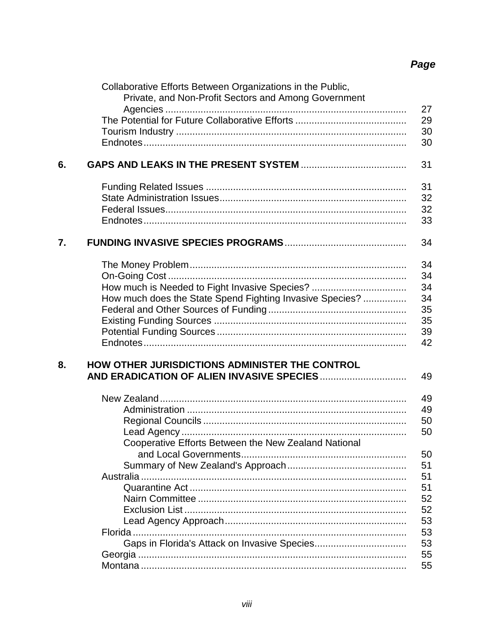# Page

|    | Collaborative Efforts Between Organizations in the Public,<br>Private, and Non-Profit Sectors and Among Government |    |
|----|--------------------------------------------------------------------------------------------------------------------|----|
|    |                                                                                                                    | 27 |
|    |                                                                                                                    | 29 |
|    |                                                                                                                    | 30 |
|    |                                                                                                                    | 30 |
|    |                                                                                                                    |    |
| 6. |                                                                                                                    | 31 |
|    |                                                                                                                    | 31 |
|    |                                                                                                                    | 32 |
|    |                                                                                                                    | 32 |
|    |                                                                                                                    | 33 |
| 7. |                                                                                                                    | 34 |
|    |                                                                                                                    |    |
|    |                                                                                                                    | 34 |
|    |                                                                                                                    | 34 |
|    | How much is Needed to Fight Invasive Species?                                                                      | 34 |
|    | How much does the State Spend Fighting Invasive Species?                                                           | 34 |
|    |                                                                                                                    | 35 |
|    |                                                                                                                    | 35 |
|    |                                                                                                                    | 39 |
|    |                                                                                                                    | 42 |
|    |                                                                                                                    |    |
| 8. | HOW OTHER JURISDICTIONS ADMINISTER THE CONTROL                                                                     |    |
|    |                                                                                                                    | 49 |
|    |                                                                                                                    |    |
|    |                                                                                                                    | 49 |
|    |                                                                                                                    | 49 |
|    |                                                                                                                    | 50 |
|    |                                                                                                                    | 50 |
|    | Cooperative Efforts Between the New Zealand National                                                               |    |
|    |                                                                                                                    | 50 |
|    |                                                                                                                    | 51 |
|    |                                                                                                                    | 51 |
|    |                                                                                                                    | 51 |
|    |                                                                                                                    | 52 |
|    |                                                                                                                    | 52 |
|    |                                                                                                                    | 53 |
|    |                                                                                                                    | 53 |
|    |                                                                                                                    | 53 |
|    |                                                                                                                    | 55 |
|    |                                                                                                                    | 55 |
|    |                                                                                                                    |    |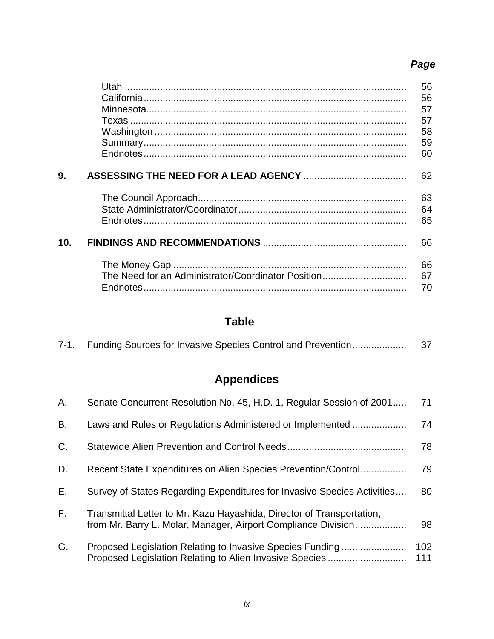# *Page*

|     |                                                    | 56 |
|-----|----------------------------------------------------|----|
|     |                                                    | 56 |
|     |                                                    | 57 |
|     |                                                    | 57 |
|     |                                                    | 58 |
|     |                                                    | 59 |
|     |                                                    | 60 |
| 9.  |                                                    | 62 |
|     |                                                    | 63 |
|     |                                                    | 64 |
|     |                                                    | 65 |
|     |                                                    |    |
| 10. |                                                    | 66 |
|     |                                                    | 66 |
|     | The Need for an Administrator/Coordinator Position | 67 |
|     |                                                    | 70 |
|     |                                                    |    |

# **Table**

# **Appendices**

| Α. | Senate Concurrent Resolution No. 45, H.D. 1, Regular Session of 2001                                                                   | 71         |
|----|----------------------------------------------------------------------------------------------------------------------------------------|------------|
| В. | Laws and Rules or Regulations Administered or Implemented                                                                              | 74         |
| C. |                                                                                                                                        | 78         |
| D. | Recent State Expenditures on Alien Species Prevention/Control                                                                          | 79         |
| E. | Survey of States Regarding Expenditures for Invasive Species Activities                                                                | 80         |
| F. | Transmittal Letter to Mr. Kazu Hayashida, Director of Transportation,<br>from Mr. Barry L. Molar, Manager, Airport Compliance Division | 98         |
| G. | Proposed Legislation Relating to Invasive Species Funding<br>Proposed Legislation Relating to Alien Invasive Species                   | 102<br>111 |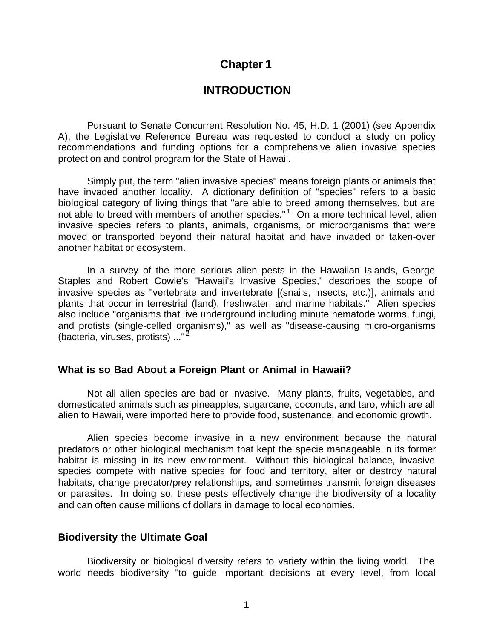### **Chapter 1**

### **INTRODUCTION**

Pursuant to Senate Concurrent Resolution No. 45, H.D. 1 (2001) (see Appendix A), the Legislative Reference Bureau was requested to conduct a study on policy recommendations and funding options for a comprehensive alien invasive species protection and control program for the State of Hawaii.

Simply put, the term "alien invasive species" means foreign plants or animals that have invaded another locality. A dictionary definition of "species" refers to a basic biological category of living things that "are able to breed among themselves, but are not able to breed with members of another species."<sup>1</sup> On a more technical level, alien invasive species refers to plants, animals, organisms, or microorganisms that were moved or transported beyond their natural habitat and have invaded or taken-over another habitat or ecosystem.

In a survey of the more serious alien pests in the Hawaiian Islands, George Staples and Robert Cowie's "Hawaii's Invasive Species," describes the scope of invasive species as "vertebrate and invertebrate [(snails, insects, etc.)], animals and plants that occur in terrestrial (land), freshwater, and marine habitats." Alien species also include "organisms that live underground including minute nematode worms, fungi, and protists (single-celled organisms)," as well as "disease-causing micro-organisms (bacteria, viruses, protists) ..."<sup>2</sup>

#### **What is so Bad About a Foreign Plant or Animal in Hawaii?**

Not all alien species are bad or invasive. Many plants, fruits, vegetables, and domesticated animals such as pineapples, sugarcane, coconuts, and taro, which are all alien to Hawaii, were imported here to provide food, sustenance, and economic growth.

Alien species become invasive in a new environment because the natural predators or other biological mechanism that kept the specie manageable in its former habitat is missing in its new environment. Without this biological balance, invasive species compete with native species for food and territory, alter or destroy natural habitats, change predator/prey relationships, and sometimes transmit foreign diseases or parasites. In doing so, these pests effectively change the biodiversity of a locality and can often cause millions of dollars in damage to local economies.

#### **Biodiversity the Ultimate Goal**

Biodiversity or biological diversity refers to variety within the living world. The world needs biodiversity "to guide important decisions at every level, from local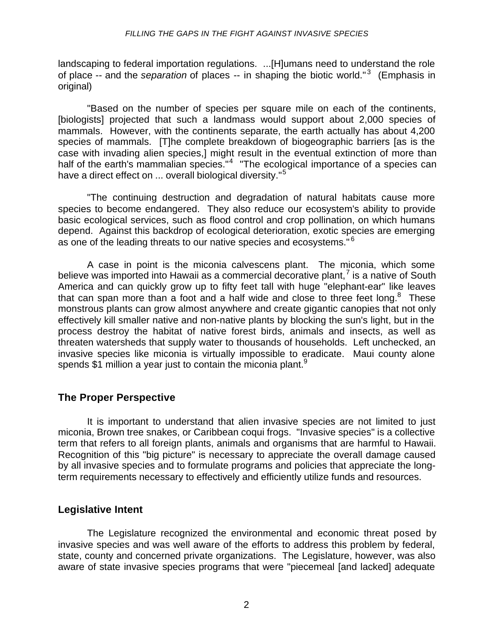#### *FILLING THE GAPS IN THE FIGHT AGAINST INVASIVE SPECIES*

landscaping to federal importation regulations. ...[H]umans need to understand the role of place -- and the *separation* of places -- in shaping the biotic world."<sup>3</sup> (Emphasis in original)

"Based on the number of species per square mile on each of the continents, [biologists] projected that such a landmass would support about 2,000 species of mammals. However, with the continents separate, the earth actually has about 4,200 species of mammals. [T]he complete breakdown of biogeographic barriers [as is the case with invading alien species,] might result in the eventual extinction of more than half of the earth's mammalian species."<sup>4</sup> "The ecological importance of a species can have a direct effect on ... overall biological diversity."<sup>5</sup>

"The continuing destruction and degradation of natural habitats cause more species to become endangered. They also reduce our ecosystem's ability to provide basic ecological services, such as flood control and crop pollination, on which humans depend. Against this backdrop of ecological deterioration, exotic species are emerging as one of the leading threats to our native species and ecosystems."<sup>6</sup>

A case in point is the miconia calvescens plant. The miconia, which some believe was imported into Hawaii as a commercial decorative plant,<sup>7</sup> is a native of South America and can quickly grow up to fifty feet tall with huge "elephant-ear" like leaves that can span more than a foot and a half wide and close to three feet long. $8$  These monstrous plants can grow almost anywhere and create gigantic canopies that not only effectively kill smaller native and non-native plants by blocking the sun's light, but in the process destroy the habitat of native forest birds, animals and insects, as well as threaten watersheds that supply water to thousands of households. Left unchecked, an invasive species like miconia is virtually impossible to eradicate. Maui county alone spends \$1 million a year just to contain the miconia plant.<sup>9</sup>

### **The Proper Perspective**

It is important to understand that alien invasive species are not limited to just miconia, Brown tree snakes, or Caribbean coqui frogs. "Invasive species" is a collective term that refers to all foreign plants, animals and organisms that are harmful to Hawaii. Recognition of this "big picture" is necessary to appreciate the overall damage caused by all invasive species and to formulate programs and policies that appreciate the longterm requirements necessary to effectively and efficiently utilize funds and resources.

#### **Legislative Intent**

The Legislature recognized the environmental and economic threat posed by invasive species and was well aware of the efforts to address this problem by federal, state, county and concerned private organizations. The Legislature, however, was also aware of state invasive species programs that were "piecemeal [and lacked] adequate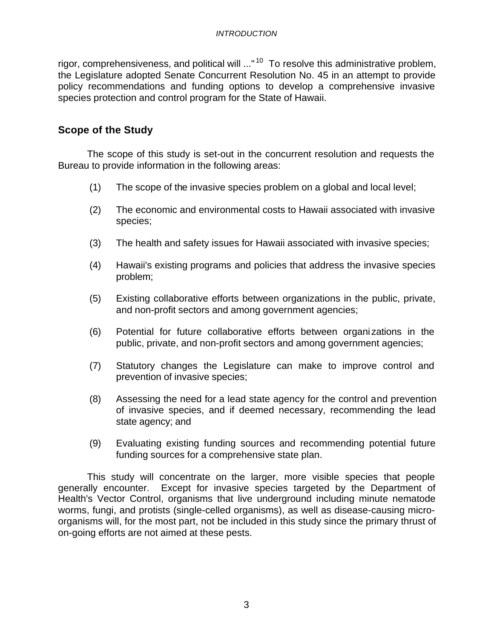rigor, comprehensiveness, and political will ..."<sup>10</sup> To resolve this administrative problem, the Legislature adopted Senate Concurrent Resolution No. 45 in an attempt to provide policy recommendations and funding options to develop a comprehensive invasive species protection and control program for the State of Hawaii.

### **Scope of the Study**

The scope of this study is set-out in the concurrent resolution and requests the Bureau to provide information in the following areas:

- (1) The scope of the invasive species problem on a global and local level;
- (2) The economic and environmental costs to Hawaii associated with invasive species;
- (3) The health and safety issues for Hawaii associated with invasive species;
- (4) Hawaii's existing programs and policies that address the invasive species problem;
- (5) Existing collaborative efforts between organizations in the public, private, and non-profit sectors and among government agencies;
- (6) Potential for future collaborative efforts between organi zations in the public, private, and non-profit sectors and among government agencies;
- (7) Statutory changes the Legislature can make to improve control and prevention of invasive species;
- (8) Assessing the need for a lead state agency for the control and prevention of invasive species, and if deemed necessary, recommending the lead state agency; and
- (9) Evaluating existing funding sources and recommending potential future funding sources for a comprehensive state plan.

This study will concentrate on the larger, more visible species that people generally encounter. Except for invasive species targeted by the Department of Health's Vector Control, organisms that live underground including minute nematode worms, fungi, and protists (single-celled organisms), as well as disease-causing microorganisms will, for the most part, not be included in this study since the primary thrust of on-going efforts are not aimed at these pests.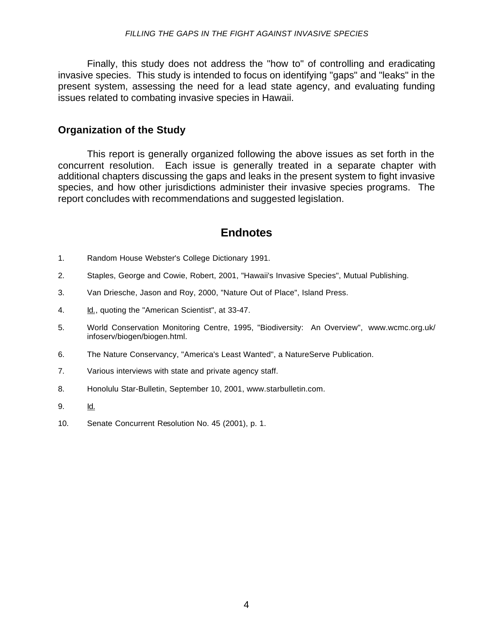Finally, this study does not address the "how to" of controlling and eradicating invasive species. This study is intended to focus on identifying "gaps" and "leaks" in the present system, assessing the need for a lead state agency, and evaluating funding issues related to combating invasive species in Hawaii.

### **Organization of the Study**

This report is generally organized following the above issues as set forth in the concurrent resolution. Each issue is generally treated in a separate chapter with additional chapters discussing the gaps and leaks in the present system to fight invasive species, and how other jurisdictions administer their invasive species programs. The report concludes with recommendations and suggested legislation.

### **Endnotes**

- 1. Random House Webster's College Dictionary 1991.
- 2. Staples, George and Cowie, Robert, 2001, "Hawaii's Invasive Species", Mutual Publishing.
- 3. Van Driesche, Jason and Roy, 2000, "Nature Out of Place", Island Press.
- 4. Id., quoting the "American Scientist", at 33-47.
- 5. World Conservation Monitoring Centre, 1995, "Biodiversity: An Overview", www.wcmc.org.uk/ infoserv/biogen/biogen.html.
- 6. The Nature Conservancy, "America's Least Wanted", a NatureServe Publication.
- 7. Various interviews with state and private agency staff.
- 8. Honolulu Star-Bulletin, September 10, 2001, [www.starbulletin.com.](http://www.starbulletin.com)
- 9. Id.
- 10. Senate Concurrent Resolution No. 45 (2001), p. 1.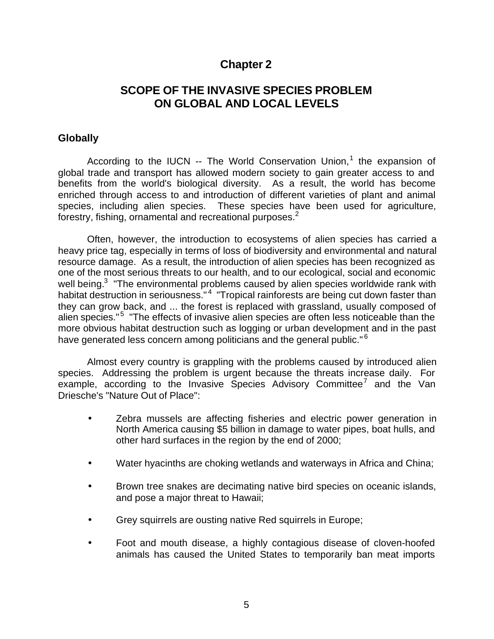### **Chapter 2**

### **SCOPE OF THE INVASIVE SPECIES PROBLEM ON GLOBAL AND LOCAL LEVELS**

#### **Globally**

According to the IUCN -- The World Conservation Union,<sup>1</sup> the expansion of global trade and transport has allowed modern society to gain greater access to and benefits from the world's biological diversity. As a result, the world has become enriched through access to and introduction of different varieties of plant and animal species, including alien species. These species have been used for agriculture, forestry, fishing, ornamental and recreational purposes.<sup>2</sup>

Often, however, the introduction to ecosystems of alien species has carried a heavy price tag, especially in terms of loss of biodiversity and environmental and natural resource damage. As a result, the introduction of alien species has been recognized as one of the most serious threats to our health, and to our ecological, social and economic well being.<sup>3</sup> "The environmental problems caused by alien species worldwide rank with habitat destruction in seriousness."<sup>4</sup> "Tropical rainforests are being cut down faster than they can grow back, and ... the forest is replaced with grassland, usually composed of alien species."<sup>5</sup> "The effects of invasive alien species are often less noticeable than the more obvious habitat destruction such as logging or urban development and in the past have generated less concern among politicians and the general public."<sup>6</sup>

Almost every country is grappling with the problems caused by introduced alien species. Addressing the problem is urgent because the threats increase daily. For example, according to the Invasive Species Advisory Committee<sup>7</sup> and the Van Driesche's "Nature Out of Place":

- Zebra mussels are affecting fisheries and electric power generation in North America causing \$5 billion in damage to water pipes, boat hulls, and other hard surfaces in the region by the end of 2000;
- Water hyacinths are choking wetlands and waterways in Africa and China;
- Brown tree snakes are decimating native bird species on oceanic islands, and pose a major threat to Hawaii;
- Grey squirrels are ousting native Red squirrels in Europe;
- Foot and mouth disease, a highly contagious disease of cloven-hoofed animals has caused the United States to temporarily ban meat imports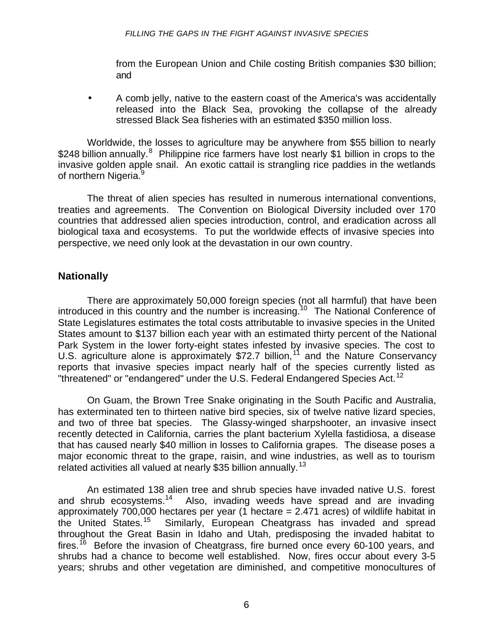from the European Union and Chile costing British companies \$30 billion; and

• A comb jelly, native to the eastern coast of the America's was accidentally released into the Black Sea, provoking the collapse of the already stressed Black Sea fisheries with an estimated \$350 million loss.

Worldwide, the losses to agriculture may be anywhere from \$55 billion to nearly \$248 billion annually.<sup>8</sup> Philippine rice farmers have lost nearly \$1 billion in crops to the invasive golden apple snail. An exotic cattail is strangling rice paddies in the wetlands of northern Nigeria.<sup>9</sup>

The threat of alien species has resulted in numerous international conventions, treaties and agreements. The Convention on Biological Diversity included over 170 countries that addressed alien species introduction, control, and eradication across all biological taxa and ecosystems. To put the worldwide effects of invasive species into perspective, we need only look at the devastation in our own country.

### **Nationally**

There are approximately 50,000 foreign species (not all harmful) that have been introduced in this country and the number is increasing.<sup>10</sup> The National Conference of State Legislatures estimates the total costs attributable to invasive species in the United States amount to \$137 billion each year with an estimated thirty percent of the National Park System in the lower forty-eight states infested by invasive species. The cost to U.S. agriculture alone is approximately  $$72.7$  billion,<sup>11</sup> and the Nature Conservancy reports that invasive species impact nearly half of the species currently listed as "threatened" or "endangered" under the U.S. Federal Endangered Species Act.<sup>12</sup>

On Guam, the Brown Tree Snake originating in the South Pacific and Australia, has exterminated ten to thirteen native bird species, six of twelve native lizard species, and two of three bat species. The Glassy-winged sharpshooter, an invasive insect recently detected in California, carries the plant bacterium Xylella fastidiosa, a disease that has caused nearly \$40 million in losses to California grapes. The disease poses a major economic threat to the grape, raisin, and wine industries, as well as to tourism related activities all valued at nearly \$35 billion annually.<sup>13</sup>

An estimated 138 alien tree and shrub species have invaded native U.S. forest and shrub ecosystems.<sup>14</sup> Also, invading weeds have spread and are invading approximately 700,000 hectares per year (1 hectare = 2.471 acres) of wildlife habitat in the United States.<sup>15</sup> Similarly, European Cheatgrass has invaded and spread throughout the Great Basin in Idaho and Utah, predisposing the invaded habitat to fires.<sup>16</sup> Before the invasion of Cheatgrass, fire burned once every 60-100 years, and shrubs had a chance to become well established. Now, fires occur about every 3-5 years; shrubs and other vegetation are diminished, and competitive monocultures of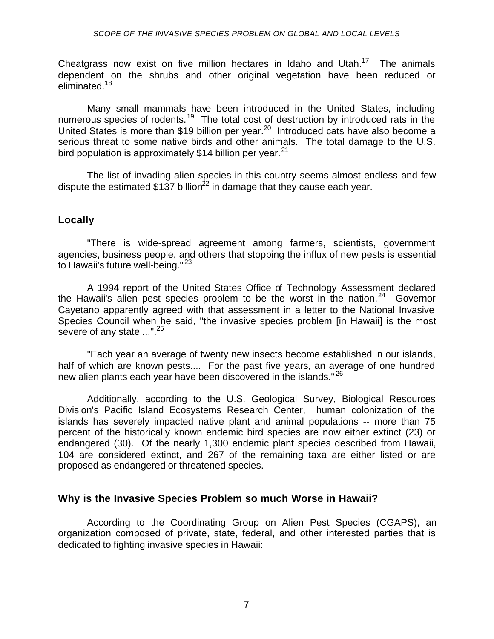Cheatgrass now exist on five million hectares in Idaho and Utah.<sup>17</sup> The animals dependent on the shrubs and other original vegetation have been reduced or eliminated.<sup>18</sup>

Many small mammals have been introduced in the United States, including numerous species of rodents.<sup>19</sup> The total cost of destruction by introduced rats in the United States is more than \$19 billion per year.<sup>20</sup> Introduced cats have also become a serious threat to some native birds and other animals. The total damage to the U.S. bird population is approximately \$14 billion per year.  $21$ 

The list of invading alien species in this country seems almost endless and few dispute the estimated \$137 billion<sup>22</sup> in damage that they cause each year.

### **Locally**

"There is wide-spread agreement among farmers, scientists, government agencies, business people, and others that stopping the influx of new pests is essential to Hawaii's future well-being."<sup>23</sup>

A 1994 report of the United States Office of Technology Assessment declared the Hawaii's alien pest species problem to be the worst in the nation.<sup>24</sup> Governor Cayetano apparently agreed with that assessment in a letter to the National Invasive Species Council when he said, "the invasive species problem [in Hawaii] is the most severe of any state ...".<sup>25</sup>

"Each year an average of twenty new insects become established in our islands, half of which are known pests.... For the past five years, an average of one hundred new alien plants each year have been discovered in the islands."<sup>26</sup>

Additionally, according to the U.S. Geological Survey, Biological Resources Division's Pacific Island Ecosystems Research Center, human colonization of the islands has severely impacted native plant and animal populations -- more than 75 percent of the historically known endemic bird species are now either extinct (23) or endangered (30). Of the nearly 1,300 endemic plant species described from Hawaii, 104 are considered extinct, and 267 of the remaining taxa are either listed or are proposed as endangered or threatened species.

#### **Why is the Invasive Species Problem so much Worse in Hawaii?**

According to the Coordinating Group on Alien Pest Species (CGAPS), an organization composed of private, state, federal, and other interested parties that is dedicated to fighting invasive species in Hawaii: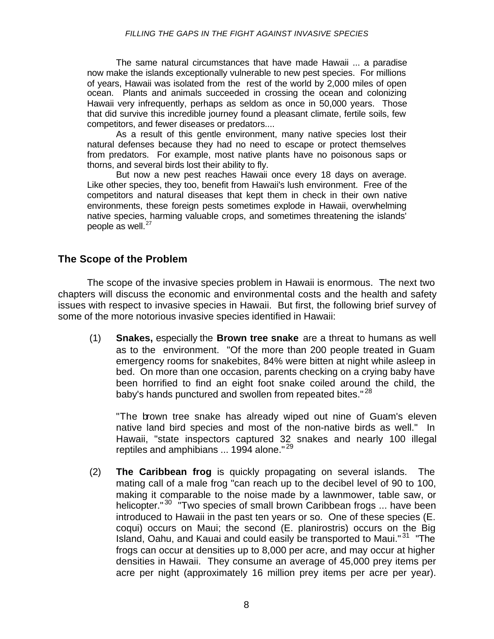The same natural circumstances that have made Hawaii ... a paradise now make the islands exceptionally vulnerable to new pest species. For millions of years, Hawaii was isolated from the rest of the world by 2,000 miles of open ocean. Plants and animals succeeded in crossing the ocean and colonizing Hawaii very infrequently, perhaps as seldom as once in 50,000 years. Those that did survive this incredible journey found a pleasant climate, fertile soils, few competitors, and fewer diseases or predators....

As a result of this gentle environment, many native species lost their natural defenses because they had no need to escape or protect themselves from predators. For example, most native plants have no poisonous saps or thorns, and several birds lost their ability to fly.

But now a new pest reaches Hawaii once every 18 days on average. Like other species, they too, benefit from Hawaii's lush environment. Free of the competitors and natural diseases that kept them in check in their own native environments, these foreign pests sometimes explode in Hawaii, overwhelming native species, harming valuable crops, and sometimes threatening the islands' people as well. $^{27}$ 

### **The Scope of the Problem**

The scope of the invasive species problem in Hawaii is enormous. The next two chapters will discuss the economic and environmental costs and the health and safety issues with respect to invasive species in Hawaii. But first, the following brief survey of some of the more notorious invasive species identified in Hawaii:

(1) **Snakes,** especially the **Brown tree snake** are a threat to humans as well as to the environment. "Of the more than 200 people treated in Guam emergency rooms for snakebites, 84% were bitten at night while asleep in bed. On more than one occasion, parents checking on a crying baby have been horrified to find an eight foot snake coiled around the child, the baby's hands punctured and swollen from repeated bites."<sup>28</sup>

"The brown tree snake has already wiped out nine of Guam's eleven native land bird species and most of the non-native birds as well." In Hawaii, "state inspectors captured 32 snakes and nearly 100 illegal reptiles and amphibians ... 1994 alone."<sup>29</sup>

(2) **The Caribbean frog** is quickly propagating on several islands. The mating call of a male frog "can reach up to the decibel level of 90 to 100, making it comparable to the noise made by a lawnmower, table saw, or helicopter."<sup>30</sup> "Two species of small brown Caribbean frogs ... have been introduced to Hawaii in the past ten years or so. One of these species (E. coqui) occurs on Maui; the second (E. planirostris) occurs on the Big Island, Oahu, and Kauai and could easily be transported to Maui."<sup>31</sup> "The frogs can occur at densities up to 8,000 per acre, and may occur at higher densities in Hawaii. They consume an average of 45,000 prey items per acre per night (approximately 16 million prey items per acre per year).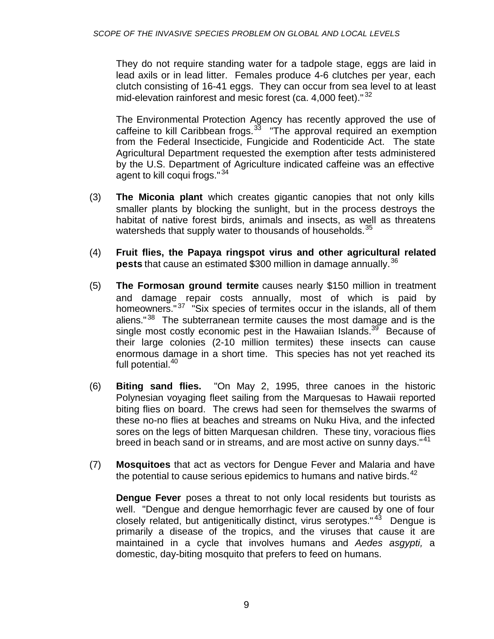They do not require standing water for a tadpole stage, eggs are laid in lead axils or in lead litter. Females produce 4-6 clutches per year, each clutch consisting of 16-41 eggs. They can occur from sea level to at least mid-elevation rainforest and mesic forest (ca. 4,000 feet).  $32$ 

The Environmental Protection Agency has recently approved the use of caffeine to kill Caribbean frogs. $33$  "The approval required an exemption from the Federal Insecticide, Fungicide and Rodenticide Act. The state Agricultural Department requested the exemption after tests administered by the U.S. Department of Agriculture indicated caffeine was an effective agent to kill coqui frogs."<sup>34</sup>

- (3) **The Miconia plant** which creates gigantic canopies that not only kills smaller plants by blocking the sunlight, but in the process destroys the habitat of native forest birds, animals and insects, as well as threatens watersheds that supply water to thousands of households.<sup>35</sup>
- (4) **Fruit flies, the Papaya ringspot virus and other agricultural related pests** that cause an estimated \$300 million in damage annually.<sup>36</sup>
- (5) **The Formosan ground termite** causes nearly \$150 million in treatment and damage repair costs annually, most of which is paid by homeowners."<sup>37</sup> "Six species of termites occur in the islands, all of them aliens."<sup>38</sup> The subterranean termite causes the most damage and is the single most costly economic pest in the Hawaiian Islands.<sup>39</sup> Because of their large colonies (2-10 million termites) these insects can cause enormous damage in a short time. This species has not yet reached its full potential.<sup>40</sup>
- (6) **Biting sand flies.** "On May 2, 1995, three canoes in the historic Polynesian voyaging fleet sailing from the Marquesas to Hawaii reported biting flies on board. The crews had seen for themselves the swarms of these no-no flies at beaches and streams on Nuku Hiva, and the infected sores on the legs of bitten Marquesan children. These tiny, voracious flies breed in beach sand or in streams, and are most active on sunny days."<sup>41</sup>
- (7) **Mosquitoes** that act as vectors for Dengue Fever and Malaria and have the potential to cause serious epidemics to humans and native birds.  $42^{\circ}$

**Dengue Fever** poses a threat to not only local residents but tourists as well. "Dengue and dengue hemorrhagic fever are caused by one of four closely related, but antigenitically distinct, virus serotypes." <sup>43</sup> Dengue is primarily a disease of the tropics, and the viruses that cause it are maintained in a cycle that involves humans and *Aedes asgypti,* a domestic, day-biting mosquito that prefers to feed on humans.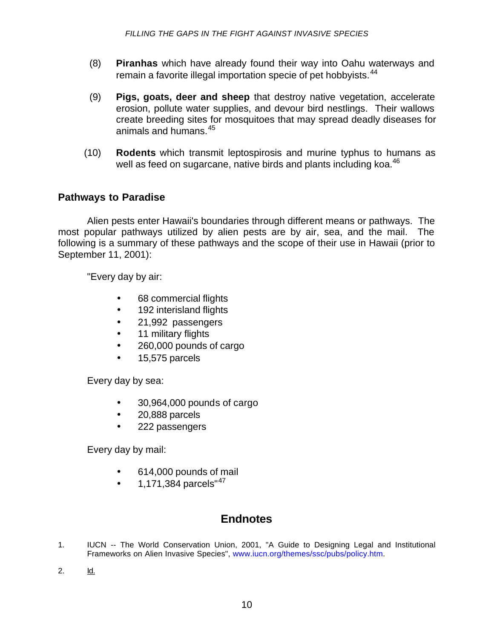- (8) **Piranhas** which have already found their way into Oahu waterways and remain a favorite illegal importation specie of pet hobbyists.<sup>44</sup>
- (9) **Pigs, goats, deer and sheep** that destroy native vegetation, accelerate erosion, pollute water supplies, and devour bird nestlings. Their wallows create breeding sites for mosquitoes that may spread deadly diseases for animals and humans.<sup>45</sup>
- (10) **Rodents** which transmit leptospirosis and murine typhus to humans as well as feed on sugarcane, native birds and plants including koa.<sup>46</sup>

### **Pathways to Paradise**

Alien pests enter Hawaii's boundaries through different means or pathways. The most popular pathways utilized by alien pests are by air, sea, and the mail. The following is a summary of these pathways and the scope of their use in Hawaii (prior to September 11, 2001):

"Every day by air:

- 68 commercial flights
- 192 interisland flights
- 21,992 passengers
- 11 military flights
- 260,000 pounds of cargo
- 15,575 parcels

Every day by sea:

- 30,964,000 pounds of cargo
- 20,888 parcels
- 222 passengers

Every day by mail:

- 614,000 pounds of mail
- 1,171,384 parcels"<sup>47</sup>

### **Endnotes**

- 1. IUCN -- The World Conservation Union, 2001, "A Guide to Designing Legal and Institutional Frameworks on Alien Invasive Species[", www.iucn.org/themes/ssc/pubs/policy.htm.](http://www.iucn.org/themes/ssc/pubs/policy.htm)
- 2. Id.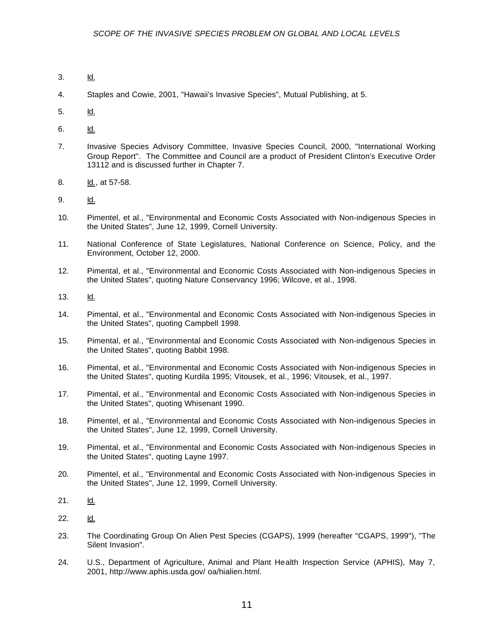- 3. Id.
- 4. Staples and Cowie, 2001, "Hawaii's Invasive Species", Mutual Publishing, at 5.
- 5. Id.
- 6. Id.
- 7. Invasive Species Advisory Committee, Invasive Species Council, 2000, "International Working Group Report". The Committee and Council are a product of President Clinton's Executive Order 13112 and is discussed further in Chapter 7.
- 8. **Id.**, at 57-58.
- 9. Id.
- 10. Pimentel, et al., "Environmental and Economic Costs Associated with Non-indigenous Species in the United States", June 12, 1999, Cornell University.
- 11. National Conference of State Legislatures, National Conference on Science, Policy, and the Environment, October 12, 2000.
- 12. Pimental, et al., "Environmental and Economic Costs Associated with Non-indigenous Species in the United States", quoting Nature Conservancy 1996; Wilcove, et al., 1998.
- 13. Id.
- 14. Pimental, et al., "Environmental and Economic Costs Associated with Non-indigenous Species in the United States", quoting Campbell 1998.
- 15. Pimental, et al., "Environmental and Economic Costs Associated with Non-indigenous Species in the United States", quoting Babbit 1998.
- 16. Pimental, et al., "Environmental and Economic Costs Associated with Non-indigenous Species in the United States", quoting Kurdila 1995; Vitousek, et al., 1996; Vitousek, et al., 1997.
- 17. Pimental, et al., "Environmental and Economic Costs Associated with Non-indigenous Species in the United States", quoting Whisenant 1990.
- 18. Pimentel, et al., "Environmental and Economic Costs Associated with Non-indigenous Species in the United States", June 12, 1999, Cornell University.
- 19. Pimental, et al., "Environmental and Economic Costs Associated with Non-indigenous Species in the United States", quoting Layne 1997.
- 20. Pimentel, et al., "Environmental and Economic Costs Associated with Non-indigenous Species in the United States", June 12, 1999, Cornell University.
- 21. Id.
- 22. Id.
- 23. The Coordinating Group On Alien Pest Species (CGAPS), 1999 (hereafter "CGAPS, 1999"), "The Silent Invasion".
- 24. U.S., Department of Agriculture, Animal and Plant Health Inspection Service (APHIS), May 7, 2001, [http://www.aphis.usda.gov/ oa/hialien.html.](http://www.aphis.usda.gov/ oa/hialien.html)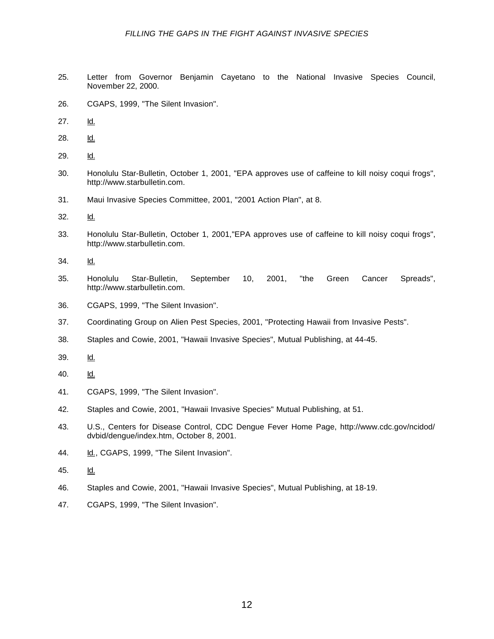- 25. Letter from Governor Benjamin Cayetano to the National Invasive Species Council, November 22, 2000.
- 26. CGAPS, 1999, "The Silent Invasion".
- 27. Id.
- 28. Id.
- 29. Id.
- 30. Honolulu Star-Bulletin, October 1, 2001, "EPA approves use of caffeine to kill noisy coqui frogs", [http://www.starbulletin.com.](http://www.starbulletin.com)
- 31. Maui Invasive Species Committee, 2001, "2001 Action Plan", at 8.
- 32. Id.
- 33. Honolulu Star-Bulletin, October 1, 2001,"EPA approves use of caffeine to kill noisy coqui frogs", [http://www.starbulletin.com.](http://www.starbulletin.com)
- 34. Id.
- 35. Honolulu Star-Bulletin, September 10, 2001, "the Green Cancer Spreads", [http://www.starbulletin.com.](http://www.starbulletin.com)
- 36. CGAPS, 1999, "The Silent Invasion".
- 37. Coordinating Group on Alien Pest Species, 2001, "Protecting Hawaii from Invasive Pests".
- 38. Staples and Cowie, 2001, "Hawaii Invasive Species", Mutual Publishing, at 44-45.
- 39. Id.
- 40. Id.
- 41. CGAPS, 1999, "The Silent Invasion".
- 42. Staples and Cowie, 2001, "Hawaii Invasive Species" Mutual Publishing, at 51.
- 43. [U.S., Centers for Disease Control, CDC Dengue Fever Home Page, http://www.cdc.gov/ncidod/](http://www.cdc.gov/ncidod/dvbid/dengue/index.htm) dvbid/dengue/index.htm, October 8, 2001.
- 44. Id., CGAPS, 1999, "The Silent Invasion".
- 45. Id.
- 46. Staples and Cowie, 2001, "Hawaii Invasive Species", Mutual Publishing, at 18-19.
- 47. CGAPS, 1999, "The Silent Invasion".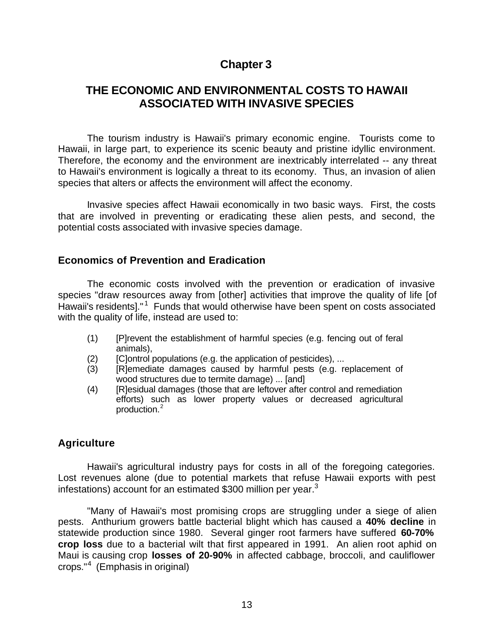### **Chapter 3**

### **THE ECONOMIC AND ENVIRONMENTAL COSTS TO HAWAII ASSOCIATED WITH INVASIVE SPECIES**

The tourism industry is Hawaii's primary economic engine. Tourists come to Hawaii, in large part, to experience its scenic beauty and pristine idyllic environment. Therefore, the economy and the environment are inextricably interrelated -- any threat to Hawaii's environment is logically a threat to its economy. Thus, an invasion of alien species that alters or affects the environment will affect the economy.

Invasive species affect Hawaii economically in two basic ways. First, the costs that are involved in preventing or eradicating these alien pests, and second, the potential costs associated with invasive species damage.

#### **Economics of Prevention and Eradication**

The economic costs involved with the prevention or eradication of invasive species "draw resources away from [other] activities that improve the quality of life [of Hawaii's residents]."<sup>1</sup> Funds that would otherwise have been spent on costs associated with the quality of life, instead are used to:

- (1) [P]revent the establishment of harmful species (e.g. fencing out of feral animals),
- (2) [C]ontrol populations (e.g. the application of pesticides), ...
- (3) [R]emediate damages caused by harmful pests (e.g. replacement of wood structures due to termite damage) ... [and]
- (4) [R]esidual damages (those that are leftover after control and remediation efforts) such as lower property values or decreased agricultural production.<sup>2</sup>

### **Agriculture**

Hawaii's agricultural industry pays for costs in all of the foregoing categories. Lost revenues alone (due to potential markets that refuse Hawaii exports with pest infestations) account for an estimated \$300 million per year. $3$ 

"Many of Hawaii's most promising crops are struggling under a siege of alien pests. Anthurium growers battle bacterial blight which has caused a **40% decline** in statewide production since 1980. Several ginger root farmers have suffered **60-70% crop loss** due to a bacterial wilt that first appeared in 1991. An alien root aphid on Maui is causing crop **losses of 20-90%** in affected cabbage, broccoli, and cauliflower crops."<sup>4</sup> (Emphasis in original)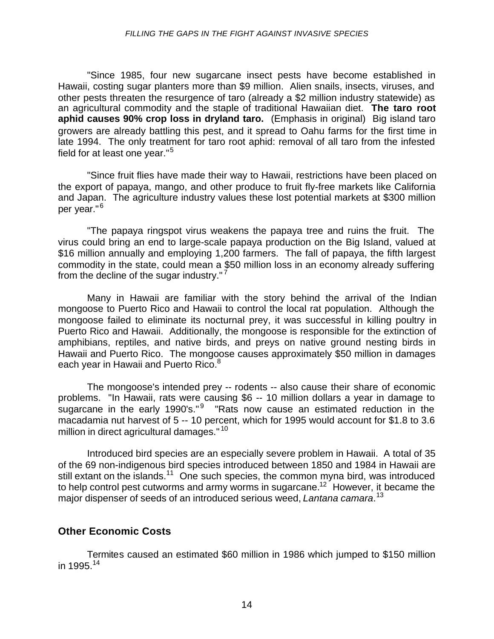"Since 1985, four new sugarcane insect pests have become established in Hawaii, costing sugar planters more than \$9 million. Alien snails, insects, viruses, and other pests threaten the resurgence of taro (already a \$2 million industry statewide) as an agricultural commodity and the staple of traditional Hawaiian diet. **The taro root aphid causes 90% crop loss in dryland taro.** (Emphasis in original) Big island taro growers are already battling this pest, and it spread to Oahu farms for the first time in late 1994. The only treatment for taro root aphid: removal of all taro from the infested field for at least one year."<sup>5</sup>

"Since fruit flies have made their way to Hawaii, restrictions have been placed on the export of papaya, mango, and other produce to fruit fly-free markets like California and Japan. The agriculture industry values these lost potential markets at \$300 million per year." <sup>6</sup>

"The papaya ringspot virus weakens the papaya tree and ruins the fruit. The virus could bring an end to large-scale papaya production on the Big Island, valued at \$16 million annually and employing 1,200 farmers. The fall of papaya, the fifth largest commodity in the state, could mean a \$50 million loss in an economy already suffering from the decline of the sugar industry." <sup>7</sup>

Many in Hawaii are familiar with the story behind the arrival of the Indian mongoose to Puerto Rico and Hawaii to control the local rat population. Although the mongoose failed to eliminate its nocturnal prey, it was successful in killing poultry in Puerto Rico and Hawaii. Additionally, the mongoose is responsible for the extinction of amphibians, reptiles, and native birds, and preys on native ground nesting birds in Hawaii and Puerto Rico. The mongoose causes approximately \$50 million in damages each year in Hawaii and Puerto Rico.<sup>8</sup>

The mongoose's intended prey -- rodents -- also cause their share of economic problems. "In Hawaii, rats were causing \$6 -- 10 million dollars a year in damage to sugarcane in the early 1990's."<sup>9</sup> "Rats now cause an estimated reduction in the macadamia nut harvest of 5 -- 10 percent, which for 1995 would account for \$1.8 to 3.6 million in direct agricultural damages."<sup>10</sup>

Introduced bird species are an especially severe problem in Hawaii. A total of 35 of the 69 non-indigenous bird species introduced between 1850 and 1984 in Hawaii are still extant on the islands.<sup>11</sup> One such species, the common myna bird, was introduced to help control pest cutworms and army worms in sugarcane.<sup>12</sup> However, it became the major dispenser of seeds of an introduced serious weed, *Lantana camara*. 13

### **Other Economic Costs**

Termites caused an estimated \$60 million in 1986 which jumped to \$150 million in 1995. $14$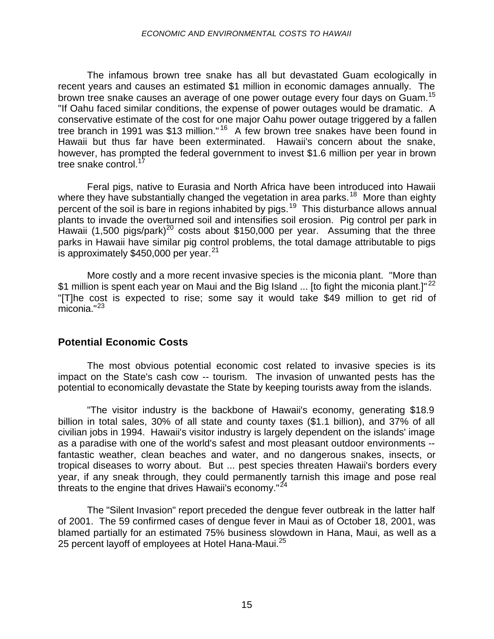The infamous brown tree snake has all but devastated Guam ecologically in recent years and causes an estimated \$1 million in economic damages annually. The brown tree snake causes an average of one power outage every four days on Guam.<sup>15</sup> "If Oahu faced similar conditions, the expense of power outages would be dramatic. A conservative estimate of the cost for one major Oahu power outage triggered by a fallen tree branch in 1991 was \$13 million." <sup>16</sup> A few brown tree snakes have been found in Hawaii but thus far have been exterminated. Hawaii's concern about the snake, however, has prompted the federal government to invest \$1.6 million per year in brown tree snake control.<sup>17</sup>

Feral pigs, native to Eurasia and North Africa have been introduced into Hawaii where they have substantially changed the vegetation in area parks.<sup>18</sup> More than eighty percent of the soil is bare in regions inhabited by pigs.<sup>19</sup> This disturbance allows annual plants to invade the overturned soil and intensifies soil erosion. Pig control per park in Hawaii (1,500 pigs/park)<sup>20</sup> costs about \$150,000 per year. Assuming that the three parks in Hawaii have similar pig control problems, the total damage attributable to pigs is approximately  $$450,000$  per year.<sup>21</sup>

More costly and a more recent invasive species is the miconia plant. "More than \$1 million is spent each year on Maui and the Big Island ... [to fight the miconia plant.]"<sup>22</sup> "[T]he cost is expected to rise; some say it would take \$49 million to get rid of miconia."<sup>23</sup>

### **Potential Economic Costs**

The most obvious potential economic cost related to invasive species is its impact on the State's cash cow -- tourism. The invasion of unwanted pests has the potential to economically devastate the State by keeping tourists away from the islands.

"The visitor industry is the backbone of Hawaii's economy, generating \$18.9 billion in total sales, 30% of all state and county taxes (\$1.1 billion), and 37% of all civilian jobs in 1994. Hawaii's visitor industry is largely dependent on the islands' image as a paradise with one of the world's safest and most pleasant outdoor environments - fantastic weather, clean beaches and water, and no dangerous snakes, insects, or tropical diseases to worry about. But ... pest species threaten Hawaii's borders every year, if any sneak through, they could permanently tarnish this image and pose real threats to the engine that drives Hawaii's economy."<sup>24</sup>

The "Silent Invasion" report preceded the dengue fever outbreak in the latter half of 2001. The 59 confirmed cases of dengue fever in Maui as of October 18, 2001, was blamed partially for an estimated 75% business slowdown in Hana, Maui, as well as a 25 percent layoff of employees at Hotel Hana-Maui.<sup>25</sup>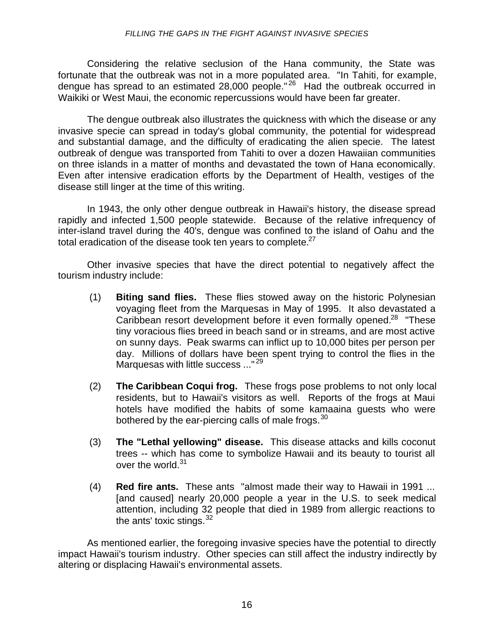Considering the relative seclusion of the Hana community, the State was fortunate that the outbreak was not in a more populated area. "In Tahiti, for example, dengue has spread to an estimated 28,000 people."<sup>26</sup> Had the outbreak occurred in Waikiki or West Maui, the economic repercussions would have been far greater.

The dengue outbreak also illustrates the quickness with which the disease or any invasive specie can spread in today's global community, the potential for widespread and substantial damage, and the difficulty of eradicating the alien specie. The latest outbreak of dengue was transported from Tahiti to over a dozen Hawaiian communities on three islands in a matter of months and devastated the town of Hana economically. Even after intensive eradication efforts by the Department of Health, vestiges of the disease still linger at the time of this writing.

In 1943, the only other dengue outbreak in Hawaii's history, the disease spread rapidly and infected 1,500 people statewide. Because of the relative infrequency of inter-island travel during the 40's, dengue was confined to the island of Oahu and the total eradication of the disease took ten years to complete.<sup>27</sup>

Other invasive species that have the direct potential to negatively affect the tourism industry include:

- (1) **Biting sand flies.** These flies stowed away on the historic Polynesian voyaging fleet from the Marquesas in May of 1995. It also devastated a Caribbean resort development before it even formally opened.<sup>28</sup> "These tiny voracious flies breed in beach sand or in streams, and are most active on sunny days. Peak swarms can inflict up to 10,000 bites per person per day. Millions of dollars have been spent trying to control the flies in the Marquesas with little success ..."<sup>29</sup>
- (2) **The Caribbean Coqui frog.** These frogs pose problems to not only local residents, but to Hawaii's visitors as well. Reports of the frogs at Maui hotels have modified the habits of some kamaaina guests who were bothered by the ear-piercing calls of male frogs. $30<sup>30</sup>$
- (3) **The "Lethal yellowing" disease.** This disease attacks and kills coconut trees -- which has come to symbolize Hawaii and its beauty to tourist all over the world.<sup>31</sup>
- (4) **Red fire ants.** These ants "almost made their way to Hawaii in 1991 ... [and caused] nearly 20,000 people a year in the U.S. to seek medical attention, including 32 people that died in 1989 from allergic reactions to the ants' toxic stings.  $32$

As mentioned earlier, the foregoing invasive species have the potential to directly impact Hawaii's tourism industry. Other species can still affect the industry indirectly by altering or displacing Hawaii's environmental assets.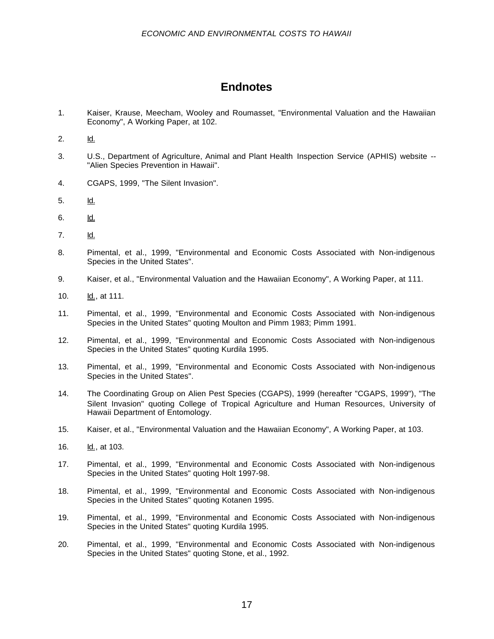### **Endnotes**

- 1. Kaiser, Krause, Meecham, Wooley and Roumasset, "Environmental Valuation and the Hawaiian Economy", A Working Paper, at 102.
- 2. Id.
- 3. U.S., Department of Agriculture, Animal and Plant Health Inspection Service (APHIS) website -- "Alien Species Prevention in Hawaii".
- 4. CGAPS, 1999, "The Silent Invasion".
- 5. Id.
- 6. Id.
- 7. Id.
- 8. Pimental, et al., 1999, "Environmental and Economic Costs Associated with Non-indigenous Species in the United States".
- 9. Kaiser, et al., "Environmental Valuation and the Hawaiian Economy", A Working Paper, at 111.
- 10. Id., at 111.
- 11. Pimental, et al., 1999, "Environmental and Economic Costs Associated with Non-indigenous Species in the United States" quoting Moulton and Pimm 1983; Pimm 1991.
- 12. Pimental, et al., 1999, "Environmental and Economic Costs Associated with Non-indigenous Species in the United States" quoting Kurdila 1995.
- 13. Pimental, et al., 1999, "Environmental and Economic Costs Associated with Non-indigenous Species in the United States".
- 14. The Coordinating Group on Alien Pest Species (CGAPS), 1999 (hereafter "CGAPS, 1999"), "The Silent Invasion" quoting College of Tropical Agriculture and Human Resources, University of Hawaii Department of Entomology.
- 15. Kaiser, et al., "Environmental Valuation and the Hawaiian Economy", A Working Paper, at 103.
- 16. Id., at 103.
- 17. Pimental, et al., 1999, "Environmental and Economic Costs Associated with Non-indigenous Species in the United States" quoting Holt 1997-98.
- 18. Pimental, et al., 1999, "Environmental and Economic Costs Associated with Non-indigenous Species in the United States" quoting Kotanen 1995.
- 19. Pimental, et al., 1999, "Environmental and Economic Costs Associated with Non-indigenous Species in the United States" quoting Kurdila 1995.
- 20. Pimental, et al., 1999, "Environmental and Economic Costs Associated with Non-indigenous Species in the United States" quoting Stone, et al., 1992.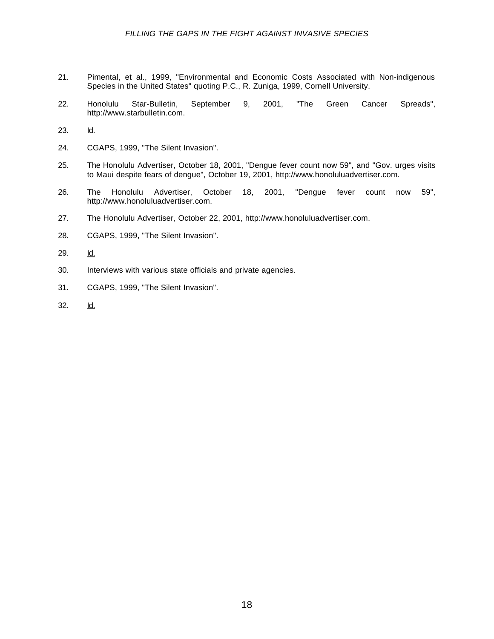- 21. Pimental, et al., 1999, "Environmental and Economic Costs Associated with Non-indigenous Species in the United States" quoting P.C., R. Zuniga, 1999, Cornell University.
- 22. Honolulu Star-Bulletin, September 9, 2001, "The Green Cancer Spreads", [http://www.starbulletin.com.](http://www.starbulletin.com)
- 23. Id.
- 24. CGAPS, 1999, "The Silent Invasion".
- 25. The Honolulu Advertiser, October 18, 2001, "Dengue fever count now 59", and "Gov. urges visits to Maui despite fears of dengue", October 19, 2001[, http://www.honoluluadvertiser.com.](http://www.honoluluadvertiser.com)
- 26. The Honolulu Advertiser, October 18, 2001, "Dengue fever count now 59", [http://www.honoluluadvertiser.com.](http://www.honoluluadvertiser.com)
- 27. The Honolulu Advertiser, October 22, 200[1, http://www.honoluluadvertiser.com.](http://www.honoluluadvertiser.com)
- 28. CGAPS, 1999, "The Silent Invasion".
- 29. Id.
- 30. Interviews with various state officials and private agencies.
- 31. CGAPS, 1999, "The Silent Invasion".
- 32. Id.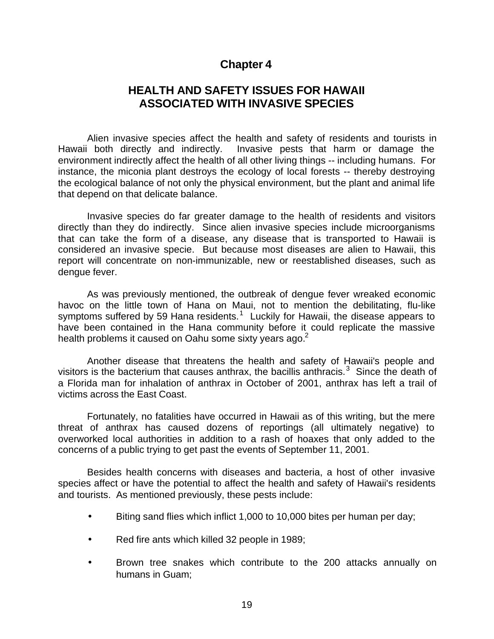### **Chapter 4**

### **HEALTH AND SAFETY ISSUES FOR HAWAII ASSOCIATED WITH INVASIVE SPECIES**

Alien invasive species affect the health and safety of residents and tourists in Hawaii both directly and indirectly. Invasive pests that harm or damage the environment indirectly affect the health of all other living things -- including humans. For instance, the miconia plant destroys the ecology of local forests -- thereby destroying the ecological balance of not only the physical environment, but the plant and animal life that depend on that delicate balance.

Invasive species do far greater damage to the health of residents and visitors directly than they do indirectly. Since alien invasive species include microorganisms that can take the form of a disease, any disease that is transported to Hawaii is considered an invasive specie. But because most diseases are alien to Hawaii, this report will concentrate on non-immunizable, new or reestablished diseases, such as dengue fever.

As was previously mentioned, the outbreak of dengue fever wreaked economic havoc on the little town of Hana on Maui, not to mention the debilitating, flu-like symptoms suffered by 59 Hana residents.<sup>1</sup> Luckily for Hawaii, the disease appears to have been contained in the Hana community before it could replicate the massive health problems it caused on Oahu some sixty years ago. $2^2$ 

Another disease that threatens the health and safety of Hawaii's people and visitors is the bacterium that causes anthrax, the bacillis anthracis.<sup>3</sup> Since the death of a Florida man for inhalation of anthrax in October of 2001, anthrax has left a trail of victims across the East Coast.

Fortunately, no fatalities have occurred in Hawaii as of this writing, but the mere threat of anthrax has caused dozens of reportings (all ultimately negative) to overworked local authorities in addition to a rash of hoaxes that only added to the concerns of a public trying to get past the events of September 11, 2001.

Besides health concerns with diseases and bacteria, a host of other invasive species affect or have the potential to affect the health and safety of Hawaii's residents and tourists. As mentioned previously, these pests include:

- Biting sand flies which inflict 1,000 to 10,000 bites per human per day;
- Red fire ants which killed 32 people in 1989;
- Brown tree snakes which contribute to the 200 attacks annually on humans in Guam;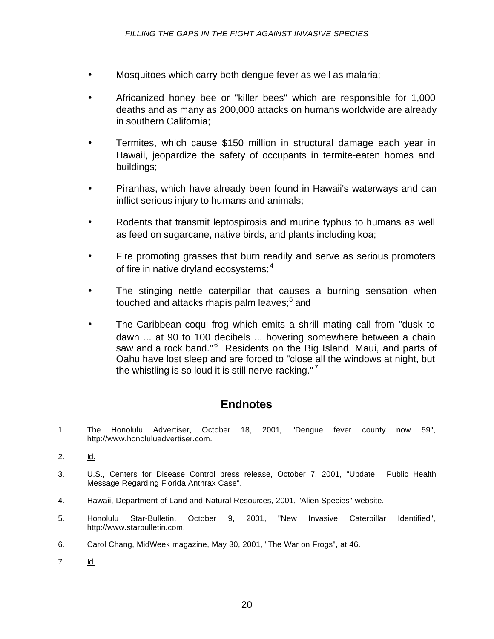- Mosquitoes which carry both dengue fever as well as malaria;
- Africanized honey bee or "killer bees" which are responsible for 1,000 deaths and as many as 200,000 attacks on humans worldwide are already in southern California;
- Termites, which cause \$150 million in structural damage each year in Hawaii, jeopardize the safety of occupants in termite-eaten homes and buildings;
- Piranhas, which have already been found in Hawaii's waterways and can inflict serious injury to humans and animals;
- Rodents that transmit leptospirosis and murine typhus to humans as well as feed on sugarcane, native birds, and plants including koa;
- Fire promoting grasses that burn readily and serve as serious promoters of fire in native dryland ecosystems;  $4\overline{ }$
- The stinging nettle caterpillar that causes a burning sensation when touched and attacks rhapis palm leaves;<sup>5</sup> and
- The Caribbean coqui frog which emits a shrill mating call from "dusk to dawn ... at 90 to 100 decibels ... hovering somewhere between a chain saw and a rock band."<sup>6</sup> Residents on the Big Island, Maui, and parts of Oahu have lost sleep and are forced to "close all the windows at night, but the whistling is so loud it is still nerve-racking." $7$

### **Endnotes**

- 1. The Honolulu Advertiser, October 18, 2001, "Dengue fever county now 59", [http://www.honoluluadvertiser.com.](http://www.honoluluadvertiser.com)
- 2. Id.
- 3. U.S., Centers for Disease Control press release, October 7, 2001, "Update: Public Health Message Regarding Florida Anthrax Case".
- 4. Hawaii, Department of Land and Natural Resources, 2001, "Alien Species" website.
- 5. Honolulu Star-Bulletin, October 9, 2001, "New Invasive Caterpillar Identified", [http://www.starbulletin.com.](http://www.starbulletin.com)
- 6. Carol Chang, MidWeek magazine, May 30, 2001, "The War on Frogs", at 46.
- 7. Id.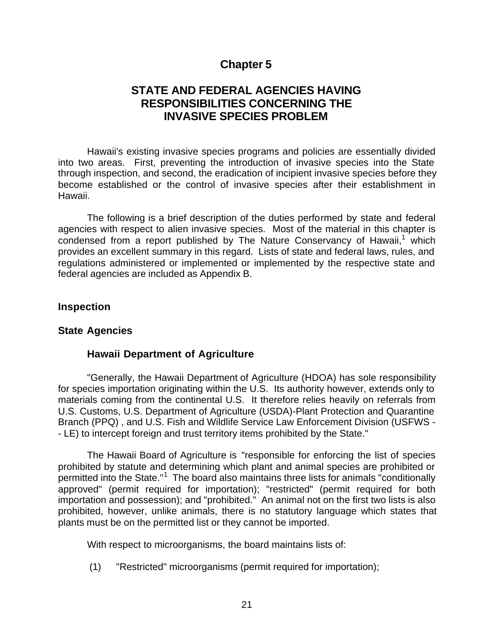### **Chapter 5**

### **STATE AND FEDERAL AGENCIES HAVING RESPONSIBILITIES CONCERNING THE INVASIVE SPECIES PROBLEM**

Hawaii's existing invasive species programs and policies are essentially divided into two areas. First, preventing the introduction of invasive species into the State through inspection, and second, the eradication of incipient invasive species before they become established or the control of invasive species after their establishment in Hawaii.

The following is a brief description of the duties performed by state and federal agencies with respect to alien invasive species. Most of the material in this chapter is condensed from a report published by The Nature Conservancy of Hawaii,<sup>1</sup> which provides an excellent summary in this regard. Lists of state and federal laws, rules, and regulations administered or implemented or implemented by the respective state and federal agencies are included as Appendix B.

#### **Inspection**

#### **State Agencies**

### **Hawaii Department of Agriculture**

"Generally, the Hawaii Department of Agriculture (HDOA) has sole responsibility for species importation originating within the U.S. Its authority however, extends only to materials coming from the continental U.S. It therefore relies heavily on referrals from U.S. Customs, U.S. Department of Agriculture (USDA)-Plant Protection and Quarantine Branch (PPQ) , and U.S. Fish and Wildlife Service Law Enforcement Division (USFWS - - LE) to intercept foreign and trust territory items prohibited by the State."

The Hawaii Board of Agriculture is "responsible for enforcing the list of species prohibited by statute and determining which plant and animal species are prohibited or permitted into the State."<sup>1</sup> The board also maintains three lists for animals "conditionally approved" (permit required for importation); "restricted" (permit required for both importation and possession); and "prohibited." An animal not on the first two lists is also prohibited, however, unlike animals, there is no statutory language which states that plants must be on the permitted list or they cannot be imported.

With respect to microorganisms, the board maintains lists of:

(1) "Restricted" microorganisms (permit required for importation);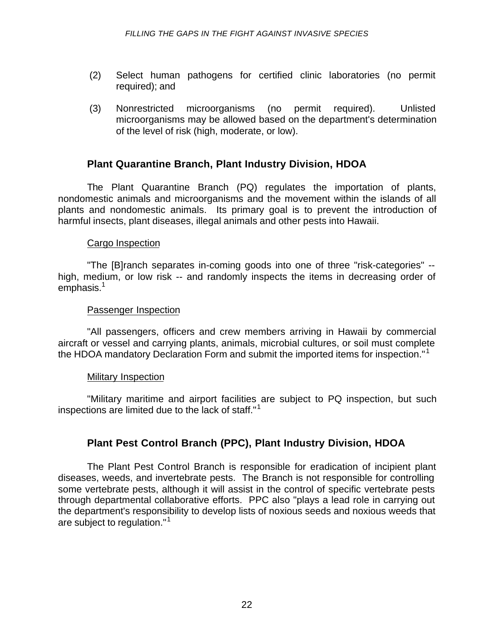- (2) Select human pathogens for certified clinic laboratories (no permit required); and
- (3) Nonrestricted microorganisms (no permit required). Unlisted microorganisms may be allowed based on the department's determination of the level of risk (high, moderate, or low).

### **Plant Quarantine Branch, Plant Industry Division, HDOA**

The Plant Quarantine Branch (PQ) regulates the importation of plants, nondomestic animals and microorganisms and the movement within the islands of all plants and nondomestic animals. Its primary goal is to prevent the introduction of harmful insects, plant diseases, illegal animals and other pests into Hawaii.

#### Cargo Inspection

"The [B]ranch separates in-coming goods into one of three "risk-categories" - high, medium, or low risk -- and randomly inspects the items in decreasing order of  $emphasis.<sup>1</sup>$ 

#### Passenger Inspection

"All passengers, officers and crew members arriving in Hawaii by commercial aircraft or vessel and carrying plants, animals, microbial cultures, or soil must complete the HDOA mandatory Declaration Form and submit the imported items for inspection."<sup>1</sup>

#### Military Inspection

"Military maritime and airport facilities are subject to PQ inspection, but such inspections are limited due to the lack of staff."<sup>1</sup>

### **Plant Pest Control Branch (PPC), Plant Industry Division, HDOA**

The Plant Pest Control Branch is responsible for eradication of incipient plant diseases, weeds, and invertebrate pests. The Branch is not responsible for controlling some vertebrate pests, although it will assist in the control of specific vertebrate pests through departmental collaborative efforts. PPC also "plays a lead role in carrying out the department's responsibility to develop lists of noxious seeds and noxious weeds that are subject to regulation."<sup>1</sup>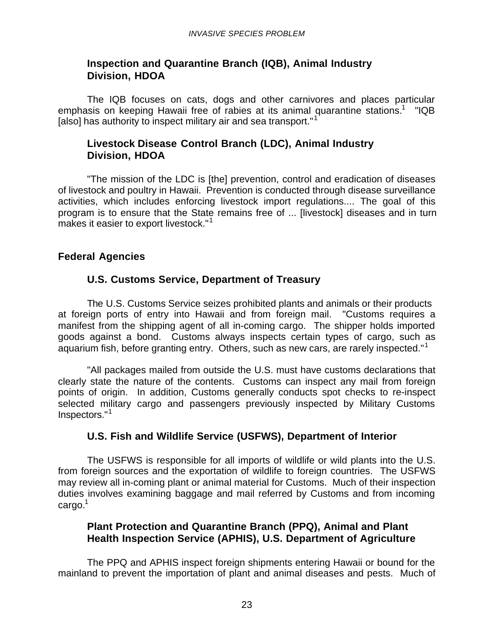### **Inspection and Quarantine Branch (IQB), Animal Industry Division, HDOA**

The IQB focuses on cats, dogs and other carnivores and places particular emphasis on keeping Hawaii free of rabies at its animal quarantine stations.<sup>1</sup> "IQB [also] has authority to inspect military air and sea transport."<sup>1</sup>

### **Livestock Disease Control Branch (LDC), Animal Industry Division, HDOA**

"The mission of the LDC is [the] prevention, control and eradication of diseases of livestock and poultry in Hawaii. Prevention is conducted through disease surveillance activities, which includes enforcing livestock import regulations.... The goal of this program is to ensure that the State remains free of ... [livestock] diseases and in turn makes it easier to export livestock."<sup>1</sup>

### **Federal Agencies**

### **U.S. Customs Service, Department of Treasury**

The U.S. Customs Service seizes prohibited plants and animals or their products at foreign ports of entry into Hawaii and from foreign mail. "Customs requires a manifest from the shipping agent of all in-coming cargo. The shipper holds imported goods against a bond. Customs always inspects certain types of cargo, such as aguarium fish, before granting entry. Others, such as new cars, are rarely inspected."<sup>1</sup>

"All packages mailed from outside the U.S. must have customs declarations that clearly state the nature of the contents. Customs can inspect any mail from foreign points of origin. In addition, Customs generally conducts spot checks to re-inspect selected military cargo and passengers previously inspected by Military Customs Inspectors."<sup>1</sup>

### **U.S. Fish and Wildlife Service (USFWS), Department of Interior**

The USFWS is responsible for all imports of wildlife or wild plants into the U.S. from foreign sources and the exportation of wildlife to foreign countries. The USFWS may review all in-coming plant or animal material for Customs. Much of their inspection duties involves examining baggage and mail referred by Customs and from incoming  $c \text{argo.}^1$ 

### **Plant Protection and Quarantine Branch (PPQ), Animal and Plant Health Inspection Service (APHIS), U.S. Department of Agriculture**

The PPQ and APHIS inspect foreign shipments entering Hawaii or bound for the mainland to prevent the importation of plant and animal diseases and pests. Much of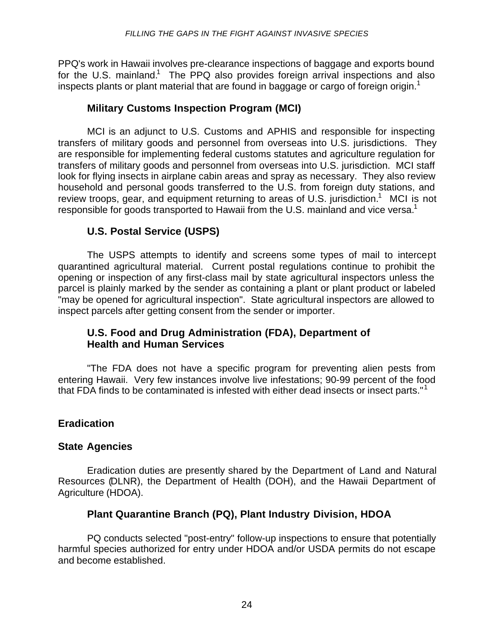PPQ's work in Hawaii involves pre-clearance inspections of baggage and exports bound for the U.S. mainland.<sup>1</sup> The PPQ also provides foreign arrival inspections and also inspects plants or plant material that are found in baggage or cargo of foreign origin.<sup>1</sup>

### **Military Customs Inspection Program (MCI)**

MCI is an adjunct to U.S. Customs and APHIS and responsible for inspecting transfers of military goods and personnel from overseas into U.S. jurisdictions. They are responsible for implementing federal customs statutes and agriculture regulation for transfers of military goods and personnel from overseas into U.S. jurisdiction. MCI staff look for flying insects in airplane cabin areas and spray as necessary. They also review household and personal goods transferred to the U.S. from foreign duty stations, and review troops, gear, and equipment returning to areas of U.S. jurisdiction.<sup>1</sup> MCI is not responsible for goods transported to Hawaii from the U.S. mainland and vice versa.<sup>1</sup>

### **U.S. Postal Service (USPS)**

The USPS attempts to identify and screens some types of mail to intercept quarantined agricultural material. Current postal regulations continue to prohibit the opening or inspection of any first-class mail by state agricultural inspectors unless the parcel is plainly marked by the sender as containing a plant or plant product or labeled "may be opened for agricultural inspection". State agricultural inspectors are allowed to inspect parcels after getting consent from the sender or importer.

### **U.S. Food and Drug Administration (FDA), Department of Health and Human Services**

"The FDA does not have a specific program for preventing alien pests from entering Hawaii. Very few instances involve live infestations; 90-99 percent of the food that FDA finds to be contaminated is infested with either dead insects or insect parts."<sup>1</sup>

### **Eradication**

### **State Agencies**

Eradication duties are presently shared by the Department of Land and Natural Resources (DLNR), the Department of Health (DOH), and the Hawaii Department of Agriculture (HDOA).

### **Plant Quarantine Branch (PQ), Plant Industry Division, HDOA**

PQ conducts selected "post-entry" follow-up inspections to ensure that potentially harmful species authorized for entry under HDOA and/or USDA permits do not escape and become established.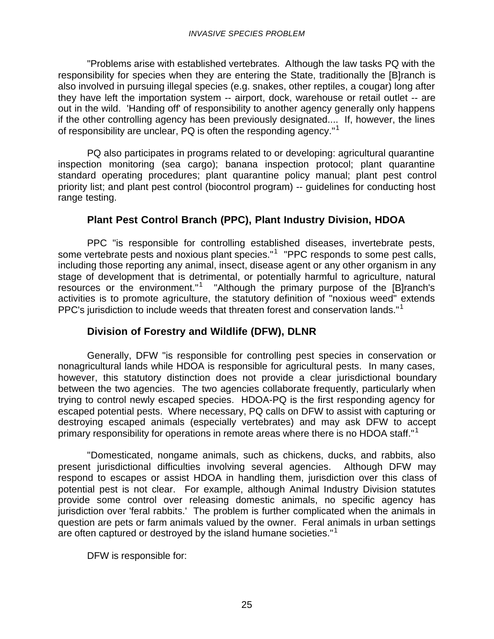"Problems arise with established vertebrates. Although the law tasks PQ with the responsibility for species when they are entering the State, traditionally the [B]ranch is also involved in pursuing illegal species (e.g. snakes, other reptiles, a cougar) long after they have left the importation system -- airport, dock, warehouse or retail outlet -- are out in the wild. 'Handing off' of responsibility to another agency generally only happens if the other controlling agency has been previously designated.... If, however, the lines of responsibility are unclear, PQ is often the responding agency."<sup>1</sup>

PQ also participates in programs related to or developing: agricultural quarantine inspection monitoring (sea cargo); banana inspection protocol; plant quarantine standard operating procedures; plant quarantine policy manual; plant pest control priority list; and plant pest control (biocontrol program) -- guidelines for conducting host range testing.

### **Plant Pest Control Branch (PPC), Plant Industry Division, HDOA**

PPC "is responsible for controlling established diseases, invertebrate pests, some vertebrate pests and noxious plant species."<sup>1</sup> "PPC responds to some pest calls, including those reporting any animal, insect, disease agent or any other organism in any stage of development that is detrimental, or potentially harmful to agriculture, natural resources or the environment."<sup>1</sup> "Although the primary purpose of the [B]ranch's activities is to promote agriculture, the statutory definition of "noxious weed" extends PPC's jurisdiction to include weeds that threaten forest and conservation lands."<sup>1</sup>

### **Division of Forestry and Wildlife (DFW), DLNR**

Generally, DFW "is responsible for controlling pest species in conservation or nonagricultural lands while HDOA is responsible for agricultural pests. In many cases, however, this statutory distinction does not provide a clear jurisdictional boundary between the two agencies. The two agencies collaborate frequently, particularly when trying to control newly escaped species. HDOA-PQ is the first responding agency for escaped potential pests. Where necessary, PQ calls on DFW to assist with capturing or destroying escaped animals (especially vertebrates) and may ask DFW to accept primary responsibility for operations in remote areas where there is no HDOA staff."<sup>1</sup>

"Domesticated, nongame animals, such as chickens, ducks, and rabbits, also present jurisdictional difficulties involving several agencies. Although DFW may respond to escapes or assist HDOA in handling them, jurisdiction over this class of potential pest is not clear. For example, although Animal Industry Division statutes provide some control over releasing domestic animals, no specific agency has jurisdiction over 'feral rabbits.' The problem is further complicated when the animals in question are pets or farm animals valued by the owner. Feral animals in urban settings are often captured or destroyed by the island humane societies."<sup>1</sup>

DFW is responsible for: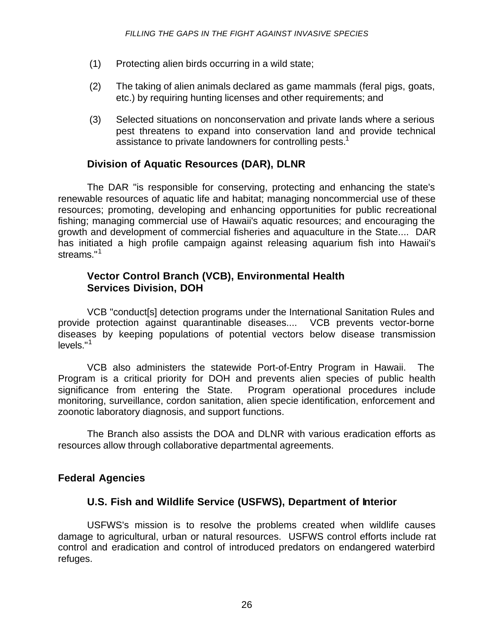- (1) Protecting alien birds occurring in a wild state;
- (2) The taking of alien animals declared as game mammals (feral pigs, goats, etc.) by requiring hunting licenses and other requirements; and
- (3) Selected situations on nonconservation and private lands where a serious pest threatens to expand into conservation land and provide technical assistance to private landowners for controlling pests.<sup>1</sup>

### **Division of Aquatic Resources (DAR), DLNR**

The DAR "is responsible for conserving, protecting and enhancing the state's renewable resources of aquatic life and habitat; managing noncommercial use of these resources; promoting, developing and enhancing opportunities for public recreational fishing; managing commercial use of Hawaii's aquatic resources; and encouraging the growth and development of commercial fisheries and aquaculture in the State.... DAR has initiated a high profile campaign against releasing aquarium fish into Hawaii's streams."<sup>1</sup>

### **Vector Control Branch (VCB), Environmental Health Services Division, DOH**

VCB "conduct[s] detection programs under the International Sanitation Rules and provide protection against quarantinable diseases.... VCB prevents vector-borne diseases by keeping populations of potential vectors below disease transmission levels."<sup>1</sup>

VCB also administers the statewide Port-of-Entry Program in Hawaii. The Program is a critical priority for DOH and prevents alien species of public health significance from entering the State. Program operational procedures include monitoring, surveillance, cordon sanitation, alien specie identification, enforcement and zoonotic laboratory diagnosis, and support functions.

The Branch also assists the DOA and DLNR with various eradication efforts as resources allow through collaborative departmental agreements.

### **Federal Agencies**

### **U.S. Fish and Wildlife Service (USFWS), Department of Interior**

USFWS's mission is to resolve the problems created when wildlife causes damage to agricultural, urban or natural resources. USFWS control efforts include rat control and eradication and control of introduced predators on endangered waterbird refuges.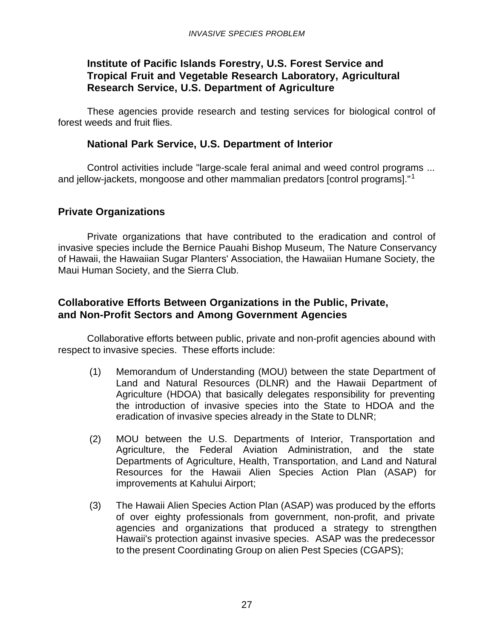### **Institute of Pacific Islands Forestry, U.S. Forest Service and Tropical Fruit and Vegetable Research Laboratory, Agricultural Research Service, U.S. Department of Agriculture**

These agencies provide research and testing services for biological control of forest weeds and fruit flies.

### **National Park Service, U.S. Department of Interior**

Control activities include "large-scale feral animal and weed control programs ... and jellow-jackets, mongoose and other mammalian predators [control programs]."<sup>1</sup>

### **Private Organizations**

Private organizations that have contributed to the eradication and control of invasive species include the Bernice Pauahi Bishop Museum, The Nature Conservancy of Hawaii, the Hawaiian Sugar Planters' Association, the Hawaiian Humane Society, the Maui Human Society, and the Sierra Club.

### **Collaborative Efforts Between Organizations in the Public, Private, and Non-Profit Sectors and Among Government Agencies**

Collaborative efforts between public, private and non-profit agencies abound with respect to invasive species. These efforts include:

- (1) Memorandum of Understanding (MOU) between the state Department of Land and Natural Resources (DLNR) and the Hawaii Department of Agriculture (HDOA) that basically delegates responsibility for preventing the introduction of invasive species into the State to HDOA and the eradication of invasive species already in the State to DLNR;
- (2) MOU between the U.S. Departments of Interior, Transportation and Agriculture, the Federal Aviation Administration, and the state Departments of Agriculture, Health, Transportation, and Land and Natural Resources for the Hawaii Alien Species Action Plan (ASAP) for improvements at Kahului Airport;
- (3) The Hawaii Alien Species Action Plan (ASAP) was produced by the efforts of over eighty professionals from government, non-profit, and private agencies and organizations that produced a strategy to strengthen Hawaii's protection against invasive species. ASAP was the predecessor to the present Coordinating Group on alien Pest Species (CGAPS);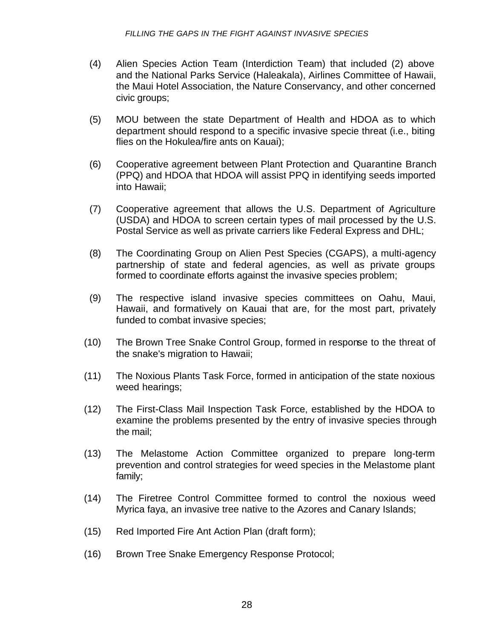- (4) Alien Species Action Team (Interdiction Team) that included (2) above and the National Parks Service (Haleakala), Airlines Committee of Hawaii, the Maui Hotel Association, the Nature Conservancy, and other concerned civic groups;
- (5) MOU between the state Department of Health and HDOA as to which department should respond to a specific invasive specie threat (i.e., biting flies on the Hokulea/fire ants on Kauai);
- (6) Cooperative agreement between Plant Protection and Quarantine Branch (PPQ) and HDOA that HDOA will assist PPQ in identifying seeds imported into Hawaii;
- (7) Cooperative agreement that allows the U.S. Department of Agriculture (USDA) and HDOA to screen certain types of mail processed by the U.S. Postal Service as well as private carriers like Federal Express and DHL;
- (8) The Coordinating Group on Alien Pest Species (CGAPS), a multi-agency partnership of state and federal agencies, as well as private groups formed to coordinate efforts against the invasive species problem;
- (9) The respective island invasive species committees on Oahu, Maui, Hawaii, and formatively on Kauai that are, for the most part, privately funded to combat invasive species;
- (10) The Brown Tree Snake Control Group, formed in response to the threat of the snake's migration to Hawaii;
- (11) The Noxious Plants Task Force, formed in anticipation of the state noxious weed hearings;
- (12) The First-Class Mail Inspection Task Force, established by the HDOA to examine the problems presented by the entry of invasive species through the mail;
- (13) The Melastome Action Committee organized to prepare long-term prevention and control strategies for weed species in the Melastome plant family;
- (14) The Firetree Control Committee formed to control the noxious weed Myrica faya, an invasive tree native to the Azores and Canary Islands;
- (15) Red Imported Fire Ant Action Plan (draft form);
- (16) Brown Tree Snake Emergency Response Protocol;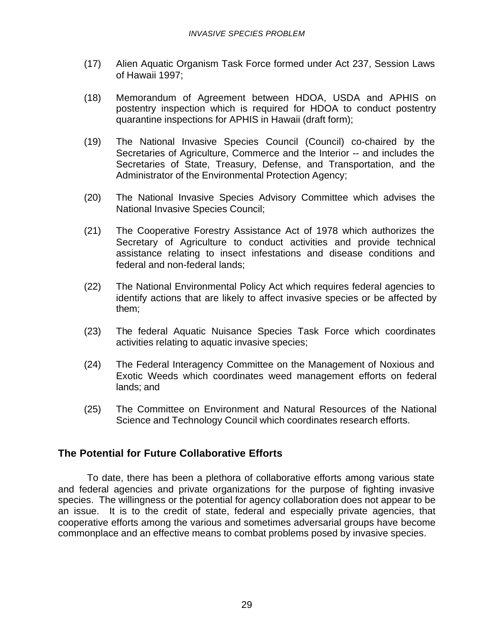- (17) Alien Aquatic Organism Task Force formed under Act 237, Session Laws of Hawaii 1997;
- (18) Memorandum of Agreement between HDOA, USDA and APHIS on postentry inspection which is required for HDOA to conduct postentry quarantine inspections for APHIS in Hawaii (draft form);
- (19) The National Invasive Species Council (Council) co-chaired by the Secretaries of Agriculture, Commerce and the Interior -- and includes the Secretaries of State, Treasury, Defense, and Transportation, and the Administrator of the Environmental Protection Agency;
- (20) The National Invasive Species Advisory Committee which advises the National Invasive Species Council;
- (21) The Cooperative Forestry Assistance Act of 1978 which authorizes the Secretary of Agriculture to conduct activities and provide technical assistance relating to insect infestations and disease conditions and federal and non-federal lands;
- (22) The National Environmental Policy Act which requires federal agencies to identify actions that are likely to affect invasive species or be affected by them;
- (23) The federal Aquatic Nuisance Species Task Force which coordinates activities relating to aquatic invasive species;
- (24) The Federal Interagency Committee on the Management of Noxious and Exotic Weeds which coordinates weed management efforts on federal lands; and
- (25) The Committee on Environment and Natural Resources of the National Science and Technology Council which coordinates research efforts.

#### **The Potential for Future Collaborative Efforts**

To date, there has been a plethora of collaborative efforts among various state and federal agencies and private organizations for the purpose of fighting invasive species. The willingness or the potential for agency collaboration does not appear to be an issue. It is to the credit of state, federal and especially private agencies, that cooperative efforts among the various and sometimes adversarial groups have become commonplace and an effective means to combat problems posed by invasive species.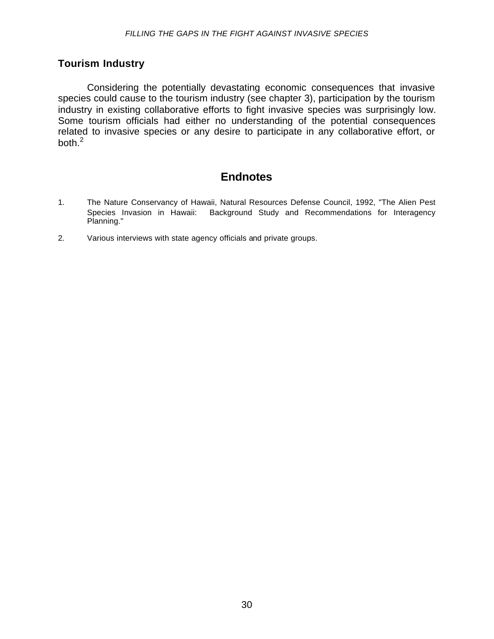#### **Tourism Industry**

Considering the potentially devastating economic consequences that invasive species could cause to the tourism industry (see chapter 3), participation by the tourism industry in existing collaborative efforts to fight invasive species was surprisingly low. Some tourism officials had either no understanding of the potential consequences related to invasive species or any desire to participate in any collaborative effort, or both. $^2$ 

# **Endnotes**

- 1. The Nature Conservancy of Hawaii, Natural Resources Defense Council, 1992, "The Alien Pest Species Invasion in Hawaii: Background Study and Recommendations for Interagency Planning."
- 2. Various interviews with state agency officials and private groups.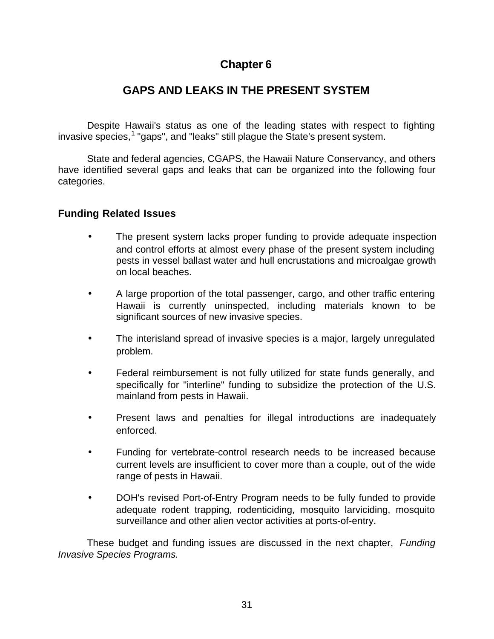# **Chapter 6**

# **GAPS AND LEAKS IN THE PRESENT SYSTEM**

Despite Hawaii's status as one of the leading states with respect to fighting invasive species,<sup>1</sup> "gaps", and "leaks" still plague the State's present system.

State and federal agencies, CGAPS, the Hawaii Nature Conservancy, and others have identified several gaps and leaks that can be organized into the following four categories.

#### **Funding Related Issues**

- The present system lacks proper funding to provide adequate inspection and control efforts at almost every phase of the present system including pests in vessel ballast water and hull encrustations and microalgae growth on local beaches.
- A large proportion of the total passenger, cargo, and other traffic entering Hawaii is currently uninspected, including materials known to be significant sources of new invasive species.
- The interisland spread of invasive species is a major, largely unregulated problem.
- Federal reimbursement is not fully utilized for state funds generally, and specifically for "interline" funding to subsidize the protection of the U.S. mainland from pests in Hawaii.
- Present laws and penalties for illegal introductions are inadequately enforced.
- Funding for vertebrate-control research needs to be increased because current levels are insufficient to cover more than a couple, out of the wide range of pests in Hawaii.
- DOH's revised Port-of-Entry Program needs to be fully funded to provide adequate rodent trapping, rodenticiding, mosquito larviciding, mosquito surveillance and other alien vector activities at ports-of-entry.

These budget and funding issues are discussed in the next chapter, *Funding Invasive Species Programs.*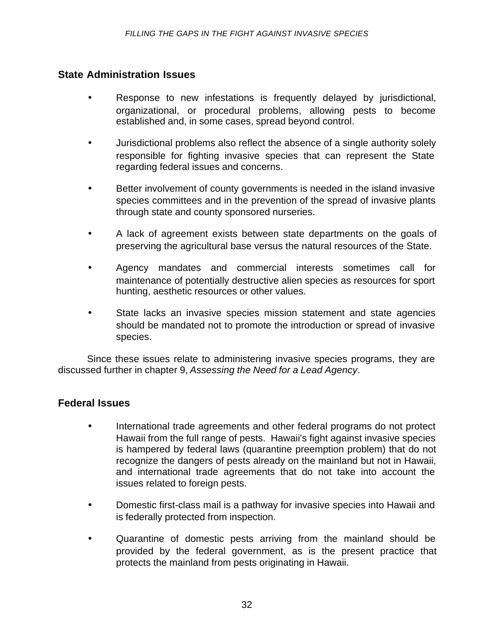#### **State Administration Issues**

- Response to new infestations is frequently delayed by jurisdictional, organizational, or procedural problems, allowing pests to become established and, in some cases, spread beyond control.
- Jurisdictional problems also reflect the absence of a single authority solely responsible for fighting invasive species that can represent the State regarding federal issues and concerns.
- Better involvement of county governments is needed in the island invasive species committees and in the prevention of the spread of invasive plants through state and county sponsored nurseries.
- A lack of agreement exists between state departments on the goals of preserving the agricultural base versus the natural resources of the State.
- Agency mandates and commercial interests sometimes call for maintenance of potentially destructive alien species as resources for sport hunting, aesthetic resources or other values.
- State lacks an invasive species mission statement and state agencies should be mandated not to promote the introduction or spread of invasive species.

Since these issues relate to administering invasive species programs, they are discussed further in chapter 9, *Assessing the Need for a Lead Agency*.

#### **Federal Issues**

- International trade agreements and other federal programs do not protect Hawaii from the full range of pests. Hawaii's fight against invasive species is hampered by federal laws (quarantine preemption problem) that do not recognize the dangers of pests already on the mainland but not in Hawaii, and international trade agreements that do not take into account the issues related to foreign pests.
- Domestic first-class mail is a pathway for invasive species into Hawaii and is federally protected from inspection.
- Quarantine of domestic pests arriving from the mainland should be provided by the federal government, as is the present practice that protects the mainland from pests originating in Hawaii.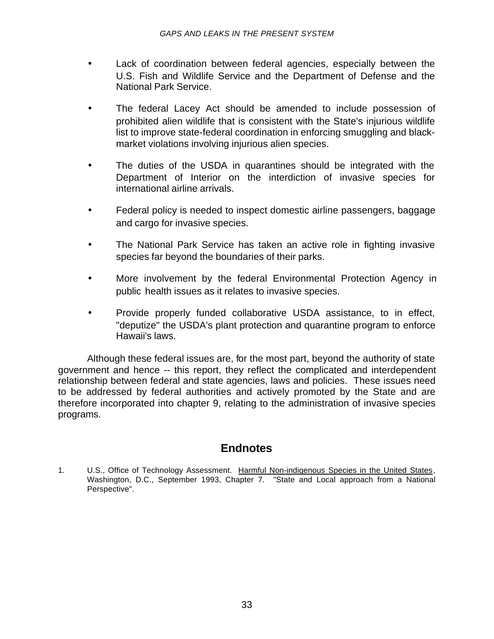- Lack of coordination between federal agencies, especially between the U.S. Fish and Wildlife Service and the Department of Defense and the National Park Service.
- The federal Lacey Act should be amended to include possession of prohibited alien wildlife that is consistent with the State's injurious wildlife list to improve state-federal coordination in enforcing smuggling and blackmarket violations involving injurious alien species.
- The duties of the USDA in quarantines should be integrated with the Department of Interior on the interdiction of invasive species for international airline arrivals.
- Federal policy is needed to inspect domestic airline passengers, baggage and cargo for invasive species.
- The National Park Service has taken an active role in fighting invasive species far beyond the boundaries of their parks.
- More involvement by the federal Environmental Protection Agency in public health issues as it relates to invasive species.
- Provide properly funded collaborative USDA assistance, to in effect, "deputize" the USDA's plant protection and quarantine program to enforce Hawaii's laws.

Although these federal issues are, for the most part, beyond the authority of state government and hence -- this report, they reflect the complicated and interdependent relationship between federal and state agencies, laws and policies. These issues need to be addressed by federal authorities and actively promoted by the State and are therefore incorporated into chapter 9, relating to the administration of invasive species programs.

# **Endnotes**

1. U.S., Office of Technology Assessment. Harmful Non-indigenous Species in the United States, Washington, D.C., September 1993, Chapter 7. "State and Local approach from a National Perspective".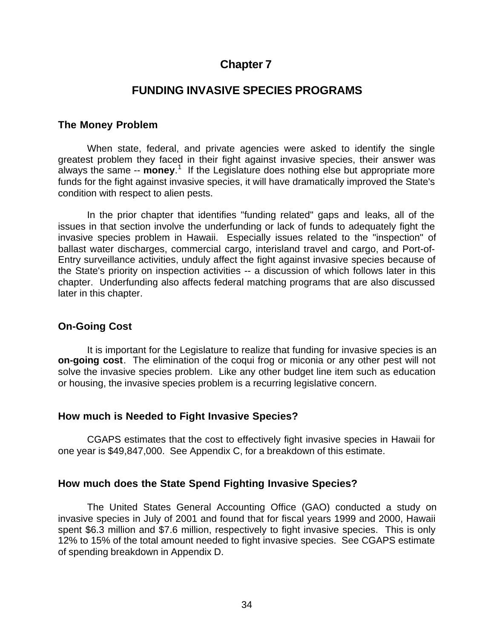# **Chapter 7**

# **FUNDING INVASIVE SPECIES PROGRAMS**

#### **The Money Problem**

When state, federal, and private agencies were asked to identify the single greatest problem they faced in their fight against invasive species, their answer was always the same -- **money**. 1 If the Legislature does nothing else but appropriate more funds for the fight against invasive species, it will have dramatically improved the State's condition with respect to alien pests.

In the prior chapter that identifies "funding related" gaps and leaks, all of the issues in that section involve the underfunding or lack of funds to adequately fight the invasive species problem in Hawaii. Especially issues related to the "inspection" of ballast water discharges, commercial cargo, interisland travel and cargo, and Port-of-Entry surveillance activities, unduly affect the fight against invasive species because of the State's priority on inspection activities -- a discussion of which follows later in this chapter. Underfunding also affects federal matching programs that are also discussed later in this chapter.

#### **On-Going Cost**

It is important for the Legislature to realize that funding for invasive species is an **on-going cost**. The elimination of the coqui frog or miconia or any other pest will not solve the invasive species problem. Like any other budget line item such as education or housing, the invasive species problem is a recurring legislative concern.

#### **How much is Needed to Fight Invasive Species?**

CGAPS estimates that the cost to effectively fight invasive species in Hawaii for one year is \$49,847,000. See Appendix C, for a breakdown of this estimate.

#### **How much does the State Spend Fighting Invasive Species?**

The United States General Accounting Office (GAO) conducted a study on invasive species in July of 2001 and found that for fiscal years 1999 and 2000, Hawaii spent \$6.3 million and \$7.6 million, respectively to fight invasive species. This is only 12% to 15% of the total amount needed to fight invasive species. See CGAPS estimate of spending breakdown in Appendix D.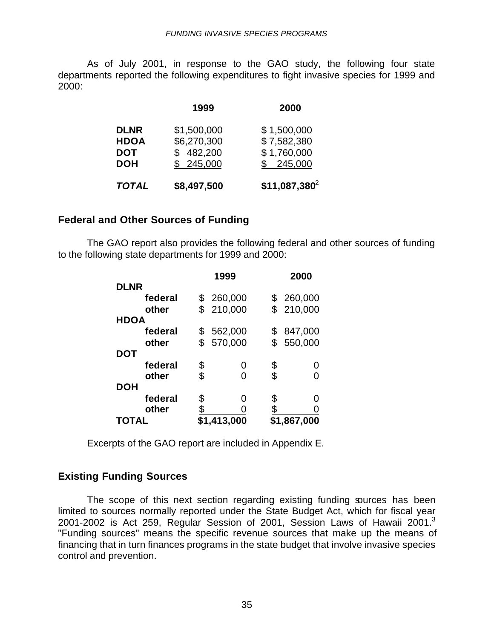As of July 2001, in response to the GAO study, the following four state departments reported the following expenditures to fight invasive species for 1999 and 2000:

|              | 1999        | 2000            |
|--------------|-------------|-----------------|
| <b>DLNR</b>  | \$1,500,000 | \$1,500,000     |
| <b>HDOA</b>  | \$6,270,300 | \$7,582,380     |
| <b>DOT</b>   | \$482,200   | \$1,760,000     |
| <b>DOH</b>   | \$245,000   | \$245,000       |
| <b>TOTAL</b> | \$8,497,500 | $$11,087,380^2$ |

#### **Federal and Other Sources of Funding**

The GAO report also provides the following federal and other sources of funding to the following state departments for 1999 and 2000:

|              |           | 1999        |    | 2000        |  |
|--------------|-----------|-------------|----|-------------|--|
| <b>DLNR</b>  |           |             |    |             |  |
| federal      | \$        | 260,000     |    | 260,000     |  |
| other        |           | \$210,000   |    | \$210,000   |  |
| <b>HDOA</b>  |           |             |    |             |  |
| federal      | \$        | 562,000     | \$ | 847,000     |  |
| other        | \$        | 570,000     | \$ | 550,000     |  |
| DOT          |           |             |    |             |  |
| federal      | \$        | Ω           | \$ | 0           |  |
| other        | \$        | ∩           | \$ |             |  |
| <b>DOH</b>   |           |             |    |             |  |
| federal      | \$        | ∩           | \$ | O           |  |
| other        | <u>\$</u> |             | \$ |             |  |
| <b>TOTAL</b> |           | \$1,413,000 |    | \$1,867,000 |  |

Excerpts of the GAO report are included in Appendix E.

#### **Existing Funding Sources**

The scope of this next section regarding existing funding sources has been limited to sources normally reported under the State Budget Act, which for fiscal year 2001-2002 is Act 259, Regular Session of 2001, Session Laws of Hawaii 2001.<sup>3</sup> "Funding sources" means the specific revenue sources that make up the means of financing that in turn finances programs in the state budget that involve invasive species control and prevention.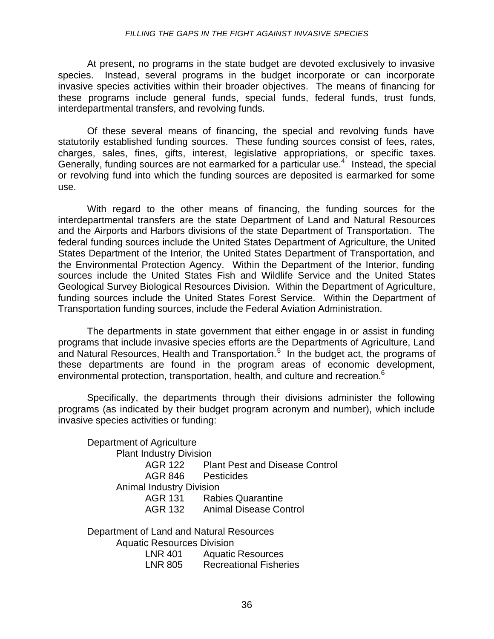#### *FILLING THE GAPS IN THE FIGHT AGAINST INVASIVE SPECIES*

At present, no programs in the state budget are devoted exclusively to invasive species. Instead, several programs in the budget incorporate or can incorporate invasive species activities within their broader objectives. The means of financing for these programs include general funds, special funds, federal funds, trust funds, interdepartmental transfers, and revolving funds.

Of these several means of financing, the special and revolving funds have statutorily established funding sources. These funding sources consist of fees, rates, charges, sales, fines, gifts, interest, legislative appropriations, or specific taxes. Generally, funding sources are not earmarked for a particular use.<sup>4</sup> Instead, the special or revolving fund into which the funding sources are deposited is earmarked for some use.

With regard to the other means of financing, the funding sources for the interdepartmental transfers are the state Department of Land and Natural Resources and the Airports and Harbors divisions of the state Department of Transportation. The federal funding sources include the United States Department of Agriculture, the United States Department of the Interior, the United States Department of Transportation, and the Environmental Protection Agency. Within the Department of the Interior, funding sources include the United States Fish and Wildlife Service and the United States Geological Survey Biological Resources Division. Within the Department of Agriculture, funding sources include the United States Forest Service. Within the Department of Transportation funding sources, include the Federal Aviation Administration.

The departments in state government that either engage in or assist in funding programs that include invasive species efforts are the Departments of Agriculture, Land and Natural Resources, Health and Transportation.<sup>5</sup> In the budget act, the programs of these departments are found in the program areas of economic development, environmental protection, transportation, health, and culture and recreation.<sup>6</sup>

Specifically, the departments through their divisions administer the following programs (as indicated by their budget program acronym and number), which include invasive species activities or funding:

Department of Agriculture Plant Industry Division AGR 122 Plant Pest and Disease Control AGR 846 Pesticides Animal Industry Division AGR 131 Rabies Quarantine AGR 132 Animal Disease Control

Department of Land and Natural Resources Aquatic Resources Division LNR 401 Aquatic Resources LNR 805 Recreational Fisheries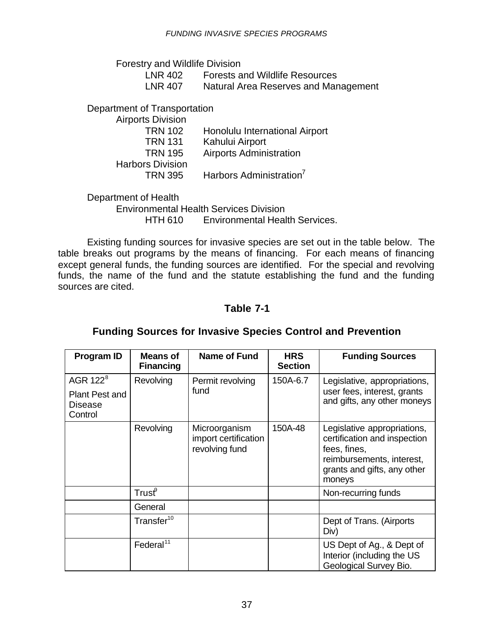Forestry and Wildlife Division

| LNR 402        | <b>Forests and Wildlife Resources</b> |
|----------------|---------------------------------------|
| <b>LNR 407</b> | Natural Area Reserves and Management  |

Department of Transportation

| <b>Airports Division</b> |                                     |
|--------------------------|-------------------------------------|
| <b>TRN 102</b>           | Honolulu International Airport      |
| <b>TRN 131</b>           | Kahului Airport                     |
| <b>TRN 195</b>           | <b>Airports Administration</b>      |
| <b>Harbors Division</b>  |                                     |
| <b>TRN 395</b>           | Harbors Administration <sup>7</sup> |
|                          |                                     |

Department of Health

Environmental Health Services Division HTH 610 Environmental Health Services.

Existing funding sources for invasive species are set out in the table below. The table breaks out programs by the means of financing. For each means of financing except general funds, the funding sources are identified. For the special and revolving funds, the name of the fund and the statute establishing the fund and the funding sources are cited.

#### **Table 7-1**

# **Funding Sources for Invasive Species Control and Prevention**

| <b>Program ID</b>                                  | <b>Means of</b><br><b>Financing</b> | <b>Name of Fund</b>                                     | <b>HRS</b><br><b>Section</b> | <b>Funding Sources</b>                                                                                                                            |
|----------------------------------------------------|-------------------------------------|---------------------------------------------------------|------------------------------|---------------------------------------------------------------------------------------------------------------------------------------------------|
| AGR 122 <sup>8</sup>                               | Revolving                           | Permit revolving                                        | 150A-6.7                     | Legislative, appropriations,                                                                                                                      |
| <b>Plant Pest and</b><br><b>Disease</b><br>Control |                                     | fund                                                    |                              | user fees, interest, grants<br>and gifts, any other moneys                                                                                        |
|                                                    | Revolving                           | Microorganism<br>import certification<br>revolving fund | 150A-48                      | Legislative appropriations,<br>certification and inspection<br>fees, fines,<br>reimbursements, interest,<br>grants and gifts, any other<br>moneys |
|                                                    | Trust $^\circ$                      |                                                         |                              | Non-recurring funds                                                                                                                               |
|                                                    | General                             |                                                         |                              |                                                                                                                                                   |
|                                                    | Transfer <sup>10</sup>              |                                                         |                              | Dept of Trans. (Airports<br>Div)                                                                                                                  |
|                                                    | Federal <sup>11</sup>               |                                                         |                              | US Dept of Ag., & Dept of<br>Interior (including the US<br>Geological Survey Bio.                                                                 |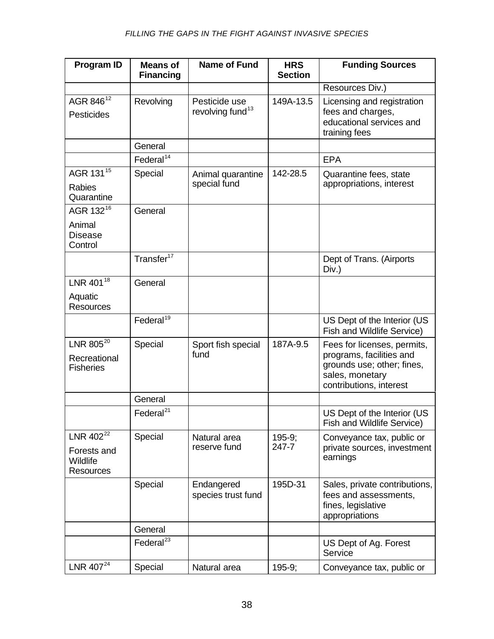| <b>Program ID</b>                                                    | <b>Means of</b><br><b>Financing</b> | <b>Name of Fund</b>                           | <b>HRS</b><br><b>Section</b> | <b>Funding Sources</b>                                                                                                              |
|----------------------------------------------------------------------|-------------------------------------|-----------------------------------------------|------------------------------|-------------------------------------------------------------------------------------------------------------------------------------|
|                                                                      |                                     |                                               |                              | Resources Div.)                                                                                                                     |
| AGR 846 <sup>12</sup><br><b>Pesticides</b>                           | Revolving                           | Pesticide use<br>revolving fund <sup>13</sup> | 149A-13.5                    | Licensing and registration<br>fees and charges,<br>educational services and<br>training fees                                        |
|                                                                      | General                             |                                               |                              |                                                                                                                                     |
|                                                                      | Federal <sup>14</sup>               |                                               |                              | <b>EPA</b>                                                                                                                          |
| AGR 131 <sup>15</sup>                                                | Special                             | Animal quarantine                             | 142-28.5                     | Quarantine fees, state                                                                                                              |
| <b>Rabies</b><br>Quarantine                                          |                                     | special fund                                  |                              | appropriations, interest                                                                                                            |
| AGR 132 <sup>16</sup>                                                | General                             |                                               |                              |                                                                                                                                     |
| Animal<br><b>Disease</b><br>Control                                  |                                     |                                               |                              |                                                                                                                                     |
|                                                                      | Transfer <sup>17</sup>              |                                               |                              | Dept of Trans. (Airports<br>Div.)                                                                                                   |
| LNR 401 <sup>18</sup>                                                | General                             |                                               |                              |                                                                                                                                     |
| Aquatic<br><b>Resources</b>                                          |                                     |                                               |                              |                                                                                                                                     |
|                                                                      | Federal <sup>19</sup>               |                                               |                              | US Dept of the Interior (US<br>Fish and Wildlife Service)                                                                           |
| LNR 805 <sup>20</sup><br>Recreational<br><b>Fisheries</b>            | Special                             | Sport fish special<br>fund                    | 187A-9.5                     | Fees for licenses, permits,<br>programs, facilities and<br>grounds use; other; fines,<br>sales, monetary<br>contributions, interest |
|                                                                      | General                             |                                               |                              |                                                                                                                                     |
|                                                                      | Federal $^{21}$                     |                                               |                              | US Dept of the Interior (US<br>Fish and Wildlife Service)                                                                           |
| LNR 402 <sup>22</sup><br>Forests and<br>Wildlife<br><b>Resources</b> | Special                             | Natural area<br>reserve fund                  | $195-9;$<br>247-7            | Conveyance tax, public or<br>private sources, investment<br>earnings                                                                |
|                                                                      | Special                             | Endangered<br>species trust fund              | 195D-31                      | Sales, private contributions,<br>fees and assessments,<br>fines, legislative<br>appropriations                                      |
|                                                                      | General                             |                                               |                              |                                                                                                                                     |
|                                                                      | Federal <sup>23</sup>               |                                               |                              | US Dept of Ag. Forest<br>Service                                                                                                    |
| LNR $407^{24}$                                                       | Special                             | Natural area                                  | $195-9;$                     | Conveyance tax, public or                                                                                                           |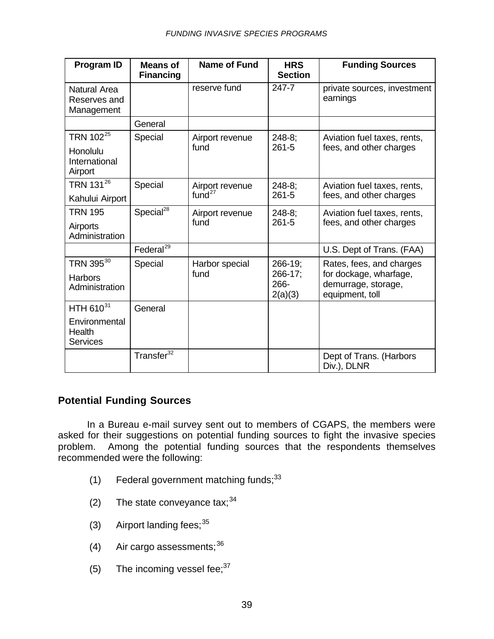| Program ID                                        | <b>Means of</b><br><b>Financing</b> | <b>Name of Fund</b> | <b>HRS</b><br><b>Section</b> | <b>Funding Sources</b>                                           |
|---------------------------------------------------|-------------------------------------|---------------------|------------------------------|------------------------------------------------------------------|
| Natural Area<br>Reserves and<br>Management        |                                     | reserve fund        | 247-7                        | private sources, investment<br>earnings                          |
|                                                   | General                             |                     |                              |                                                                  |
| TRN 102 <sup>25</sup>                             | Special                             | Airport revenue     | $248 - 8$                    | Aviation fuel taxes, rents,                                      |
| Honolulu<br>International<br>Airport              |                                     | fund                | $261 - 5$                    | fees, and other charges                                          |
| TRN 13126                                         | Special                             | Airport revenue     | $248-8;$                     | Aviation fuel taxes, rents,                                      |
| Kahului Airport                                   |                                     | fund <sup>27</sup>  | $261 - 5$                    | fees, and other charges                                          |
| <b>TRN 195</b>                                    | Special <sup>28</sup>               | Airport revenue     | $248-8$ ;                    | Aviation fuel taxes, rents,                                      |
| Airports<br>Administration                        |                                     | fund                | $261 - 5$                    | fees, and other charges                                          |
|                                                   | Federal <sup>29</sup>               |                     |                              | U.S. Dept of Trans. (FAA)                                        |
| TRN 395 <sup>30</sup>                             | Special                             | Harbor special      | 266-19;                      | Rates, fees, and charges                                         |
| <b>Harbors</b><br>Administration                  |                                     | fund                | 266-17;<br>266-<br>2(a)(3)   | for dockage, wharfage,<br>demurrage, storage,<br>equipment, toll |
| HTH 610 <sup>31</sup>                             | General                             |                     |                              |                                                                  |
| Environmental<br><b>Health</b><br><b>Services</b> |                                     |                     |                              |                                                                  |
|                                                   | Transfer <sup>32</sup>              |                     |                              | Dept of Trans. (Harbors<br>Div.), DLNR                           |

### **Potential Funding Sources**

In a Bureau e-mail survey sent out to members of CGAPS, the members were asked for their suggestions on potential funding sources to fight the invasive species problem. Among the potential funding sources that the respondents themselves recommended were the following:

- (1) Federal government matching funds;  $33$
- (2) The state conveyance tax;  $34$
- (3) Airport landing fees;  $35$
- (4) Air cargo assessments;  $36$
- (5) The incoming vessel fee;  $37$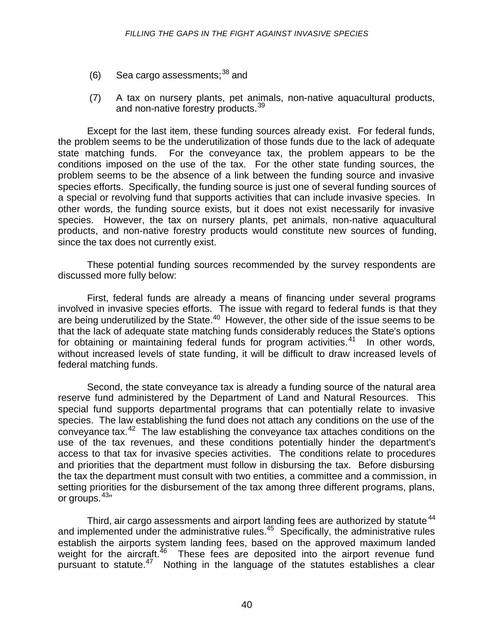- $(6)$  Sea cargo assessments;<sup>38</sup> and
- (7) A tax on nursery plants, pet animals, non-native aquacultural products, and non-native forestry products.<sup>39</sup>

Except for the last item, these funding sources already exist. For federal funds, the problem seems to be the underutilization of those funds due to the lack of adequate state matching funds. For the conveyance tax, the problem appears to be the conditions imposed on the use of the tax. For the other state funding sources, the problem seems to be the absence of a link between the funding source and invasive species efforts. Specifically, the funding source is just one of several funding sources of a special or revolving fund that supports activities that can include invasive species. In other words, the funding source exists, but it does not exist necessarily for invasive species. However, the tax on nursery plants, pet animals, non-native aquacultural products, and non-native forestry products would constitute new sources of funding, since the tax does not currently exist.

These potential funding sources recommended by the survey respondents are discussed more fully below:

First, federal funds are already a means of financing under several programs involved in invasive species efforts. The issue with regard to federal funds is that they are being underutilized by the State.<sup>40</sup> However, the other side of the issue seems to be that the lack of adequate state matching funds considerably reduces the State's options for obtaining or maintaining federal funds for program activities. $41$  In other words, without increased levels of state funding, it will be difficult to draw increased levels of federal matching funds.

Second, the state conveyance tax is already a funding source of the natural area reserve fund administered by the Department of Land and Natural Resources. This special fund supports departmental programs that can potentially relate to invasive species. The law establishing the fund does not attach any conditions on the use of the conveyance tax.<sup>42</sup> The law establishing the conveyance tax attaches conditions on the use of the tax revenues, and these conditions potentially hinder the department's access to that tax for invasive species activities. The conditions relate to procedures and priorities that the department must follow in disbursing the tax. Before disbursing the tax the department must consult with two entities, a committee and a commission, in setting priorities for the disbursement of the tax among three different programs, plans, or groups.  $43"$ 

Third, air cargo assessments and airport landing fees are authorized by statute<sup>44</sup> and implemented under the administrative rules.<sup>45</sup> Specifically, the administrative rules establish the airports system landing fees, based on the approved maximum landed weight for the aircraft. $46$  These fees are deposited into the airport revenue fund pursuant to statute.<sup>47</sup> Nothing in the language of the statutes establishes a clear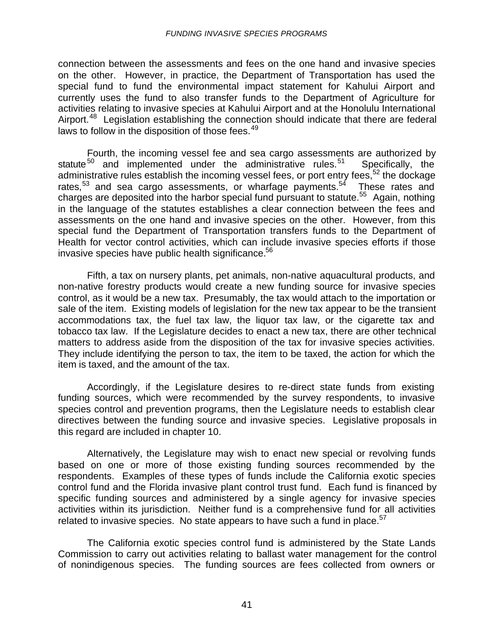connection between the assessments and fees on the one hand and invasive species on the other. However, in practice, the Department of Transportation has used the special fund to fund the environmental impact statement for Kahului Airport and currently uses the fund to also transfer funds to the Department of Agriculture for activities relating to invasive species at Kahului Airport and at the Honolulu International Airport.<sup>48</sup> Legislation establishing the connection should indicate that there are federal laws to follow in the disposition of those fees.<sup>49</sup>

Fourth, the incoming vessel fee and sea cargo assessments are authorized by statute<sup>50</sup> and implemented under the administrative rules.<sup>51</sup> Specifically, the administrative rules establish the incoming vessel fees, or port entry fees,  $52$  the dockage rates, $53$  and sea cargo assessments, or wharfage payments. $54$  These rates and charges are deposited into the harbor special fund pursuant to statute.<sup>55</sup> Again, nothing in the language of the statutes establishes a clear connection between the fees and assessments on the one hand and invasive species on the other. However, from this special fund the Department of Transportation transfers funds to the Department of Health for vector control activities, which can include invasive species efforts if those invasive species have public health significance.<sup>56</sup>

Fifth, a tax on nursery plants, pet animals, non-native aquacultural products, and non-native forestry products would create a new funding source for invasive species control, as it would be a new tax. Presumably, the tax would attach to the importation or sale of the item. Existing models of legislation for the new tax appear to be the transient accommodations tax, the fuel tax law, the liquor tax law, or the cigarette tax and tobacco tax law. If the Legislature decides to enact a new tax, there are other technical matters to address aside from the disposition of the tax for invasive species activities. They include identifying the person to tax, the item to be taxed, the action for which the item is taxed, and the amount of the tax.

Accordingly, if the Legislature desires to re-direct state funds from existing funding sources, which were recommended by the survey respondents, to invasive species control and prevention programs, then the Legislature needs to establish clear directives between the funding source and invasive species. Legislative proposals in this regard are included in chapter 10.

Alternatively, the Legislature may wish to enact new special or revolving funds based on one or more of those existing funding sources recommended by the respondents. Examples of these types of funds include the California exotic species control fund and the Florida invasive plant control trust fund. Each fund is financed by specific funding sources and administered by a single agency for invasive species activities within its jurisdiction. Neither fund is a comprehensive fund for all activities related to invasive species. No state appears to have such a fund in place.<sup>57</sup>

The California exotic species control fund is administered by the State Lands Commission to carry out activities relating to ballast water management for the control of nonindigenous species. The funding sources are fees collected from owners or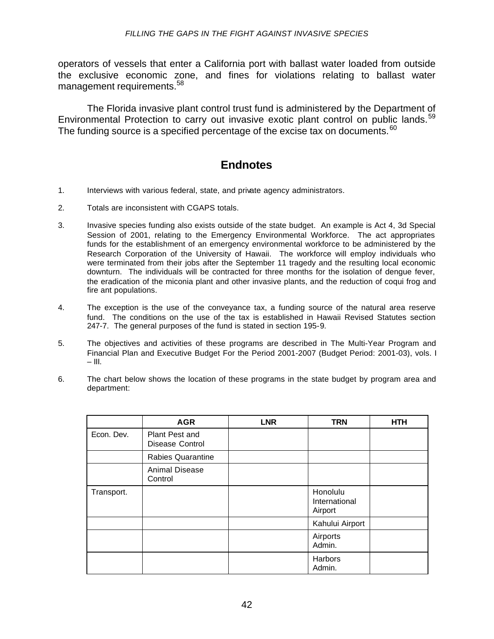operators of vessels that enter a California port with ballast water loaded from outside the exclusive economic zone, and fines for violations relating to ballast water management requirements.<sup>58</sup>

The Florida invasive plant control trust fund is administered by the Department of Environmental Protection to carry out invasive exotic plant control on public lands.<sup>59</sup> The funding source is a specified percentage of the excise tax on documents.<sup>60</sup>

# **Endnotes**

- 1. Interviews with various federal, state, and private agency administrators.
- 2. Totals are inconsistent with CGAPS totals.
- 3. Invasive species funding also exists outside of the state budget. An example is Act 4, 3d Special Session of 2001, relating to the Emergency Environmental Workforce. The act appropriates funds for the establishment of an emergency environmental workforce to be administered by the Research Corporation of the University of Hawaii. The workforce will employ individuals who were terminated from their jobs after the September 11 tragedy and the resulting local economic downturn. The individuals will be contracted for three months for the isolation of dengue fever, the eradication of the miconia plant and other invasive plants, and the reduction of coqui frog and fire ant populations.
- 4. The exception is the use of the conveyance tax, a funding source of the natural area reserve fund. The conditions on the use of the tax is established in Hawaii Revised Statutes section 247-7. The general purposes of the fund is stated in section 195-9.
- 5. The objectives and activities of these programs are described in The Multi-Year Program and Financial Plan and Executive Budget For the Period 2001-2007 (Budget Period: 2001-03), vols. I  $-$  III.
- 6. The chart below shows the location of these programs in the state budget by program area and department:

|            | <b>AGR</b>                        | <b>LNR</b> | <b>TRN</b>                           | <b>HTH</b> |
|------------|-----------------------------------|------------|--------------------------------------|------------|
| Econ. Dev. | Plant Pest and<br>Disease Control |            |                                      |            |
|            | <b>Rabies Quarantine</b>          |            |                                      |            |
|            | Animal Disease<br>Control         |            |                                      |            |
| Transport. |                                   |            | Honolulu<br>International<br>Airport |            |
|            |                                   |            | Kahului Airport                      |            |
|            |                                   |            | Airports<br>Admin.                   |            |
|            |                                   |            | Harbors<br>Admin.                    |            |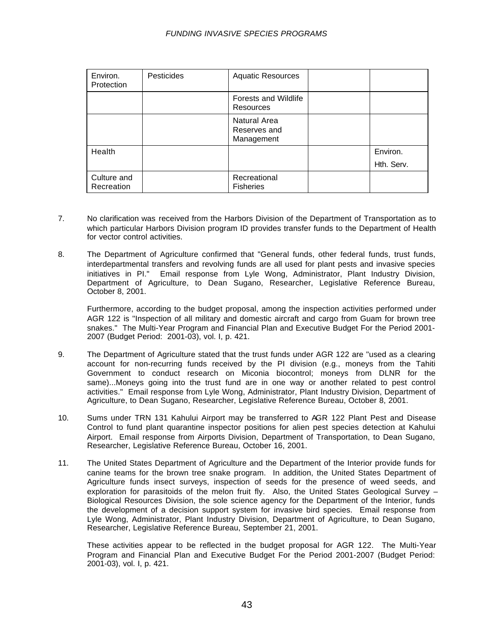#### *FUNDING INVASIVE SPECIES PROGRAMS*

| Environ.<br>Protection    | <b>Pesticides</b> | <b>Aquatic Resources</b>                          |            |
|---------------------------|-------------------|---------------------------------------------------|------------|
|                           |                   | Forests and Wildlife<br>Resources                 |            |
|                           |                   | <b>Natural Area</b><br>Reserves and<br>Management |            |
| Health                    |                   |                                                   | Environ.   |
|                           |                   |                                                   | Hth. Serv. |
| Culture and<br>Recreation |                   | Recreational<br><b>Fisheries</b>                  |            |

- 7. No clarification was received from the Harbors Division of the Department of Transportation as to which particular Harbors Division program ID provides transfer funds to the Department of Health for vector control activities.
- 8. The Department of Agriculture confirmed that "General funds, other federal funds, trust funds, interdepartmental transfers and revolving funds are all used for plant pests and invasive species initiatives in PI." Email response from Lyle Wong, Administrator, Plant Industry Division, Department of Agriculture, to Dean Sugano, Researcher, Legislative Reference Bureau, October 8, 2001.

Furthermore, according to the budget proposal, among the inspection activities performed under AGR 122 is "Inspection of all military and domestic aircraft and cargo from Guam for brown tree snakes." The Multi-Year Program and Financial Plan and Executive Budget For the Period 2001- 2007 (Budget Period: 2001-03), vol. I, p. 421.

- 9. The Department of Agriculture stated that the trust funds under AGR 122 are "used as a clearing account for non-recurring funds received by the PI division (e.g., moneys from the Tahiti Government to conduct research on Miconia biocontrol; moneys from DLNR for the same)...Moneys going into the trust fund are in one way or another related to pest control activities." Email response from Lyle Wong, Administrator, Plant Industry Division, Department of Agriculture, to Dean Sugano, Researcher, Legislative Reference Bureau, October 8, 2001.
- 10. Sums under TRN 131 Kahului Airport may be transferred to AGR 122 Plant Pest and Disease Control to fund plant quarantine inspector positions for alien pest species detection at Kahului Airport. Email response from Airports Division, Department of Transportation, to Dean Sugano, Researcher, Legislative Reference Bureau, October 16, 2001.
- 11. The United States Department of Agriculture and the Department of the Interior provide funds for canine teams for the brown tree snake program. In addition, the United States Department of Agriculture funds insect surveys, inspection of seeds for the presence of weed seeds, and exploration for parasitoids of the melon fruit fly. Also, the United States Geological Survey – Biological Resources Division, the sole science agency for the Department of the Interior, funds the development of a decision support system for invasive bird species. Email response from Lyle Wong, Administrator, Plant Industry Division, Department of Agriculture, to Dean Sugano, Researcher, Legislative Reference Bureau, September 21, 2001.

These activities appear to be reflected in the budget proposal for AGR 122. The Multi-Year Program and Financial Plan and Executive Budget For the Period 2001-2007 (Budget Period: 2001-03), vol. I, p. 421.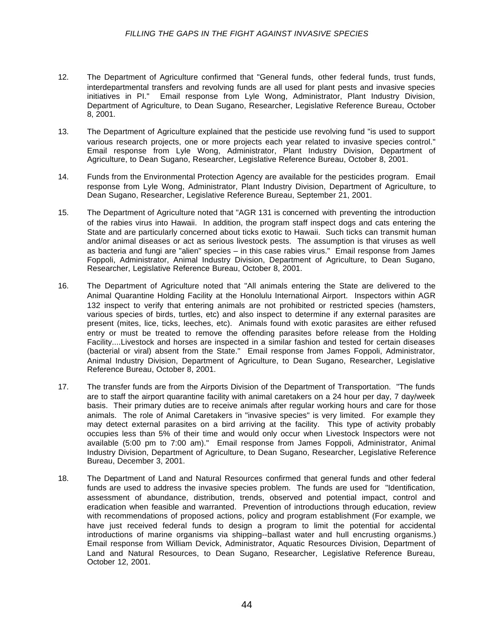- 12. The Department of Agriculture confirmed that "General funds, other federal funds, trust funds, interdepartmental transfers and revolving funds are all used for plant pests and invasive species initiatives in PI." Email response from Lyle Wong, Administrator, Plant Industry Division, Department of Agriculture, to Dean Sugano, Researcher, Legislative Reference Bureau, October 8, 2001.
- 13. The Department of Agriculture explained that the pesticide use revolving fund "is used to support various research projects, one or more projects each year related to invasive species control." Email response from Lyle Wong, Administrator, Plant Industry Division, Department of Agriculture, to Dean Sugano, Researcher, Legislative Reference Bureau, October 8, 2001.
- 14. Funds from the Environmental Protection Agency are available for the pesticides program. Email response from Lyle Wong, Administrator, Plant Industry Division, Department of Agriculture, to Dean Sugano, Researcher, Legislative Reference Bureau, September 21, 2001.
- 15. The Department of Agriculture noted that "AGR 131 is concerned with preventing the introduction of the rabies virus into Hawaii. In addition, the program staff inspect dogs and cats entering the State and are particularly concerned about ticks exotic to Hawaii. Such ticks can transmit human and/or animal diseases or act as serious livestock pests. The assumption is that viruses as well as bacteria and fungi are "alien" species – in this case rabies virus." Email response from James Foppoli, Administrator, Animal Industry Division, Department of Agriculture, to Dean Sugano, Researcher, Legislative Reference Bureau, October 8, 2001.
- 16. The Department of Agriculture noted that "All animals entering the State are delivered to the Animal Quarantine Holding Facility at the Honolulu International Airport. Inspectors within AGR 132 inspect to verify that entering animals are not prohibited or restricted species (hamsters, various species of birds, turtles, etc) and also inspect to determine if any external parasites are present (mites, lice, ticks, leeches, etc). Animals found with exotic parasites are either refused entry or must be treated to remove the offending parasites before release from the Holding Facility....Livestock and horses are inspected in a similar fashion and tested for certain diseases (bacterial or viral) absent from the State." Email response from James Foppoli, Administrator, Animal Industry Division, Department of Agriculture, to Dean Sugano, Researcher, Legislative Reference Bureau, October 8, 2001.
- 17. The transfer funds are from the Airports Division of the Department of Transportation. "The funds are to staff the airport quarantine facility with animal caretakers on a 24 hour per day, 7 day/week basis. Their primary duties are to receive animals after regular working hours and care for those animals. The role of Animal Caretakers in "invasive species" is very limited. For example they may detect external parasites on a bird arriving at the facility. This type of activity probably occupies less than 5% of their time and would only occur when Livestock Inspectors were not available (5:00 pm to 7:00 am)." Email response from James Foppoli, Administrator, Animal Industry Division, Department of Agriculture, to Dean Sugano, Researcher, Legislative Reference Bureau, December 3, 2001.
- 18. The Department of Land and Natural Resources confirmed that general funds and other federal funds are used to address the invasive species problem. The funds are used for "Identification, assessment of abundance, distribution, trends, observed and potential impact, control and eradication when feasible and warranted. Prevention of introductions through education, review with recommendations of proposed actions, policy and program establishment (For example, we have just received federal funds to design a program to limit the potential for accidental introductions of marine organisms via shipping--ballast water and hull encrusting organisms.) Email response from William Devick, Administrator, Aquatic Resources Division, Department of Land and Natural Resources, to Dean Sugano, Researcher, Legislative Reference Bureau, October 12, 2001.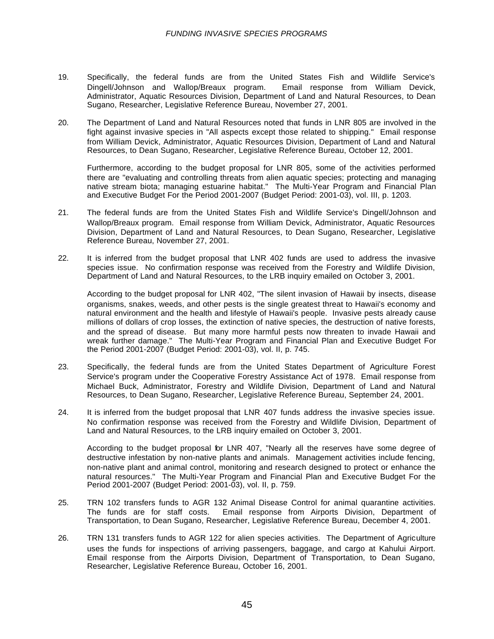- 19. Specifically, the federal funds are from the United States Fish and Wildlife Service's Dingell/Johnson and Wallop/Breaux program. Email response from William Devick, Administrator, Aquatic Resources Division, Department of Land and Natural Resources, to Dean Sugano, Researcher, Legislative Reference Bureau, November 27, 2001.
- 20. The Department of Land and Natural Resources noted that funds in LNR 805 are involved in the fight against invasive species in "All aspects except those related to shipping." Email response from William Devick, Administrator, Aquatic Resources Division, Department of Land and Natural Resources, to Dean Sugano, Researcher, Legislative Reference Bureau, October 12, 2001.

Furthermore, according to the budget proposal for LNR 805, some of the activities performed there are "evaluating and controlling threats from alien aquatic species; protecting and managing native stream biota; managing estuarine habitat." The Multi-Year Program and Financial Plan and Executive Budget For the Period 2001-2007 (Budget Period: 2001-03), vol. III, p. 1203.

- 21. The federal funds are from the United States Fish and Wildlife Service's Dingell/Johnson and Wallop/Breaux program. Email response from William Devick, Administrator, Aquatic Resources Division, Department of Land and Natural Resources, to Dean Sugano, Researcher, Legislative Reference Bureau, November 27, 2001.
- 22. It is inferred from the budget proposal that LNR 402 funds are used to address the invasive species issue. No confirmation response was received from the Forestry and Wildlife Division, Department of Land and Natural Resources, to the LRB inquiry emailed on October 3, 2001.

According to the budget proposal for LNR 402, "The silent invasion of Hawaii by insects, disease organisms, snakes, weeds, and other pests is the single greatest threat to Hawaii's economy and natural environment and the health and lifestyle of Hawaii's people. Invasive pests already cause millions of dollars of crop losses, the extinction of native species, the destruction of native forests, and the spread of disease. But many more harmful pests now threaten to invade Hawaii and wreak further damage." The Multi-Year Program and Financial Plan and Executive Budget For the Period 2001-2007 (Budget Period: 2001-03), vol. II, p. 745.

- 23. Specifically, the federal funds are from the United States Department of Agriculture Forest Service's program under the Cooperative Forestry Assistance Act of 1978. Email response from Michael Buck, Administrator, Forestry and Wildlife Division, Department of Land and Natural Resources, to Dean Sugano, Researcher, Legislative Reference Bureau, September 24, 2001.
- 24. It is inferred from the budget proposal that LNR 407 funds address the invasive species issue. No confirmation response was received from the Forestry and Wildlife Division, Department of Land and Natural Resources, to the LRB inquiry emailed on October 3, 2001.

According to the budget proposal for LNR 407, "Nearly all the reserves have some degree of destructive infestation by non-native plants and animals. Management activities include fencing, non-native plant and animal control, monitoring and research designed to protect or enhance the natural resources." The Multi-Year Program and Financial Plan and Executive Budget For the Period 2001-2007 (Budget Period: 2001-03), vol. II, p. 759.

- 25. TRN 102 transfers funds to AGR 132 Animal Disease Control for animal quarantine activities. The funds are for staff costs. Email response from Airports Division, Department of Transportation, to Dean Sugano, Researcher, Legislative Reference Bureau, December 4, 2001.
- 26. TRN 131 transfers funds to AGR 122 for alien species activities. The Department of Agriculture uses the funds for inspections of arriving passengers, baggage, and cargo at Kahului Airport. Email response from the Airports Division, Department of Transportation, to Dean Sugano, Researcher, Legislative Reference Bureau, October 16, 2001.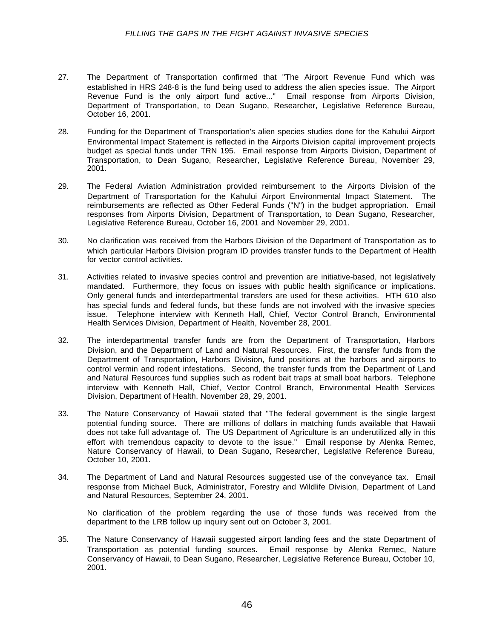- 27. The Department of Transportation confirmed that "The Airport Revenue Fund which was established in HRS 248-8 is the fund being used to address the alien species issue. The Airport Revenue Fund is the only airport fund active..." Email response from Airports Division, Department of Transportation, to Dean Sugano, Researcher, Legislative Reference Bureau, October 16, 2001.
- 28. Funding for the Department of Transportation's alien species studies done for the Kahului Airport Environmental Impact Statement is reflected in the Airports Division capital improvement projects budget as special funds under TRN 195. Email response from Airports Division, Department of Transportation, to Dean Sugano, Researcher, Legislative Reference Bureau, November 29, 2001.
- 29. The Federal Aviation Administration provided reimbursement to the Airports Division of the Department of Transportation for the Kahului Airport Environmental Impact Statement. The reimbursements are reflected as Other Federal Funds ("N") in the budget appropriation. Email responses from Airports Division, Department of Transportation, to Dean Sugano, Researcher, Legislative Reference Bureau, October 16, 2001 and November 29, 2001.
- 30. No clarification was received from the Harbors Division of the Department of Transportation as to which particular Harbors Division program ID provides transfer funds to the Department of Health for vector control activities.
- 31. Activities related to invasive species control and prevention are initiative-based, not legislatively mandated. Furthermore, they focus on issues with public health significance or implications. Only general funds and interdepartmental transfers are used for these activities. HTH 610 also has special funds and federal funds, but these funds are not involved with the invasive species issue. Telephone interview with Kenneth Hall, Chief, Vector Control Branch, Environmental Health Services Division, Department of Health, November 28, 2001.
- 32. The interdepartmental transfer funds are from the Department of Transportation, Harbors Division, and the Department of Land and Natural Resources. First, the transfer funds from the Department of Transportation, Harbors Division, fund positions at the harbors and airports to control vermin and rodent infestations. Second, the transfer funds from the Department of Land and Natural Resources fund supplies such as rodent bait traps at small boat harbors. Telephone interview with Kenneth Hall, Chief, Vector Control Branch, Environmental Health Services Division, Department of Health, November 28, 29, 2001.
- 33. The Nature Conservancy of Hawaii stated that "The federal government is the single largest potential funding source. There are millions of dollars in matching funds available that Hawaii does not take full advantage of. The US Department of Agriculture is an underutilized ally in this effort with tremendous capacity to devote to the issue." Email response by Alenka Remec, Nature Conservancy of Hawaii, to Dean Sugano, Researcher, Legislative Reference Bureau, October 10, 2001.
- 34. The Department of Land and Natural Resources suggested use of the conveyance tax. Email response from Michael Buck, Administrator, Forestry and Wildlife Division, Department of Land and Natural Resources, September 24, 2001.

No clarification of the problem regarding the use of those funds was received from the department to the LRB follow up inquiry sent out on October 3, 2001.

35. The Nature Conservancy of Hawaii suggested airport landing fees and the state Department of Transportation as potential funding sources. Email response by Alenka Remec, Nature Conservancy of Hawaii, to Dean Sugano, Researcher, Legislative Reference Bureau, October 10, 2001.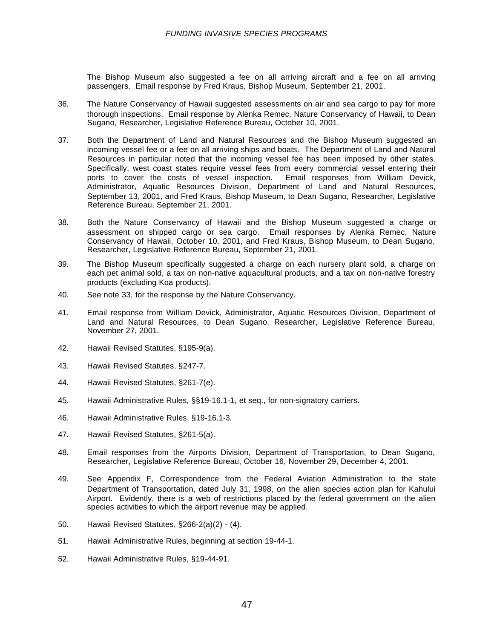The Bishop Museum also suggested a fee on all arriving aircraft and a fee on all arriving passengers. Email response by Fred Kraus, Bishop Museum, September 21, 2001.

- 36. The Nature Conservancy of Hawaii suggested assessments on air and sea cargo to pay for more thorough inspections. Email response by Alenka Remec, Nature Conservancy of Hawaii, to Dean Sugano, Researcher, Legislative Reference Bureau, October 10, 2001.
- 37. Both the Department of Land and Natural Resources and the Bishop Museum suggested an incoming vessel fee or a fee on all arriving ships and boats. The Department of Land and Natural Resources in particular noted that the incoming vessel fee has been imposed by other states. Specifically, west coast states require vessel fees from every commercial vessel entering their ports to cover the costs of vessel inspection. Email responses from William Devick, Administrator, Aquatic Resources Division, Department of Land and Natural Resources, September 13, 2001, and Fred Kraus, Bishop Museum, to Dean Sugano, Researcher, Legislative Reference Bureau, September 21, 2001.
- 38. Both the Nature Conservancy of Hawaii and the Bishop Museum suggested a charge or assessment on shipped cargo or sea cargo. Email responses by Alenka Remec, Nature Conservancy of Hawaii, October 10, 2001, and Fred Kraus, Bishop Museum, to Dean Sugano, Researcher, Legislative Reference Bureau, September 21, 2001.
- 39. The Bishop Museum specifically suggested a charge on each nursery plant sold, a charge on each pet animal sold, a tax on non-native aquacultural products, and a tax on non-native forestry products (excluding Koa products).
- 40. See note 33, for the response by the Nature Conservancy.
- 41. Email response from William Devick, Administrator, Aquatic Resources Division, Department of Land and Natural Resources, to Dean Sugano, Researcher, Legislative Reference Bureau, November 27, 2001.
- 42. Hawaii Revised Statutes, §195-9(a).
- 43. Hawaii Revised Statutes, §247-7.
- 44. Hawaii Revised Statutes, §261-7(e).
- 45. Hawaii Administrative Rules, §§19-16.1-1, et seq., for non-signatory carriers.
- 46. Hawaii Administrative Rules, §19-16.1-3.
- 47. Hawaii Revised Statutes, §261-5(a).
- 48. Email responses from the Airports Division, Department of Transportation, to Dean Sugano, Researcher, Legislative Reference Bureau, October 16, November 29, December 4, 2001.
- 49. See Appendix F, Correspondence from the Federal Aviation Administration to the state Department of Transportation, dated July 31, 1998, on the alien species action plan for Kahului Airport. Evidently, there is a web of restrictions placed by the federal government on the alien species activities to which the airport revenue may be applied.
- 50. Hawaii Revised Statutes, §266-2(a)(2) (4).
- 51. Hawaii Administrative Rules, beginning at section 19-44-1.
- 52. Hawaii Administrative Rules, §19-44-91.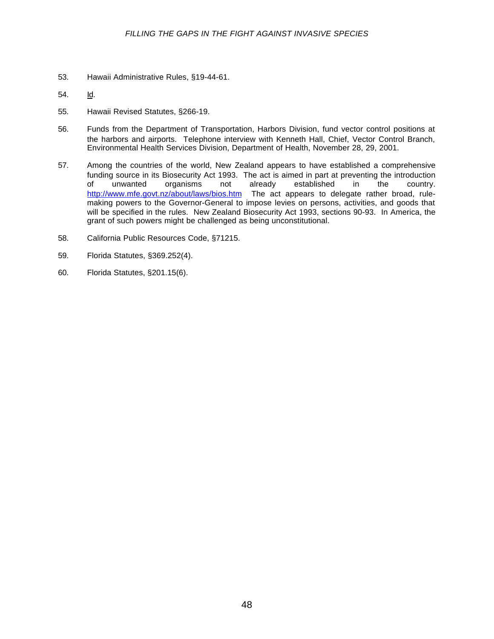- 53. Hawaii Administrative Rules, §19-44-61.
- 54. Id.
- 55. Hawaii Revised Statutes, §266-19.
- 56. Funds from the Department of Transportation, Harbors Division, fund vector control positions at the harbors and airports. Telephone interview with Kenneth Hall, Chief, Vector Control Branch, Environmental Health Services Division, Department of Health, November 28, 29, 2001.
- 57. Among the countries of the world, New Zealand appears to have established a comprehensive funding source in its Biosecurity Act 1993. The act is aimed in part at preventing the introduction<br>of unwanted organisms not already established in the country. unwanted organisms not already established in the country. <http://www.mfe.govt.nz/about/laws/bios.htm>The act appears to delegate rather broad, rulemaking powers to the Governor-General to impose levies on persons, activities, and goods that will be specified in the rules. New Zealand Biosecurity Act 1993, sections 90-93. In America, the grant of such powers might be challenged as being unconstitutional.
- 58. California Public Resources Code, §71215.
- 59. Florida Statutes, §369.252(4).
- 60. Florida Statutes, §201.15(6).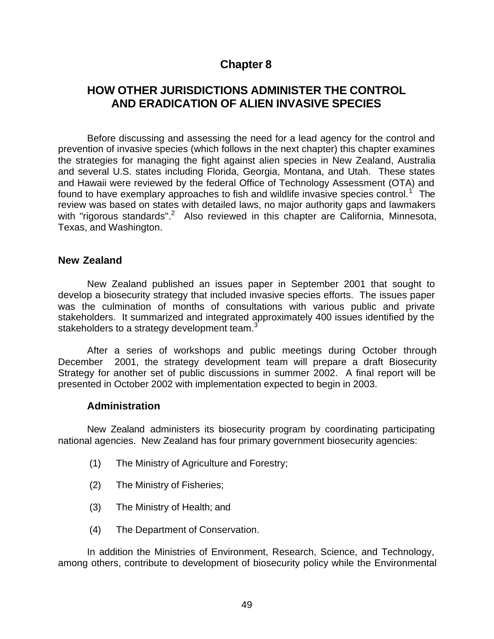# **Chapter 8**

# **HOW OTHER JURISDICTIONS ADMINISTER THE CONTROL AND ERADICATION OF ALIEN INVASIVE SPECIES**

Before discussing and assessing the need for a lead agency for the control and prevention of invasive species (which follows in the next chapter) this chapter examines the strategies for managing the fight against alien species in New Zealand, Australia and several U.S. states including Florida, Georgia, Montana, and Utah. These states and Hawaii were reviewed by the federal Office of Technology Assessment (OTA) and found to have exemplary approaches to fish and wildlife invasive species control.<sup>1</sup> The review was based on states with detailed laws, no major authority gaps and lawmakers with "rigorous standards".<sup>2</sup> Also reviewed in this chapter are California, Minnesota, Texas, and Washington.

#### **New Zealand**

New Zealand published an issues paper in September 2001 that sought to develop a biosecurity strategy that included invasive species efforts. The issues paper was the culmination of months of consultations with various public and private stakeholders. It summarized and integrated approximately 400 issues identified by the stakeholders to a strategy development team.<sup>3</sup>

After a series of workshops and public meetings during October through December 2001, the strategy development team will prepare a draft Biosecurity Strategy for another set of public discussions in summer 2002. A final report will be presented in October 2002 with implementation expected to begin in 2003.

#### **Administration**

New Zealand administers its biosecurity program by coordinating participating national agencies. New Zealand has four primary government biosecurity agencies:

- (1) The Ministry of Agriculture and Forestry;
- (2) The Ministry of Fisheries;
- (3) The Ministry of Health; and
- (4) The Department of Conservation.

In addition the Ministries of Environment, Research, Science, and Technology, among others, contribute to development of biosecurity policy while the Environmental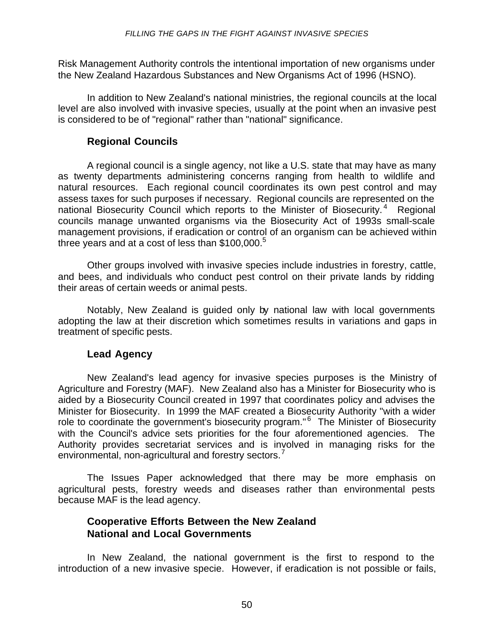Risk Management Authority controls the intentional importation of new organisms under the New Zealand Hazardous Substances and New Organisms Act of 1996 (HSNO).

In addition to New Zealand's national ministries, the regional councils at the local level are also involved with invasive species, usually at the point when an invasive pest is considered to be of "regional" rather than "national" significance.

#### **Regional Councils**

A regional council is a single agency, not like a U.S. state that may have as many as twenty departments administering concerns ranging from health to wildlife and natural resources. Each regional council coordinates its own pest control and may assess taxes for such purposes if necessary. Regional councils are represented on the national Biosecurity Council which reports to the Minister of Biosecurity.<sup>4</sup> Regional councils manage unwanted organisms via the Biosecurity Act of 1993s small-scale management provisions, if eradication or control of an organism can be achieved within three years and at a cost of less than  $$100,000.^{\circ}$ 

Other groups involved with invasive species include industries in forestry, cattle, and bees, and individuals who conduct pest control on their private lands by ridding their areas of certain weeds or animal pests.

Notably, New Zealand is guided only by national law with local governments adopting the law at their discretion which sometimes results in variations and gaps in treatment of specific pests.

#### **Lead Agency**

New Zealand's lead agency for invasive species purposes is the Ministry of Agriculture and Forestry (MAF). New Zealand also has a Minister for Biosecurity who is aided by a Biosecurity Council created in 1997 that coordinates policy and advises the Minister for Biosecurity. In 1999 the MAF created a Biosecurity Authority "with a wider role to coordinate the government's biosecurity program."<sup>6</sup> The Minister of Biosecurity with the Council's advice sets priorities for the four aforementioned agencies. The Authority provides secretariat services and is involved in managing risks for the environmental, non-agricultural and forestry sectors.<sup>7</sup>

The Issues Paper acknowledged that there may be more emphasis on agricultural pests, forestry weeds and diseases rather than environmental pests because MAF is the lead agency.

#### **Cooperative Efforts Between the New Zealand National and Local Governments**

In New Zealand, the national government is the first to respond to the introduction of a new invasive specie. However, if eradication is not possible or fails,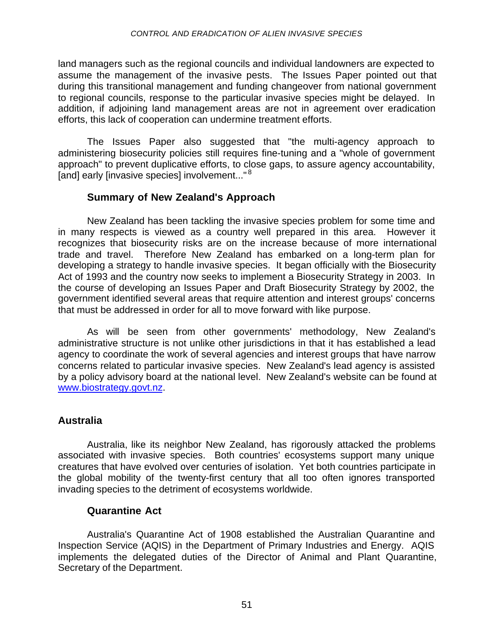land managers such as the regional councils and individual landowners are expected to assume the management of the invasive pests. The Issues Paper pointed out that during this transitional management and funding changeover from national government to regional councils, response to the particular invasive species might be delayed. In addition, if adjoining land management areas are not in agreement over eradication efforts, this lack of cooperation can undermine treatment efforts.

The Issues Paper also suggested that "the multi-agency approach to administering biosecurity policies still requires fine-tuning and a "whole of government approach" to prevent duplicative efforts, to close gaps, to assure agency accountability, [and] early [invasive species] involvement..."<sup>8</sup>

#### **Summary of New Zealand's Approach**

New Zealand has been tackling the invasive species problem for some time and in many respects is viewed as a country well prepared in this area. However it recognizes that biosecurity risks are on the increase because of more international trade and travel. Therefore New Zealand has embarked on a long-term plan for developing a strategy to handle invasive species. It began officially with the Biosecurity Act of 1993 and the country now seeks to implement a Biosecurity Strategy in 2003. In the course of developing an Issues Paper and Draft Biosecurity Strategy by 2002, the government identified several areas that require attention and interest groups' concerns that must be addressed in order for all to move forward with like purpose.

As will be seen from other governments' methodology, New Zealand's administrative structure is not unlike other jurisdictions in that it has established a lead agency to coordinate the work of several agencies and interest groups that have narrow concerns related to particular invasive species. New Zealand's lead agency is assisted by a policy advisory board at the national level. New Zealand's website can be found at [www.biostrategy.govt.nz.](http://www.biostrategy.govt.nz)

### **Australia**

Australia, like its neighbor New Zealand, has rigorously attacked the problems associated with invasive species. Both countries' ecosystems support many unique creatures that have evolved over centuries of isolation. Yet both countries participate in the global mobility of the twenty-first century that all too often ignores transported invading species to the detriment of ecosystems worldwide.

#### **Quarantine Act**

Australia's Quarantine Act of 1908 established the Australian Quarantine and Inspection Service (AQIS) in the Department of Primary Industries and Energy. AQIS implements the delegated duties of the Director of Animal and Plant Quarantine, Secretary of the Department.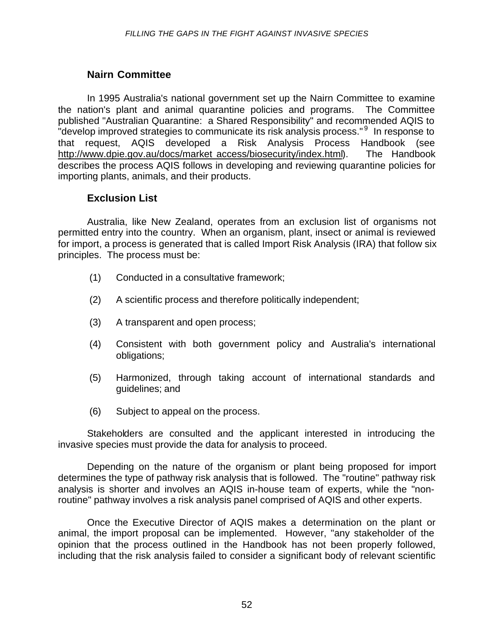#### **Nairn Committee**

In 1995 Australia's national government set up the Nairn Committee to examine the nation's plant and animal quarantine policies and programs. The Committee published "Australian Quarantine: a Shared Responsibility" and recommended AQIS to .<br>"develop improved strategies to communicate its risk analysis process." <sup>9</sup> In response to that request, AQIS developed a Risk Analysis Process Handbook (see [http://www.dpie.gov.au/docs/market\\_access/biosecurity/index.html\).](http://www.dpie.gov.au/docs/market_access/biosecurity/index.html) The Handbook describes the process AQIS follows in developing and reviewing quarantine policies for importing plants, animals, and their products.

#### **Exclusion List**

Australia, like New Zealand, operates from an exclusion list of organisms not permitted entry into the country. When an organism, plant, insect or animal is reviewed for import, a process is generated that is called Import Risk Analysis (IRA) that follow six principles. The process must be:

- (1) Conducted in a consultative framework;
- (2) A scientific process and therefore politically independent;
- (3) A transparent and open process;
- (4) Consistent with both government policy and Australia's international obligations;
- (5) Harmonized, through taking account of international standards and guidelines; and
- (6) Subject to appeal on the process.

Stakeholders are consulted and the applicant interested in introducing the invasive species must provide the data for analysis to proceed.

Depending on the nature of the organism or plant being proposed for import determines the type of pathway risk analysis that is followed. The "routine" pathway risk analysis is shorter and involves an AQIS in-house team of experts, while the "nonroutine" pathway involves a risk analysis panel comprised of AQIS and other experts.

Once the Executive Director of AQIS makes a determination on the plant or animal, the import proposal can be implemented. However, "any stakeholder of the opinion that the process outlined in the Handbook has not been properly followed, including that the risk analysis failed to consider a significant body of relevant scientific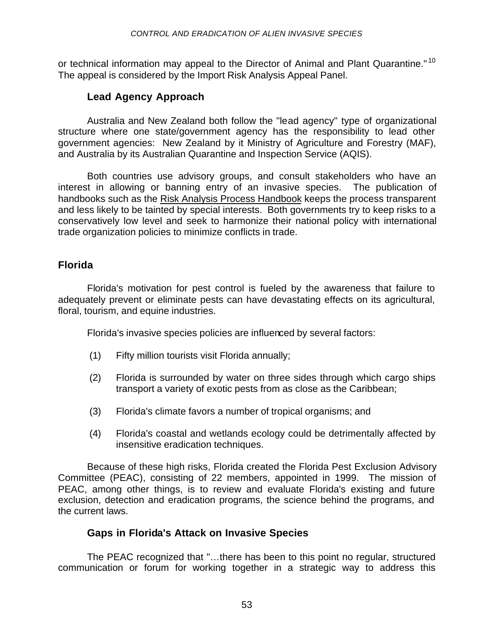or technical information may appeal to the Director of Animal and Plant Quarantine."<sup>10</sup> The appeal is considered by the Import Risk Analysis Appeal Panel.

#### **Lead Agency Approach**

Australia and New Zealand both follow the "lead agency" type of organizational structure where one state/government agency has the responsibility to lead other government agencies: New Zealand by it Ministry of Agriculture and Forestry (MAF), and Australia by its Australian Quarantine and Inspection Service (AQIS).

Both countries use advisory groups, and consult stakeholders who have an interest in allowing or banning entry of an invasive species. The publication of handbooks such as the Risk Analysis Process Handbook keeps the process transparent and less likely to be tainted by special interests. Both governments try to keep risks to a conservatively low level and seek to harmonize their national policy with international trade organization policies to minimize conflicts in trade.

#### **Florida**

Florida's motivation for pest control is fueled by the awareness that failure to adequately prevent or eliminate pests can have devastating effects on its agricultural, floral, tourism, and equine industries.

Florida's invasive species policies are influenced by several factors:

- (1) Fifty million tourists visit Florida annually;
- (2) Florida is surrounded by water on three sides through which cargo ships transport a variety of exotic pests from as close as the Caribbean;
- (3) Florida's climate favors a number of tropical organisms; and
- (4) Florida's coastal and wetlands ecology could be detrimentally affected by insensitive eradication techniques.

Because of these high risks, Florida created the Florida Pest Exclusion Advisory Committee (PEAC), consisting of 22 members, appointed in 1999. The mission of PEAC, among other things, is to review and evaluate Florida's existing and future exclusion, detection and eradication programs, the science behind the programs, and the current laws.

#### **Gaps in Florida's Attack on Invasive Species**

The PEAC recognized that "…there has been to this point no regular, structured communication or forum for working together in a strategic way to address this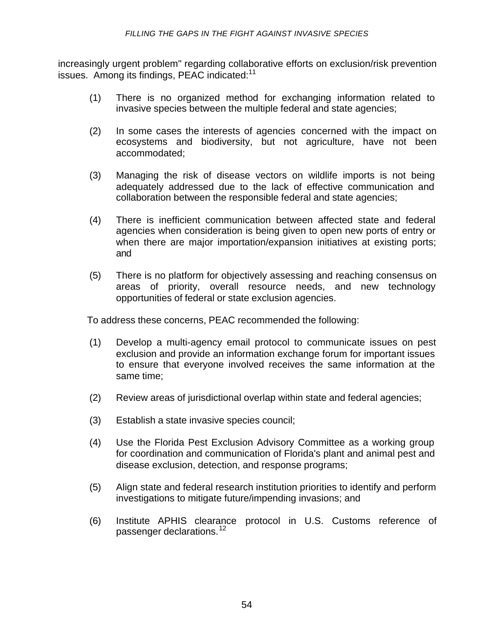increasingly urgent problem" regarding collaborative efforts on exclusion/risk prevention issues. Among its findings, PEAC indicated:<sup>11</sup>

- (1) There is no organized method for exchanging information related to invasive species between the multiple federal and state agencies;
- (2) In some cases the interests of agencies concerned with the impact on ecosystems and biodiversity, but not agriculture, have not been accommodated;
- (3) Managing the risk of disease vectors on wildlife imports is not being adequately addressed due to the lack of effective communication and collaboration between the responsible federal and state agencies;
- (4) There is inefficient communication between affected state and federal agencies when consideration is being given to open new ports of entry or when there are major importation/expansion initiatives at existing ports; and
- (5) There is no platform for objectively assessing and reaching consensus on areas of priority, overall resource needs, and new technology opportunities of federal or state exclusion agencies.

To address these concerns, PEAC recommended the following:

- (1) Develop a multi-agency email protocol to communicate issues on pest exclusion and provide an information exchange forum for important issues to ensure that everyone involved receives the same information at the same time;
- (2) Review areas of jurisdictional overlap within state and federal agencies;
- (3) Establish a state invasive species council;
- (4) Use the Florida Pest Exclusion Advisory Committee as a working group for coordination and communication of Florida's plant and animal pest and disease exclusion, detection, and response programs;
- (5) Align state and federal research institution priorities to identify and perform investigations to mitigate future/impending invasions; and
- (6) Institute APHIS clearance protocol in U.S. Customs reference of passenger declarations.<sup>12</sup>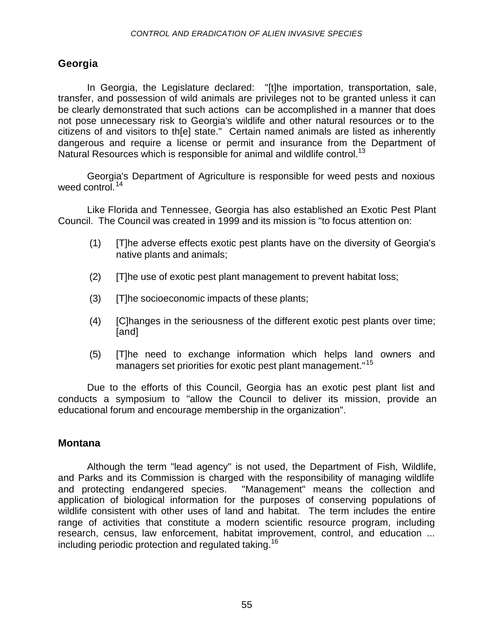#### **Georgia**

In Georgia, the Legislature declared: "[t]he importation, transportation, sale, transfer, and possession of wild animals are privileges not to be granted unless it can be clearly demonstrated that such actions can be accomplished in a manner that does not pose unnecessary risk to Georgia's wildlife and other natural resources or to the citizens of and visitors to th[e] state." Certain named animals are listed as inherently dangerous and require a license or permit and insurance from the Department of Natural Resources which is responsible for animal and wildlife control.<sup>13</sup>

Georgia's Department of Agriculture is responsible for weed pests and noxious weed control.<sup>14</sup>

Like Florida and Tennessee, Georgia has also established an Exotic Pest Plant Council. The Council was created in 1999 and its mission is "to focus attention on:

- (1) [T]he adverse effects exotic pest plants have on the diversity of Georgia's native plants and animals;
- (2) [T]he use of exotic pest plant management to prevent habitat loss;
- (3) [T]he socioeconomic impacts of these plants;
- (4) [C]hanges in the seriousness of the different exotic pest plants over time; [and]
- (5) [T]he need to exchange information which helps land owners and managers set priorities for exotic pest plant management."<sup>15</sup>

Due to the efforts of this Council, Georgia has an exotic pest plant list and conducts a symposium to "allow the Council to deliver its mission, provide an educational forum and encourage membership in the organization".

#### **Montana**

Although the term "lead agency" is not used, the Department of Fish, Wildlife, and Parks and its Commission is charged with the responsibility of managing wildlife and protecting endangered species. "Management" means the collection and application of biological information for the purposes of conserving populations of wildlife consistent with other uses of land and habitat. The term includes the entire range of activities that constitute a modern scientific resource program, including research, census, law enforcement, habitat improvement, control, and education ... including periodic protection and regulated taking.<sup>16</sup>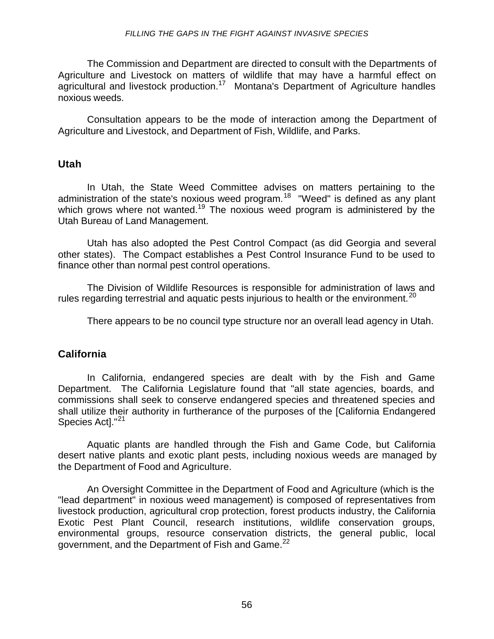The Commission and Department are directed to consult with the Departments of Agriculture and Livestock on matters of wildlife that may have a harmful effect on agricultural and livestock production.<sup>17</sup> Montana's Department of Agriculture handles noxious weeds.

Consultation appears to be the mode of interaction among the Department of Agriculture and Livestock, and Department of Fish, Wildlife, and Parks.

#### **Utah**

In Utah, the State Weed Committee advises on matters pertaining to the administration of the state's noxious weed program.<sup>18</sup> "Weed" is defined as any plant which grows where not wanted.<sup>19</sup> The noxious weed program is administered by the Utah Bureau of Land Management.

Utah has also adopted the Pest Control Compact (as did Georgia and several other states). The Compact establishes a Pest Control Insurance Fund to be used to finance other than normal pest control operations.

The Division of Wildlife Resources is responsible for administration of laws and rules regarding terrestrial and aquatic pests injurious to health or the environment.<sup>20</sup>

There appears to be no council type structure nor an overall lead agency in Utah.

#### **California**

In California, endangered species are dealt with by the Fish and Game Department. The California Legislature found that "all state agencies, boards, and commissions shall seek to conserve endangered species and threatened species and shall utilize their authority in furtherance of the purposes of the [California Endangered Species Act]."<sup>21</sup>

Aquatic plants are handled through the Fish and Game Code, but California desert native plants and exotic plant pests, including noxious weeds are managed by the Department of Food and Agriculture.

An Oversight Committee in the Department of Food and Agriculture (which is the "lead department" in noxious weed management) is composed of representatives from livestock production, agricultural crop protection, forest products industry, the California Exotic Pest Plant Council, research institutions, wildlife conservation groups, environmental groups, resource conservation districts, the general public, local government, and the Department of Fish and Game.<sup>22</sup>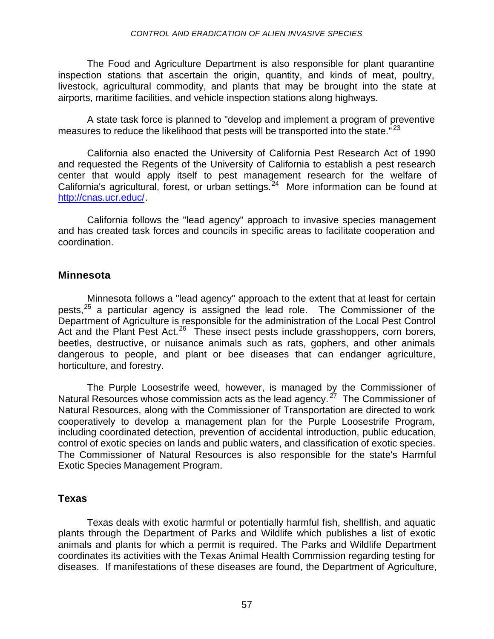The Food and Agriculture Department is also responsible for plant quarantine inspection stations that ascertain the origin, quantity, and kinds of meat, poultry, livestock, agricultural commodity, and plants that may be brought into the state at airports, maritime facilities, and vehicle inspection stations along highways.

A state task force is planned to "develop and implement a program of preventive measures to reduce the likelihood that pests will be transported into the state."<sup>23</sup>

California also enacted the University of California Pest Research Act of 1990 and requested the Regents of the University of California to establish a pest research center that would apply itself to pest management research for the welfare of California's agricultural, forest, or urban settings.<sup>24</sup> More information can be found at [http://cnas.ucr.educ/.](http://cnas.ucr.educ/)

California follows the "lead agency" approach to invasive species management and has created task forces and councils in specific areas to facilitate cooperation and coordination.

#### **Minnesota**

Minnesota follows a "lead agency" approach to the extent that at least for certain pests, $25$  a particular agency is assigned the lead role. The Commissioner of the Department of Agriculture is responsible for the administration of the Local Pest Control Act and the Plant Pest Act.<sup>26</sup> These insect pests include grasshoppers, corn borers, beetles, destructive, or nuisance animals such as rats, gophers, and other animals dangerous to people, and plant or bee diseases that can endanger agriculture, horticulture, and forestry.

The Purple Loosestrife weed, however, is managed by the Commissioner of Natural Resources whose commission acts as the lead agency.  $27$  The Commissioner of Natural Resources, along with the Commissioner of Transportation are directed to work cooperatively to develop a management plan for the Purple Loosestrife Program, including coordinated detection, prevention of accidental introduction, public education, control of exotic species on lands and public waters, and classification of exotic species. The Commissioner of Natural Resources is also responsible for the state's Harmful Exotic Species Management Program.

#### **Texas**

Texas deals with exotic harmful or potentially harmful fish, shellfish, and aquatic plants through the Department of Parks and Wildlife which publishes a list of exotic animals and plants for which a permit is required. The Parks and Wildlife Department coordinates its activities with the Texas Animal Health Commission regarding testing for diseases. If manifestations of these diseases are found, the Department of Agriculture,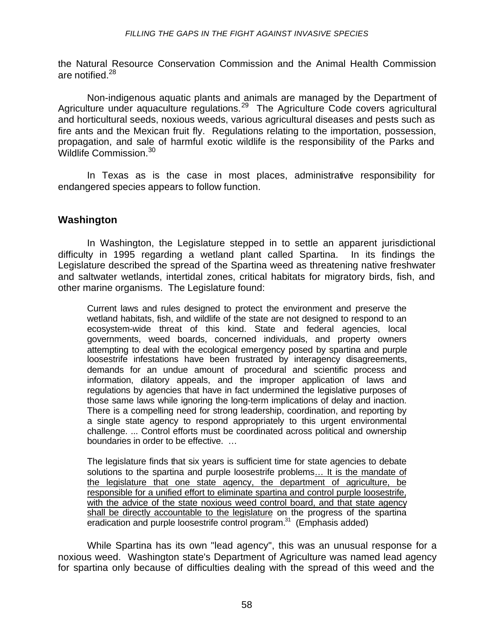the Natural Resource Conservation Commission and the Animal Health Commission are notified.<sup>28</sup>

Non-indigenous aquatic plants and animals are managed by the Department of Agriculture under aquaculture regulations.<sup>29</sup> The Agriculture Code covers agricultural and horticultural seeds, noxious weeds, various agricultural diseases and pests such as fire ants and the Mexican fruit fly. Regulations relating to the importation, possession, propagation, and sale of harmful exotic wildlife is the responsibility of the Parks and Wildlife Commission.<sup>30</sup>

In Texas as is the case in most places, administrative responsibility for endangered species appears to follow function.

#### **Washington**

In Washington, the Legislature stepped in to settle an apparent jurisdictional difficulty in 1995 regarding a wetland plant called Spartina. In its findings the Legislature described the spread of the Spartina weed as threatening native freshwater and saltwater wetlands, intertidal zones, critical habitats for migratory birds, fish, and other marine organisms. The Legislature found:

Current laws and rules designed to protect the environment and preserve the wetland habitats, fish, and wildlife of the state are not designed to respond to an ecosystem-wide threat of this kind. State and federal agencies, local governments, weed boards, concerned individuals, and property owners attempting to deal with the ecological emergency posed by spartina and purple loosestrife infestations have been frustrated by interagency disagreements, demands for an undue amount of procedural and scientific process and information, dilatory appeals, and the improper application of laws and regulations by agencies that have in fact undermined the legislative purposes of those same laws while ignoring the long-term implications of delay and inaction. There is a compelling need for strong leadership, coordination, and reporting by a single state agency to respond appropriately to this urgent environmental challenge. ... Control efforts must be coordinated across political and ownership boundaries in order to be effective. …

The legislature finds that six years is sufficient time for state agencies to debate solutions to the spartina and purple loosestrife problems… It is the mandate of the legislature that one state agency, the department of agriculture, be responsible for a unified effort to eliminate spartina and control purple loosestrife, with the advice of the state noxious weed control board, and that state agency shall be directly accountable to the legislature on the progress of the spartina eradication and purple loosestrife control program.<sup>31</sup> (Emphasis added)

While Spartina has its own "lead agency", this was an unusual response for a noxious weed. Washington state's Department of Agriculture was named lead agency for spartina only because of difficulties dealing with the spread of this weed and the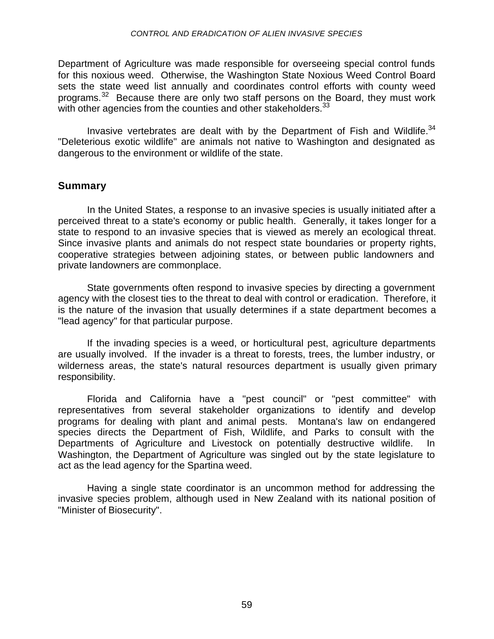Department of Agriculture was made responsible for overseeing special control funds for this noxious weed. Otherwise, the Washington State Noxious Weed Control Board sets the state weed list annually and coordinates control efforts with county weed programs.<sup>32</sup> Because there are only two staff persons on the Board, they must work with other agencies from the counties and other stakeholders.  $33$ 

Invasive vertebrates are dealt with by the Department of Fish and Wildlife.<sup>34</sup> "Deleterious exotic wildlife" are animals not native to Washington and designated as dangerous to the environment or wildlife of the state.

#### **Summary**

In the United States, a response to an invasive species is usually initiated after a perceived threat to a state's economy or public health. Generally, it takes longer for a state to respond to an invasive species that is viewed as merely an ecological threat. Since invasive plants and animals do not respect state boundaries or property rights, cooperative strategies between adjoining states, or between public landowners and private landowners are commonplace.

State governments often respond to invasive species by directing a government agency with the closest ties to the threat to deal with control or eradication. Therefore, it is the nature of the invasion that usually determines if a state department becomes a "lead agency" for that particular purpose.

If the invading species is a weed, or horticultural pest, agriculture departments are usually involved. If the invader is a threat to forests, trees, the lumber industry, or wilderness areas, the state's natural resources department is usually given primary responsibility.

Florida and California have a "pest council" or "pest committee" with representatives from several stakeholder organizations to identify and develop programs for dealing with plant and animal pests. Montana's law on endangered species directs the Department of Fish, Wildlife, and Parks to consult with the Departments of Agriculture and Livestock on potentially destructive wildlife. In Washington, the Department of Agriculture was singled out by the state legislature to act as the lead agency for the Spartina weed.

Having a single state coordinator is an uncommon method for addressing the invasive species problem, although used in New Zealand with its national position of "Minister of Biosecurity".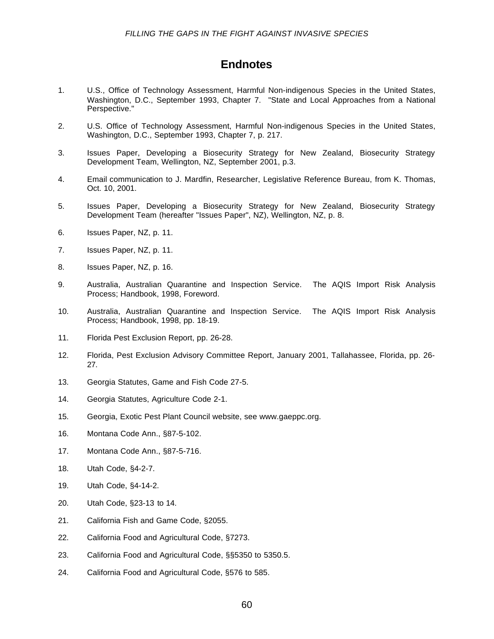#### **Endnotes**

- 1. U.S., Office of Technology Assessment, Harmful Non-indigenous Species in the United States, Washington, D.C., September 1993, Chapter 7. "State and Local Approaches from a National Perspective."
- 2. U.S. Office of Technology Assessment, Harmful Non-indigenous Species in the United States, Washington, D.C., September 1993, Chapter 7, p. 217.
- 3. Issues Paper, Developing a Biosecurity Strategy for New Zealand, Biosecurity Strategy Development Team, Wellington, NZ, September 2001, p.3.
- 4. Email communication to J. Mardfin, Researcher, Legislative Reference Bureau, from K. Thomas, Oct. 10, 2001.
- 5. Issues Paper, Developing a Biosecurity Strategy for New Zealand, Biosecurity Strategy Development Team (hereafter "Issues Paper", NZ), Wellington, NZ, p. 8.
- 6. Issues Paper, NZ, p. 11.
- 7. Issues Paper, NZ, p. 11.
- 8. Issues Paper, NZ, p. 16.
- 9. Australia, Australian Quarantine and Inspection Service. The AQIS Import Risk Analysis Process; Handbook, 1998, Foreword.
- 10. Australia, Australian Quarantine and Inspection Service. The AQIS Import Risk Analysis Process; Handbook, 1998, pp. 18-19.
- 11. Florida Pest Exclusion Report, pp. 26-28.
- 12. Florida, Pest Exclusion Advisory Committee Report, January 2001, Tallahassee, Florida, pp. 26- 27.
- 13. Georgia Statutes, Game and Fish Code 27-5.
- 14. Georgia Statutes, Agriculture Code 2-1.
- 15. Georgia, Exotic Pest Plant Council website, see www.gaeppc.org.
- 16. Montana Code Ann., §87-5-102.
- 17. Montana Code Ann., §87-5-716.
- 18. Utah Code, §4-2-7.
- 19. Utah Code, §4-14-2.
- 20. Utah Code, §23-13 to 14.
- 21. California Fish and Game Code, §2055.
- 22. California Food and Agricultural Code, §7273.
- 23. California Food and Agricultural Code, §§5350 to 5350.5.
- 24. California Food and Agricultural Code, §576 to 585.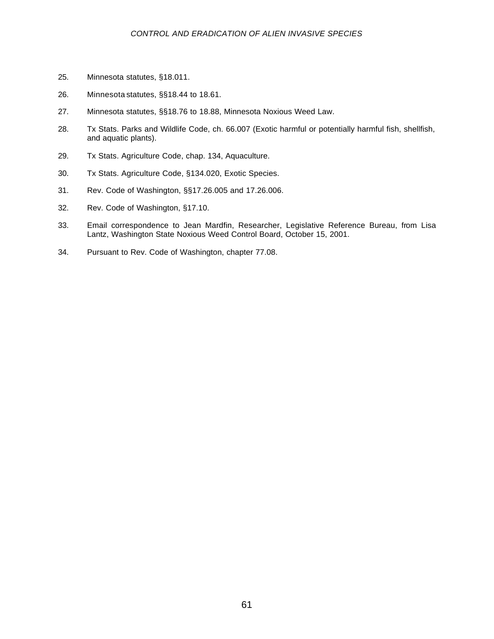- 25. Minnesota statutes, §18.011.
- 26. Minnesota statutes, §§18.44 to 18.61.
- 27. Minnesota statutes, §§18.76 to 18.88, Minnesota Noxious Weed Law.
- 28. Tx Stats. Parks and Wildlife Code, ch. 66.007 (Exotic harmful or potentially harmful fish, shellfish, and aquatic plants).
- 29. Tx Stats. Agriculture Code, chap. 134, Aquaculture.
- 30. Tx Stats. Agriculture Code, §134.020, Exotic Species.
- 31. Rev. Code of Washington, §§17.26.005 and 17.26.006.
- 32. Rev. Code of Washington, §17.10.
- 33. Email correspondence to Jean Mardfin, Researcher, Legislative Reference Bureau, from Lisa Lantz, Washington State Noxious Weed Control Board, October 15, 2001.
- 34. Pursuant to Rev. Code of Washington, chapter 77.08.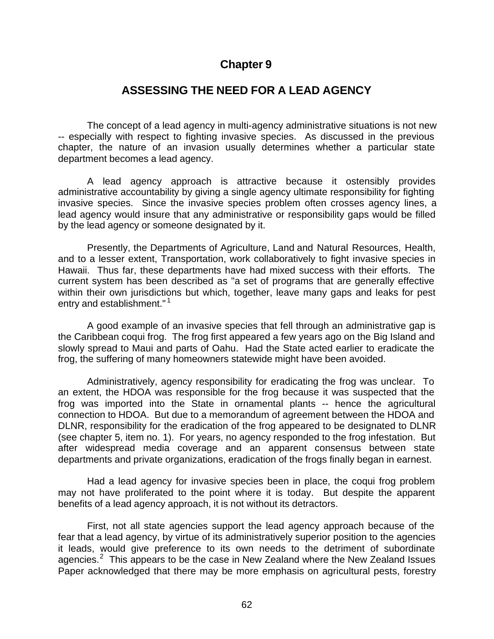### **Chapter 9**

### **ASSESSING THE NEED FOR A LEAD AGENCY**

The concept of a lead agency in multi-agency administrative situations is not new -- especially with respect to fighting invasive species. As discussed in the previous chapter, the nature of an invasion usually determines whether a particular state department becomes a lead agency.

A lead agency approach is attractive because it ostensibly provides administrative accountability by giving a single agency ultimate responsibility for fighting invasive species. Since the invasive species problem often crosses agency lines, a lead agency would insure that any administrative or responsibility gaps would be filled by the lead agency or someone designated by it.

Presently, the Departments of Agriculture, Land and Natural Resources, Health, and to a lesser extent, Transportation, work collaboratively to fight invasive species in Hawaii. Thus far, these departments have had mixed success with their efforts. The current system has been described as "a set of programs that are generally effective within their own jurisdictions but which, together, leave many gaps and leaks for pest entry and establishment."<sup>1</sup>

A good example of an invasive species that fell through an administrative gap is the Caribbean coqui frog. The frog first appeared a few years ago on the Big Island and slowly spread to Maui and parts of Oahu. Had the State acted earlier to eradicate the frog, the suffering of many homeowners statewide might have been avoided.

Administratively, agency responsibility for eradicating the frog was unclear. To an extent, the HDOA was responsible for the frog because it was suspected that the frog was imported into the State in ornamental plants -- hence the agricultural connection to HDOA. But due to a memorandum of agreement between the HDOA and DLNR, responsibility for the eradication of the frog appeared to be designated to DLNR (see chapter 5, item no. 1). For years, no agency responded to the frog infestation. But after widespread media coverage and an apparent consensus between state departments and private organizations, eradication of the frogs finally began in earnest.

Had a lead agency for invasive species been in place, the coqui frog problem may not have proliferated to the point where it is today. But despite the apparent benefits of a lead agency approach, it is not without its detractors.

First, not all state agencies support the lead agency approach because of the fear that a lead agency, by virtue of its administratively superior position to the agencies it leads, would give preference to its own needs to the detriment of subordinate agencies. $2$  This appears to be the case in New Zealand where the New Zealand Issues Paper acknowledged that there may be more emphasis on agricultural pests, forestry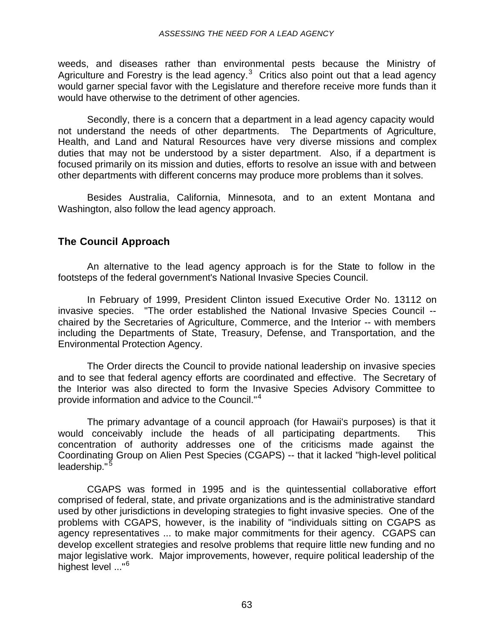weeds, and diseases rather than environmental pests because the Ministry of Agriculture and Forestry is the lead agency. $3$  Critics also point out that a lead agency would garner special favor with the Legislature and therefore receive more funds than it would have otherwise to the detriment of other agencies.

Secondly, there is a concern that a department in a lead agency capacity would not understand the needs of other departments. The Departments of Agriculture, Health, and Land and Natural Resources have very diverse missions and complex duties that may not be understood by a sister department. Also, if a department is focused primarily on its mission and duties, efforts to resolve an issue with and between other departments with different concerns may produce more problems than it solves.

Besides Australia, California, Minnesota, and to an extent Montana and Washington, also follow the lead agency approach.

#### **The Council Approach**

An alternative to the lead agency approach is for the State to follow in the footsteps of the federal government's National Invasive Species Council.

In February of 1999, President Clinton issued Executive Order No. 13112 on invasive species. "The order established the National Invasive Species Council - chaired by the Secretaries of Agriculture, Commerce, and the Interior -- with members including the Departments of State, Treasury, Defense, and Transportation, and the Environmental Protection Agency.

The Order directs the Council to provide national leadership on invasive species and to see that federal agency efforts are coordinated and effective. The Secretary of the Interior was also directed to form the Invasive Species Advisory Committee to provide information and advice to the Council."<sup>4</sup>

The primary advantage of a council approach (for Hawaii's purposes) is that it would conceivably include the heads of all participating departments. This concentration of authority addresses one of the criticisms made against the Coordinating Group on Alien Pest Species (CGAPS) -- that it lacked "high-level political leadership."<sup>5</sup>

CGAPS was formed in 1995 and is the quintessential collaborative effort comprised of federal, state, and private organizations and is the administrative standard used by other jurisdictions in developing strategies to fight invasive species. One of the problems with CGAPS, however, is the inability of "individuals sitting on CGAPS as agency representatives ... to make major commitments for their agency. CGAPS can develop excellent strategies and resolve problems that require little new funding and no major legislative work. Major improvements, however, require political leadership of the highest level ..."<sup>6</sup>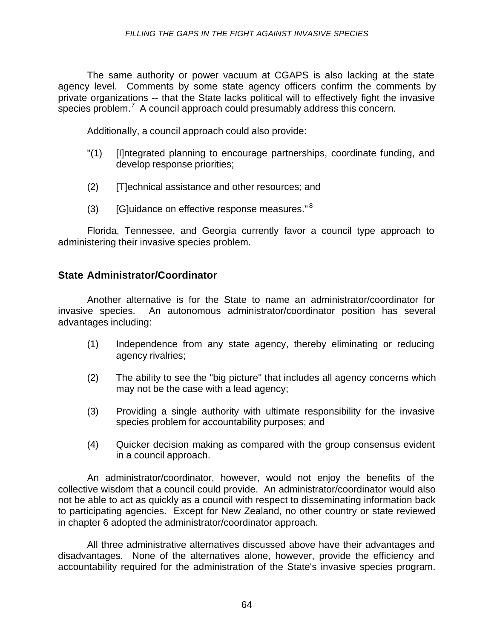The same authority or power vacuum at CGAPS is also lacking at the state agency level. Comments by some state agency officers confirm the comments by private organizations -- that the State lacks political will to effectively fight the invasive species problem.<sup>7</sup> A council approach could presumably address this concern.

Additionally, a council approach could also provide:

- "(1) [I]ntegrated planning to encourage partnerships, coordinate funding, and develop response priorities;
- (2) [T]echnical assistance and other resources; and
- (3) [G]uidance on effective response measures." $8$

Florida, Tennessee, and Georgia currently favor a council type approach to administering their invasive species problem.

#### **State Administrator/Coordinator**

Another alternative is for the State to name an administrator/coordinator for invasive species. An autonomous administrator/coordinator position has several advantages including:

- (1) Independence from any state agency, thereby eliminating or reducing agency rivalries;
- (2) The ability to see the "big picture" that includes all agency concerns which may not be the case with a lead agency;
- (3) Providing a single authority with ultimate responsibility for the invasive species problem for accountability purposes; and
- (4) Quicker decision making as compared with the group consensus evident in a council approach.

An administrator/coordinator, however, would not enjoy the benefits of the collective wisdom that a council could provide. An administrator/coordinator would also not be able to act as quickly as a council with respect to disseminating information back to participating agencies. Except for New Zealand, no other country or state reviewed in chapter 6 adopted the administrator/coordinator approach.

All three administrative alternatives discussed above have their advantages and disadvantages. None of the alternatives alone, however, provide the efficiency and accountability required for the administration of the State's invasive species program.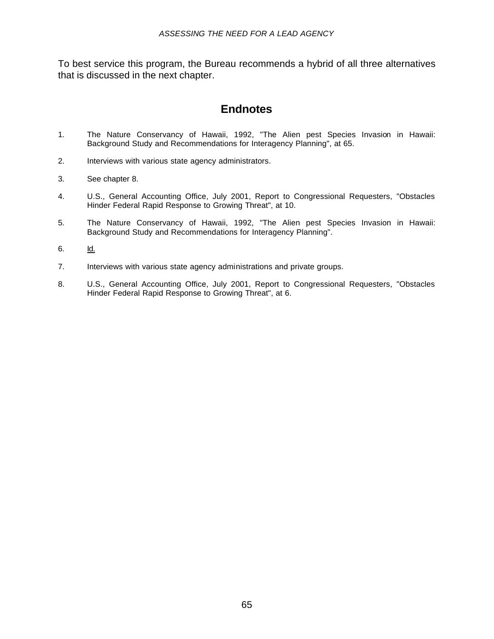To best service this program, the Bureau recommends a hybrid of all three alternatives that is discussed in the next chapter.

### **Endnotes**

- 1. The Nature Conservancy of Hawaii, 1992, "The Alien pest Species Invasion in Hawaii: Background Study and Recommendations for Interagency Planning", at 65.
- 2. Interviews with various state agency administrators.
- 3. See chapter 8.
- 4. U.S., General Accounting Office, July 2001, Report to Congressional Requesters, "Obstacles Hinder Federal Rapid Response to Growing Threat", at 10.
- 5. The Nature Conservancy of Hawaii, 1992, "The Alien pest Species Invasion in Hawaii: Background Study and Recommendations for Interagency Planning".
- 6. Id.
- 7. Interviews with various state agency administrations and private groups.
- 8. U.S., General Accounting Office, July 2001, Report to Congressional Requesters, "Obstacles Hinder Federal Rapid Response to Growing Threat", at 6.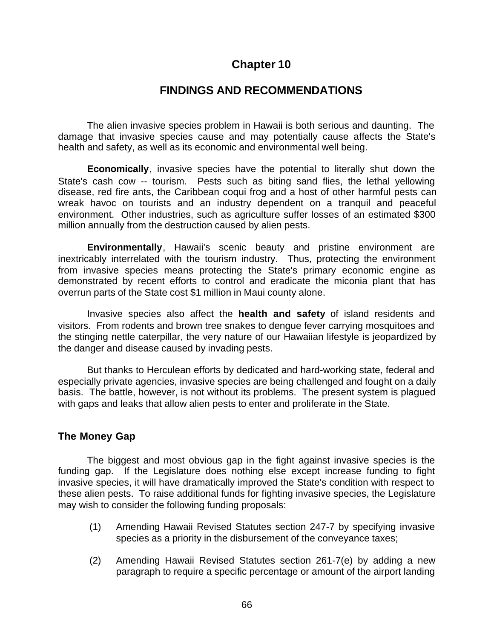### **Chapter 10**

#### **FINDINGS AND RECOMMENDATIONS**

The alien invasive species problem in Hawaii is both serious and daunting. The damage that invasive species cause and may potentially cause affects the State's health and safety, as well as its economic and environmental well being.

**Economically**, invasive species have the potential to literally shut down the State's cash cow -- tourism. Pests such as biting sand flies, the lethal yellowing disease, red fire ants, the Caribbean coqui frog and a host of other harmful pests can wreak havoc on tourists and an industry dependent on a tranquil and peaceful environment. Other industries, such as agriculture suffer losses of an estimated \$300 million annually from the destruction caused by alien pests.

**Environmentally**, Hawaii's scenic beauty and pristine environment are inextricably interrelated with the tourism industry. Thus, protecting the environment from invasive species means protecting the State's primary economic engine as demonstrated by recent efforts to control and eradicate the miconia plant that has overrun parts of the State cost \$1 million in Maui county alone.

Invasive species also affect the **health and safety** of island residents and visitors. From rodents and brown tree snakes to dengue fever carrying mosquitoes and the stinging nettle caterpillar, the very nature of our Hawaiian lifestyle is jeopardized by the danger and disease caused by invading pests.

But thanks to Herculean efforts by dedicated and hard-working state, federal and especially private agencies, invasive species are being challenged and fought on a daily basis. The battle, however, is not without its problems. The present system is plagued with gaps and leaks that allow alien pests to enter and proliferate in the State.

#### **The Money Gap**

The biggest and most obvious gap in the fight against invasive species is the funding gap. If the Legislature does nothing else except increase funding to fight invasive species, it will have dramatically improved the State's condition with respect to these alien pests. To raise additional funds for fighting invasive species, the Legislature may wish to consider the following funding proposals:

- (1) Amending Hawaii Revised Statutes section 247-7 by specifying invasive species as a priority in the disbursement of the conveyance taxes;
- (2) Amending Hawaii Revised Statutes section 261-7(e) by adding a new paragraph to require a specific percentage or amount of the airport landing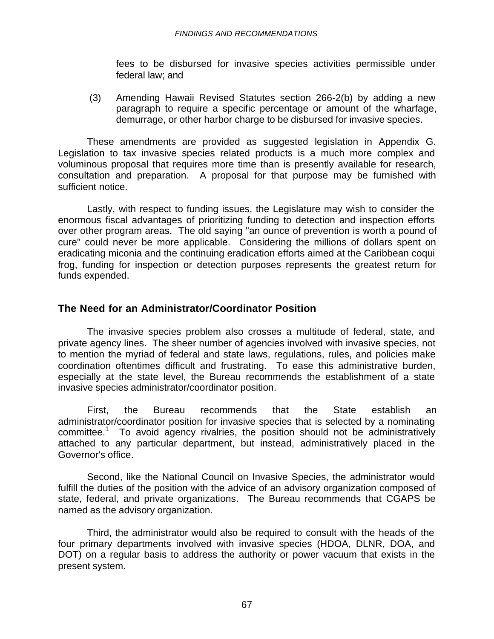fees to be disbursed for invasive species activities permissible under federal law; and

(3) Amending Hawaii Revised Statutes section 266-2(b) by adding a new paragraph to require a specific percentage or amount of the wharfage, demurrage, or other harbor charge to be disbursed for invasive species.

These amendments are provided as suggested legislation in Appendix G. Legislation to tax invasive species related products is a much more complex and voluminous proposal that requires more time than is presently available for research, consultation and preparation. A proposal for that purpose may be furnished with sufficient notice.

Lastly, with respect to funding issues, the Legislature may wish to consider the enormous fiscal advantages of prioritizing funding to detection and inspection efforts over other program areas. The old saying "an ounce of prevention is worth a pound of cure" could never be more applicable. Considering the millions of dollars spent on eradicating miconia and the continuing eradication efforts aimed at the Caribbean coqui frog, funding for inspection or detection purposes represents the greatest return for funds expended.

#### **The Need for an Administrator/Coordinator Position**

The invasive species problem also crosses a multitude of federal, state, and private agency lines. The sheer number of agencies involved with invasive species, not to mention the myriad of federal and state laws, regulations, rules, and policies make coordination oftentimes difficult and frustrating. To ease this administrative burden, especially at the state level, the Bureau recommends the establishment of a state invasive species administrator/coordinator position.

First, the Bureau recommends that the State establish an administrator/coordinator position for invasive species that is selected by a nominating committee.<sup>1</sup> To avoid agency rivalries, the position should not be administratively attached to any particular department, but instead, administratively placed in the Governor's office.

Second, like the National Council on Invasive Species, the administrator would fulfill the duties of the position with the advice of an advisory organization composed of state, federal, and private organizations. The Bureau recommends that CGAPS be named as the advisory organization.

Third, the administrator would also be required to consult with the heads of the four primary departments involved with invasive species (HDOA, DLNR, DOA, and DOT) on a regular basis to address the authority or power vacuum that exists in the present system.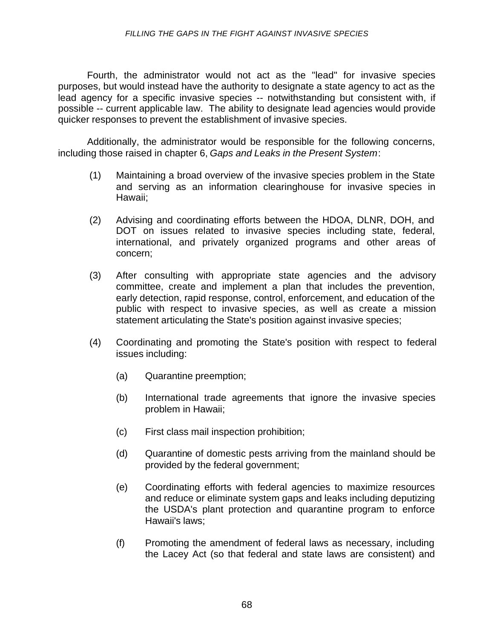#### *FILLING THE GAPS IN THE FIGHT AGAINST INVASIVE SPECIES*

Fourth, the administrator would not act as the "lead" for invasive species purposes, but would instead have the authority to designate a state agency to act as the lead agency for a specific invasive species -- notwithstanding but consistent with, if possible -- current applicable law. The ability to designate lead agencies would provide quicker responses to prevent the establishment of invasive species.

Additionally, the administrator would be responsible for the following concerns, including those raised in chapter 6, *Gaps and Leaks in the Present System*:

- (1) Maintaining a broad overview of the invasive species problem in the State and serving as an information clearinghouse for invasive species in Hawaii;
- (2) Advising and coordinating efforts between the HDOA, DLNR, DOH, and DOT on issues related to invasive species including state, federal, international, and privately organized programs and other areas of concern;
- (3) After consulting with appropriate state agencies and the advisory committee, create and implement a plan that includes the prevention, early detection, rapid response, control, enforcement, and education of the public with respect to invasive species, as well as create a mission statement articulating the State's position against invasive species;
- (4) Coordinating and promoting the State's position with respect to federal issues including:
	- (a) Quarantine preemption;
	- (b) International trade agreements that ignore the invasive species problem in Hawaii;
	- (c) First class mail inspection prohibition;
	- (d) Quarantine of domestic pests arriving from the mainland should be provided by the federal government;
	- (e) Coordinating efforts with federal agencies to maximize resources and reduce or eliminate system gaps and leaks including deputizing the USDA's plant protection and quarantine program to enforce Hawaii's laws;
	- (f) Promoting the amendment of federal laws as necessary, including the Lacey Act (so that federal and state laws are consistent) and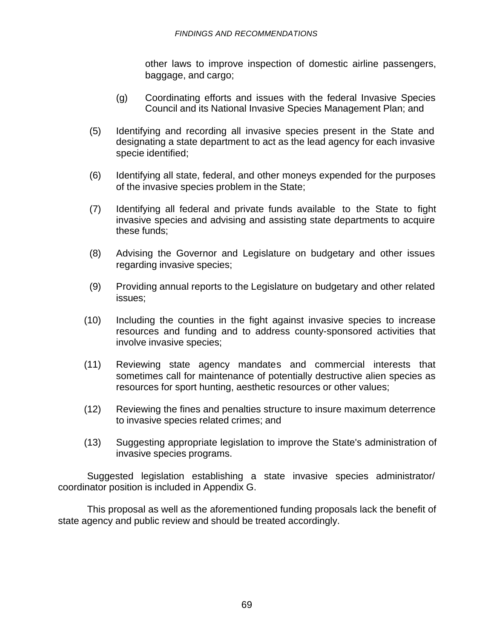other laws to improve inspection of domestic airline passengers, baggage, and cargo;

- (g) Coordinating efforts and issues with the federal Invasive Species Council and its National Invasive Species Management Plan; and
- (5) Identifying and recording all invasive species present in the State and designating a state department to act as the lead agency for each invasive specie identified;
- (6) Identifying all state, federal, and other moneys expended for the purposes of the invasive species problem in the State;
- (7) Identifying all federal and private funds available to the State to fight invasive species and advising and assisting state departments to acquire these funds;
- (8) Advising the Governor and Legislature on budgetary and other issues regarding invasive species;
- (9) Providing annual reports to the Legislature on budgetary and other related issues;
- (10) Including the counties in the fight against invasive species to increase resources and funding and to address county-sponsored activities that involve invasive species;
- (11) Reviewing state agency mandates and commercial interests that sometimes call for maintenance of potentially destructive alien species as resources for sport hunting, aesthetic resources or other values;
- (12) Reviewing the fines and penalties structure to insure maximum deterrence to invasive species related crimes; and
- (13) Suggesting appropriate legislation to improve the State's administration of invasive species programs.

Suggested legislation establishing a state invasive species administrator/ coordinator position is included in Appendix G.

This proposal as well as the aforementioned funding proposals lack the benefit of state agency and public review and should be treated accordingly.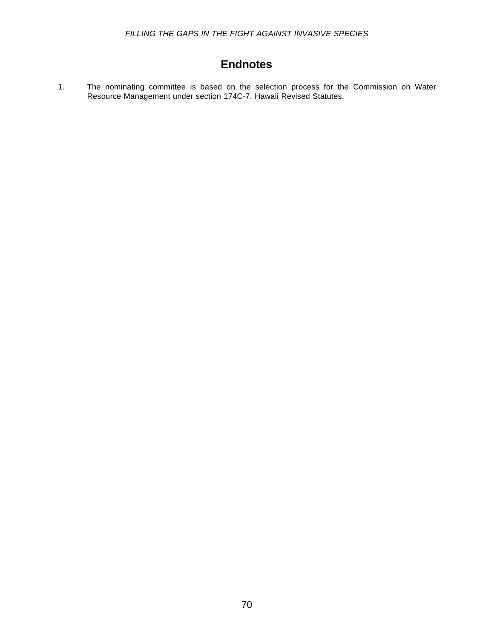### **Endnotes**

1. The nominating committee is based on the selection process for the Commission on Water Resource Management under section 174C-7, Hawaii Revised Statutes.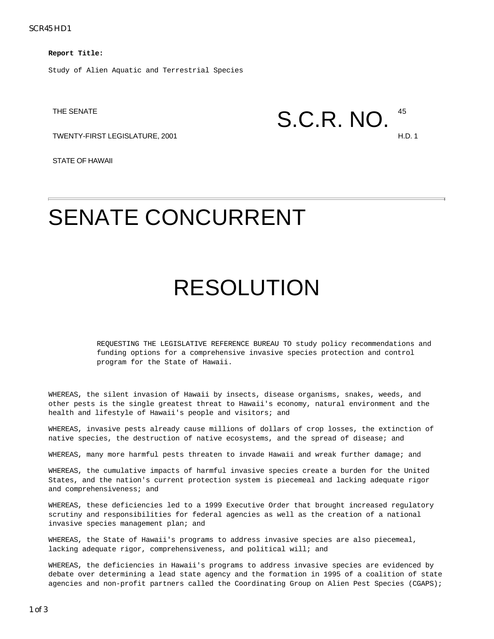SCR45 HD1

**Report Title:**

Study of Alien Aquatic and Terrestrial Species

TWENTY-FIRST LEGISLATURE, 2001 H.D. 1

STATE OF HAWAII

## THE SENATE  $S.C.R. NO.$   $^{45}$

## SENATE CONCURRENT

## RESOLUTION

REQUESTING THE LEGISLATIVE REFERENCE BUREAU TO study policy recommendations and funding options for a comprehensive invasive species protection and control program for the State of Hawaii.

WHEREAS, the silent invasion of Hawaii by insects, disease organisms, snakes, weeds, and other pests is the single greatest threat to Hawaii's economy, natural environment and the health and lifestyle of Hawaii's people and visitors; and

WHEREAS, invasive pests already cause millions of dollars of crop losses, the extinction of native species, the destruction of native ecosystems, and the spread of disease; and

WHEREAS, many more harmful pests threaten to invade Hawaii and wreak further damage; and

WHEREAS, the cumulative impacts of harmful invasive species create a burden for the United States, and the nation's current protection system is piecemeal and lacking adequate rigor and comprehensiveness; and

WHEREAS, these deficiencies led to a 1999 Executive Order that brought increased regulatory scrutiny and responsibilities for federal agencies as well as the creation of a national invasive species management plan; and

WHEREAS, the State of Hawaii's programs to address invasive species are also piecemeal, lacking adequate rigor, comprehensiveness, and political will; and

WHEREAS, the deficiencies in Hawaii's programs to address invasive species are evidenced by debate over determining a lead state agency and the formation in 1995 of a coalition of state agencies and non-profit partners called the Coordinating Group on Alien Pest Species (CGAPS);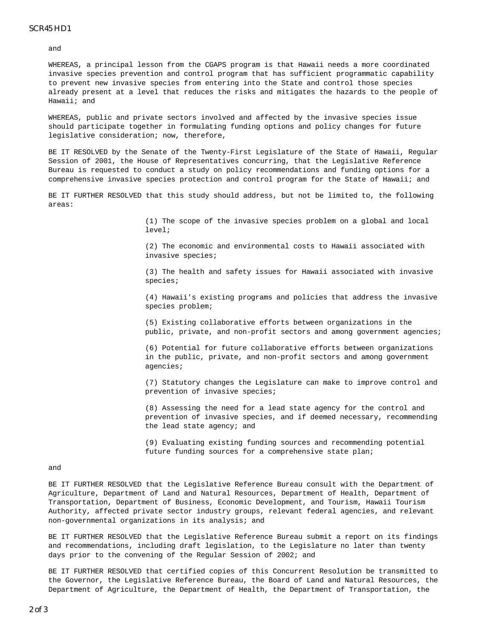#### SCR45 HD1

and

WHEREAS, a principal lesson from the CGAPS program is that Hawaii needs a more coordinated invasive species prevention and control program that has sufficient programmatic capability to prevent new invasive species from entering into the State and control those species already present at a level that reduces the risks and mitigates the hazards to the people of Hawaii; and

WHEREAS, public and private sectors involved and affected by the invasive species issue should participate together in formulating funding options and policy changes for future legislative consideration; now, therefore,

BE IT RESOLVED by the Senate of the Twenty-First Legislature of the State of Hawaii, Regular Session of 2001, the House of Representatives concurring, that the Legislative Reference Bureau is requested to conduct a study on policy recommendations and funding options for a comprehensive invasive species protection and control program for the State of Hawaii; and

BE IT FURTHER RESOLVED that this study should address, but not be limited to, the following areas:

> (1) The scope of the invasive species problem on a global and local level;

(2) The economic and environmental costs to Hawaii associated with invasive species;

(3) The health and safety issues for Hawaii associated with invasive species;

(4) Hawaii's existing programs and policies that address the invasive species problem;

(5) Existing collaborative efforts between organizations in the public, private, and non-profit sectors and among government agencies;

(6) Potential for future collaborative efforts between organizations in the public, private, and non-profit sectors and among government agencies;

(7) Statutory changes the Legislature can make to improve control and prevention of invasive species;

(8) Assessing the need for a lead state agency for the control and prevention of invasive species, and if deemed necessary, recommending the lead state agency; and

(9) Evaluating existing funding sources and recommending potential future funding sources for a comprehensive state plan;

#### and

BE IT FURTHER RESOLVED that the Legislative Reference Bureau consult with the Department of Agriculture, Department of Land and Natural Resources, Department of Health, Department of Transportation, Department of Business, Economic Development, and Tourism, Hawaii Tourism Authority, affected private sector industry groups, relevant federal agencies, and relevant non-governmental organizations in its analysis; and

BE IT FURTHER RESOLVED that the Legislative Reference Bureau submit a report on its findings and recommendations, including draft legislation, to the Legislature no later than twenty days prior to the convening of the Regular Session of 2002; and

BE IT FURTHER RESOLVED that certified copies of this Concurrent Resolution be transmitted to the Governor, the Legislative Reference Bureau, the Board of Land and Natural Resources, the Department of Agriculture, the Department of Health, the Department of Transportation, the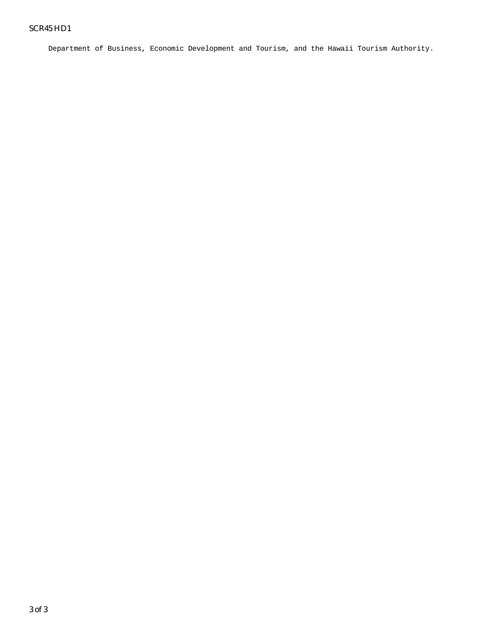Department of Business, Economic Development and Tourism, and the Hawaii Tourism Authority.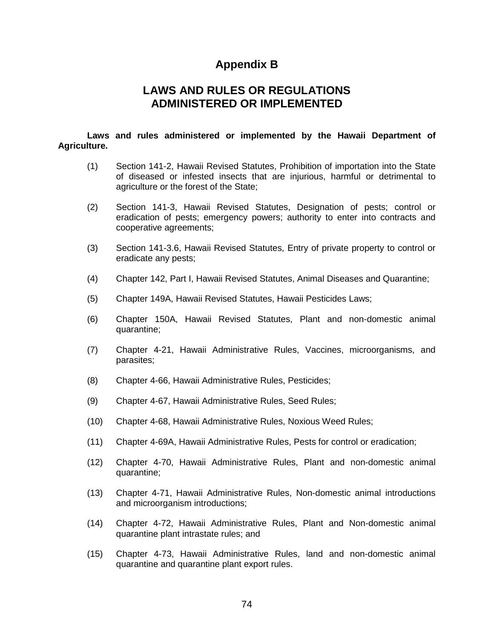#### **Appendix B**

#### **LAWS AND RULES OR REGULATIONS ADMINISTERED OR IMPLEMENTED**

#### **Laws and rules administered or implemented by the Hawaii Department of Agriculture.**

- (1) Section 141-2, Hawaii Revised Statutes, Prohibition of importation into the State of diseased or infested insects that are injurious, harmful or detrimental to agriculture or the forest of the State;
- (2) Section 141-3, Hawaii Revised Statutes, Designation of pests; control or eradication of pests; emergency powers; authority to enter into contracts and cooperative agreements;
- (3) Section 141-3.6, Hawaii Revised Statutes, Entry of private property to control or eradicate any pests;
- (4) Chapter 142, Part I, Hawaii Revised Statutes, Animal Diseases and Quarantine;
- (5) Chapter 149A, Hawaii Revised Statutes, Hawaii Pesticides Laws;
- (6) Chapter 150A, Hawaii Revised Statutes, Plant and non-domestic animal quarantine;
- (7) Chapter 4-21, Hawaii Administrative Rules, Vaccines, microorganisms, and parasites;
- (8) Chapter 4-66, Hawaii Administrative Rules, Pesticides;
- (9) Chapter 4-67, Hawaii Administrative Rules, Seed Rules;
- (10) Chapter 4-68, Hawaii Administrative Rules, Noxious Weed Rules;
- (11) Chapter 4-69A, Hawaii Administrative Rules, Pests for control or eradication;
- (12) Chapter 4-70, Hawaii Administrative Rules, Plant and non-domestic animal quarantine;
- (13) Chapter 4-71, Hawaii Administrative Rules, Non-domestic animal introductions and microorganism introductions;
- (14) Chapter 4-72, Hawaii Administrative Rules, Plant and Non-domestic animal quarantine plant intrastate rules; and
- (15) Chapter 4-73, Hawaii Administrative Rules, land and non-domestic animal quarantine and quarantine plant export rules.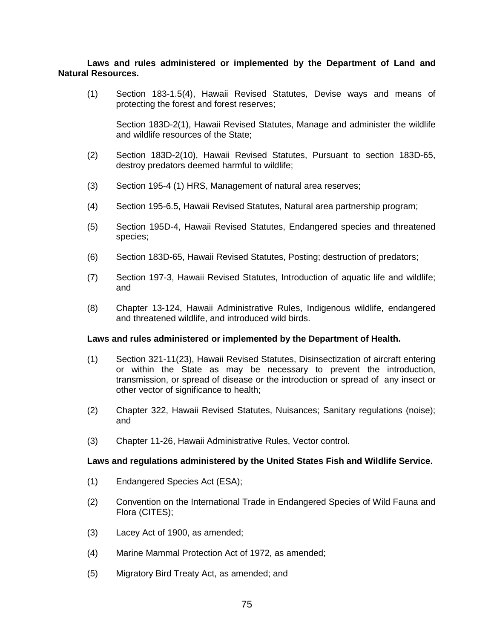#### **Laws and rules administered or implemented by the Department of Land and Natural Resources.**

(1) Section 183-1.5(4), Hawaii Revised Statutes, Devise ways and means of protecting the forest and forest reserves;

Section 183D-2(1), Hawaii Revised Statutes, Manage and administer the wildlife and wildlife resources of the State;

- (2) Section 183D-2(10), Hawaii Revised Statutes, Pursuant to section 183D-65, destroy predators deemed harmful to wildlife;
- (3) Section 195-4 (1) HRS, Management of natural area reserves;
- (4) Section 195-6.5, Hawaii Revised Statutes, Natural area partnership program;
- (5) Section 195D-4, Hawaii Revised Statutes, Endangered species and threatened species;
- (6) Section 183D-65, Hawaii Revised Statutes, Posting; destruction of predators;
- (7) Section 197-3, Hawaii Revised Statutes, Introduction of aquatic life and wildlife; and
- (8) Chapter 13-124, Hawaii Administrative Rules, Indigenous wildlife, endangered and threatened wildlife, and introduced wild birds.

#### **Laws and rules administered or implemented by the Department of Health.**

- (1) Section 321-11(23), Hawaii Revised Statutes, Disinsectization of aircraft entering or within the State as may be necessary to prevent the introduction, transmission, or spread of disease or the introduction or spread of any insect or other vector of significance to health;
- (2) Chapter 322, Hawaii Revised Statutes, Nuisances; Sanitary regulations (noise); and
- (3) Chapter 11-26, Hawaii Administrative Rules, Vector control.

#### **Laws and regulations administered by the United States Fish and Wildlife Service.**

- (1) Endangered Species Act (ESA);
- (2) Convention on the International Trade in Endangered Species of Wild Fauna and Flora (CITES);
- (3) Lacey Act of 1900, as amended;
- (4) Marine Mammal Protection Act of 1972, as amended;
- (5) Migratory Bird Treaty Act, as amended; and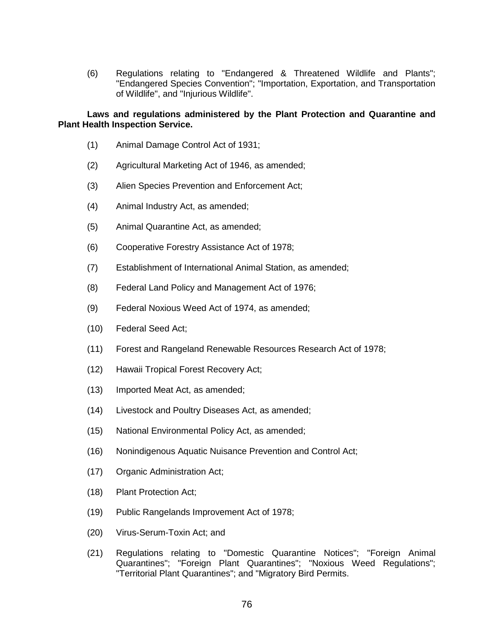(6) Regulations relating to "Endangered & Threatened Wildlife and Plants"; "Endangered Species Convention"; "Importation, Exportation, and Transportation of Wildlife", and "Injurious Wildlife".

#### **Laws and regulations administered by the Plant Protection and Quarantine and Plant Health Inspection Service.**

- (1) Animal Damage Control Act of 1931;
- (2) Agricultural Marketing Act of 1946, as amended;
- (3) Alien Species Prevention and Enforcement Act;
- (4) Animal Industry Act, as amended;
- (5) Animal Quarantine Act, as amended;
- (6) Cooperative Forestry Assistance Act of 1978;
- (7) Establishment of International Animal Station, as amended;
- (8) Federal Land Policy and Management Act of 1976;
- (9) Federal Noxious Weed Act of 1974, as amended;
- (10) Federal Seed Act;
- (11) Forest and Rangeland Renewable Resources Research Act of 1978;
- (12) Hawaii Tropical Forest Recovery Act;
- (13) Imported Meat Act, as amended;
- (14) Livestock and Poultry Diseases Act, as amended;
- (15) National Environmental Policy Act, as amended;
- (16) Nonindigenous Aquatic Nuisance Prevention and Control Act;
- (17) Organic Administration Act;
- (18) Plant Protection Act;
- (19) Public Rangelands Improvement Act of 1978;
- (20) Virus-Serum-Toxin Act; and
- (21) Regulations relating to "Domestic Quarantine Notices"; "Foreign Animal Quarantines"; "Foreign Plant Quarantines"; "Noxious Weed Regulations"; "Territorial Plant Quarantines"; and "Migratory Bird Permits.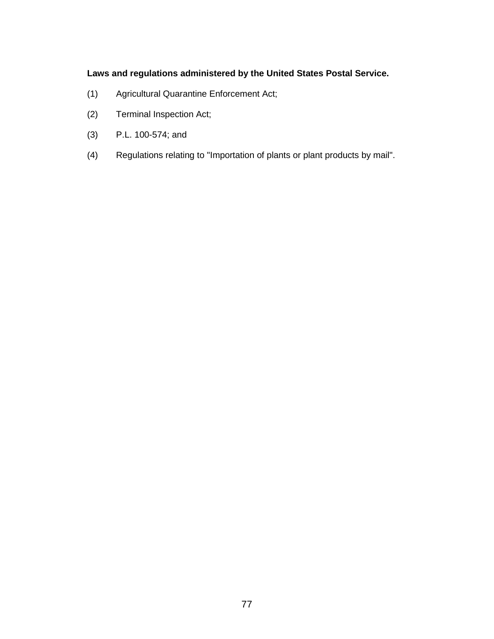#### **Laws and regulations administered by the United States Postal Service.**

- (1) Agricultural Quarantine Enforcement Act;
- (2) Terminal Inspection Act;
- (3) P.L. 100-574; and
- (4) Regulations relating to "Importation of plants or plant products by mail".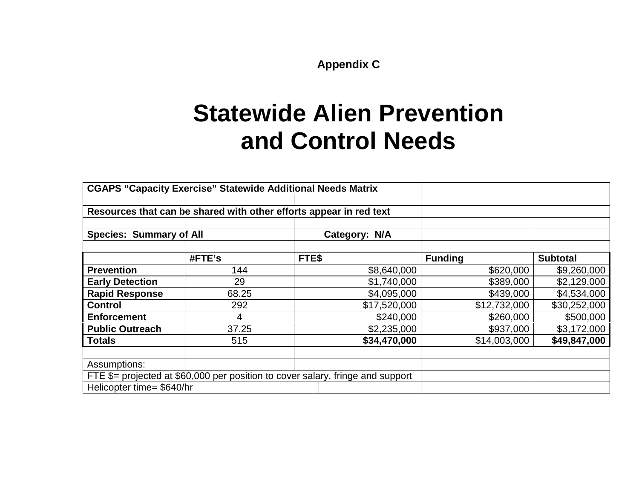**Appendix C**

## **Statewide Alien Prevention and Control Needs**

|                                                                                            | <b>CGAPS "Capacity Exercise" Statewide Additional Needs Matrix</b> |               |                |                 |
|--------------------------------------------------------------------------------------------|--------------------------------------------------------------------|---------------|----------------|-----------------|
|                                                                                            |                                                                    |               |                |                 |
|                                                                                            | Resources that can be shared with other efforts appear in red text |               |                |                 |
|                                                                                            |                                                                    |               |                |                 |
| <b>Species: Summary of All</b>                                                             |                                                                    | Category: N/A |                |                 |
|                                                                                            |                                                                    |               |                |                 |
|                                                                                            | #FTE's                                                             | FTE\$         | <b>Funding</b> | <b>Subtotal</b> |
| <b>Prevention</b>                                                                          | 144                                                                | \$8,640,000   | \$620,000      | \$9,260,000     |
| <b>Early Detection</b>                                                                     | 29                                                                 | \$1,740,000   | \$389,000      | \$2,129,000     |
| <b>Rapid Response</b>                                                                      | 68.25                                                              | \$4,095,000   | \$439,000      | \$4,534,000     |
| <b>Control</b>                                                                             | 292                                                                | \$17,520,000  | \$12,732,000   | \$30,252,000    |
| <b>Enforcement</b>                                                                         | 4                                                                  | \$240,000     | \$260,000      | \$500,000       |
| <b>Public Outreach</b>                                                                     | 37.25                                                              | \$2,235,000   | \$937,000      | \$3,172,000     |
| <b>Totals</b>                                                                              | 515                                                                | \$34,470,000  | \$14,003,000   | \$49,847,000    |
|                                                                                            |                                                                    |               |                |                 |
| Assumptions:                                                                               |                                                                    |               |                |                 |
| FTE $\frac{6}{7}$ = projected at \$60,000 per position to cover salary, fringe and support |                                                                    |               |                |                 |
| Helicopter time= \$640/hr                                                                  |                                                                    |               |                |                 |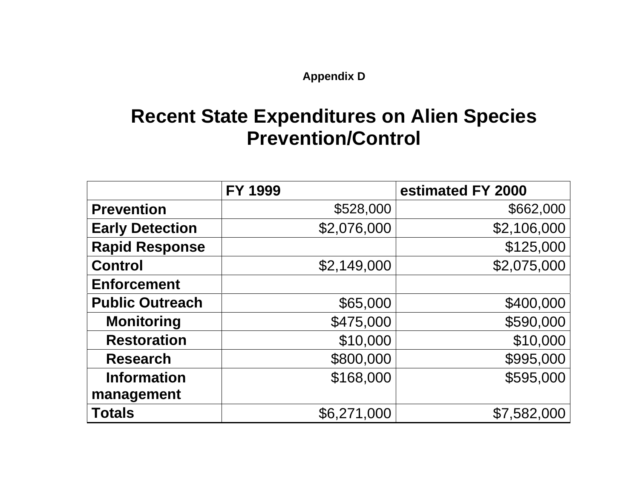**Appendix D**

### **Recent State Expenditures on Alien Species Prevention/Control**

|                        | FY 1999     | estimated FY 2000 |
|------------------------|-------------|-------------------|
| <b>Prevention</b>      | \$528,000   | \$662,000         |
| <b>Early Detection</b> | \$2,076,000 | \$2,106,000       |
| <b>Rapid Response</b>  |             | \$125,000         |
| <b>Control</b>         | \$2,149,000 | \$2,075,000       |
| <b>Enforcement</b>     |             |                   |
| <b>Public Outreach</b> | \$65,000    | \$400,000         |
| <b>Monitoring</b>      | \$475,000   | \$590,000         |
| <b>Restoration</b>     | \$10,000    | \$10,000          |
| <b>Research</b>        | \$800,000   | \$995,000         |
| <b>Information</b>     | \$168,000   | \$595,000         |
| management             |             |                   |
| <b>Totals</b>          | \$6,271,000 | \$7,582,000       |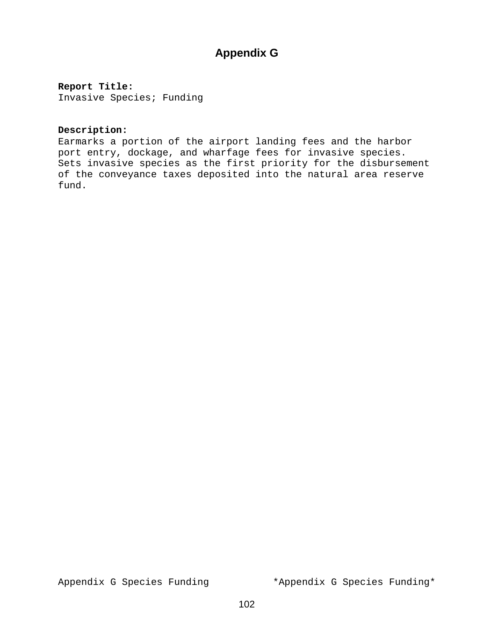### **Appendix G**

#### **Report Title:**

Invasive Species; Funding

#### **Description:**

Earmarks a portion of the airport landing fees and the harbor port entry, dockage, and wharfage fees for invasive species. Sets invasive species as the first priority for the disbursement of the conveyance taxes deposited into the natural area reserve fund.

Appendix G Species Funding \*Appendix G Species Funding\*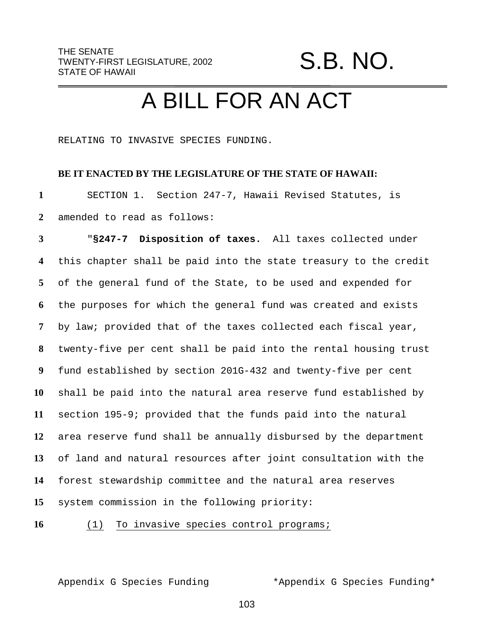S.B. NO.

## A BILL FOR AN ACT

RELATING TO INVASIVE SPECIES FUNDING.

#### **BE IT ENACTED BY THE LEGISLATURE OF THE STATE OF HAWAII:**

 SECTION 1. Section 247-7, Hawaii Revised Statutes, is amended to read as follows:

 "**§247-7 Disposition of taxes.** All taxes collected under this chapter shall be paid into the state treasury to the credit of the general fund of the State, to be used and expended for the purposes for which the general fund was created and exists by law; provided that of the taxes collected each fiscal year, twenty-five per cent shall be paid into the rental housing trust fund established by section 201G-432 and twenty-five per cent shall be paid into the natural area reserve fund established by section 195-9; provided that the funds paid into the natural area reserve fund shall be annually disbursed by the department of land and natural resources after joint consultation with the forest stewardship committee and the natural area reserves system commission in the following priority:

(1) To invasive species control programs;

Appendix G Species Funding \*Appendix G Species Funding\*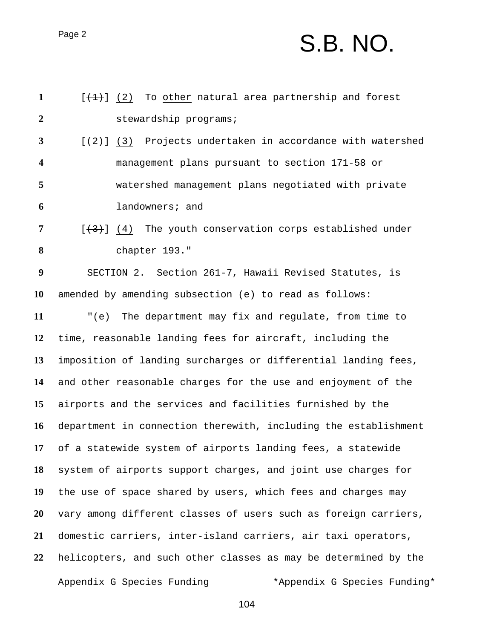## Page 2  $S.B. NO.$

| $\mathbf{1}$     | $[+1+1]$ (2) To other natural area partnership and forest            |
|------------------|----------------------------------------------------------------------|
| $\overline{2}$   | stewardship programs;                                                |
| $\mathbf{3}$     | $[\frac{2}{2}]$ (3) Projects undertaken in accordance with watershed |
| 4                | management plans pursuant to section 171-58 or                       |
| 5                | watershed management plans negotiated with private                   |
| 6                | landowners; and                                                      |
| 7                | $[\frac{4}{3}]$ (4) The youth conservation corps established under   |
| 8                | chapter 193."                                                        |
| $\boldsymbol{9}$ | SECTION 2. Section 261-7, Hawaii Revised Statutes, is                |
| 10               | amended by amending subsection (e) to read as follows:               |
| 11               | " $(e)$<br>The department may fix and regulate, from time to         |
| 12               | time, reasonable landing fees for aircraft, including the            |
| 13               | imposition of landing surcharges or differential landing fees,       |
| 14               | and other reasonable charges for the use and enjoyment of the        |
| 15               | airports and the services and facilities furnished by the            |
| 16               | department in connection therewith, including the establishment      |
| 17               | of a statewide system of airports landing fees, a statewide          |
| 18               | system of airports support charges, and joint use charges for        |
| 19               | the use of space shared by users, which fees and charges may         |
| <b>20</b>        | vary among different classes of users such as foreign carriers,      |
| 21               | domestic carriers, inter-island carriers, air taxi operators,        |
| 22               | helicopters, and such other classes as may be determined by the      |
|                  | Appendix G Species Funding<br>*Appendix G Species Funding*           |
|                  |                                                                      |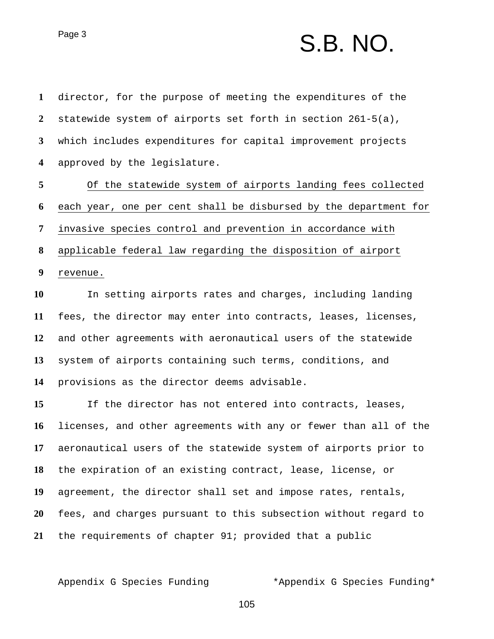## $Page 3$   $S.B. NO.$

 director, for the purpose of meeting the expenditures of the statewide system of airports set forth in section 261-5(a), which includes expenditures for capital improvement projects approved by the legislature. Of the statewide system of airports landing fees collected each year, one per cent shall be disbursed by the department for invasive species control and prevention in accordance with applicable federal law regarding the disposition of airport revenue. In setting airports rates and charges, including landing fees, the director may enter into contracts, leases, licenses, and other agreements with aeronautical users of the statewide system of airports containing such terms, conditions, and provisions as the director deems advisable. If the director has not entered into contracts, leases, licenses, and other agreements with any or fewer than all of the aeronautical users of the statewide system of airports prior to the expiration of an existing contract, lease, license, or agreement, the director shall set and impose rates, rentals, fees, and charges pursuant to this subsection without regard to the requirements of chapter 91; provided that a public

Appendix G Species Funding \*Appendix G Species Funding\*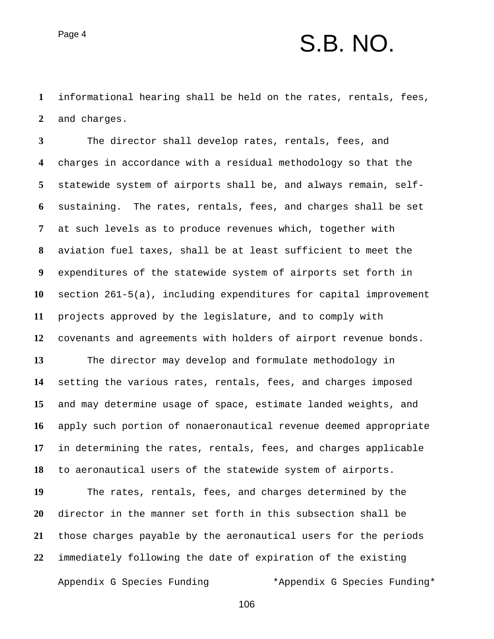### $P<sub>age 4</sub>$  S.B. NO.

 informational hearing shall be held on the rates, rentals, fees, and charges.

 The director shall develop rates, rentals, fees, and charges in accordance with a residual methodology so that the statewide system of airports shall be, and always remain, self- sustaining. The rates, rentals, fees, and charges shall be set at such levels as to produce revenues which, together with aviation fuel taxes, shall be at least sufficient to meet the expenditures of the statewide system of airports set forth in section 261-5(a), including expenditures for capital improvement projects approved by the legislature, and to comply with covenants and agreements with holders of airport revenue bonds. The director may develop and formulate methodology in setting the various rates, rentals, fees, and charges imposed

 and may determine usage of space, estimate landed weights, and apply such portion of nonaeronautical revenue deemed appropriate in determining the rates, rentals, fees, and charges applicable to aeronautical users of the statewide system of airports.

Appendix G Species Funding \*Appendix G Species Funding\* The rates, rentals, fees, and charges determined by the director in the manner set forth in this subsection shall be those charges payable by the aeronautical users for the periods immediately following the date of expiration of the existing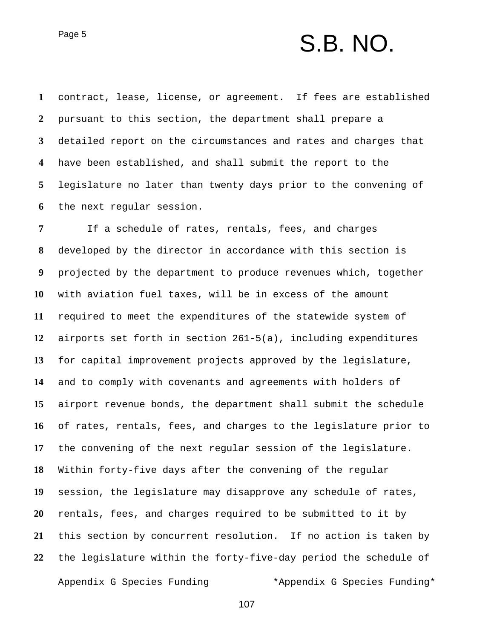## $P\text{age 5}$   $S.B. NO.$

 contract, lease, license, or agreement. If fees are established pursuant to this section, the department shall prepare a detailed report on the circumstances and rates and charges that have been established, and shall submit the report to the legislature no later than twenty days prior to the convening of the next regular session.

Appendix G Species Funding \*Appendix G Species Funding\* If a schedule of rates, rentals, fees, and charges developed by the director in accordance with this section is projected by the department to produce revenues which, together with aviation fuel taxes, will be in excess of the amount required to meet the expenditures of the statewide system of airports set forth in section 261-5(a), including expenditures for capital improvement projects approved by the legislature, and to comply with covenants and agreements with holders of airport revenue bonds, the department shall submit the schedule of rates, rentals, fees, and charges to the legislature prior to the convening of the next regular session of the legislature. Within forty-five days after the convening of the regular session, the legislature may disapprove any schedule of rates, rentals, fees, and charges required to be submitted to it by this section by concurrent resolution. If no action is taken by the legislature within the forty-five-day period the schedule of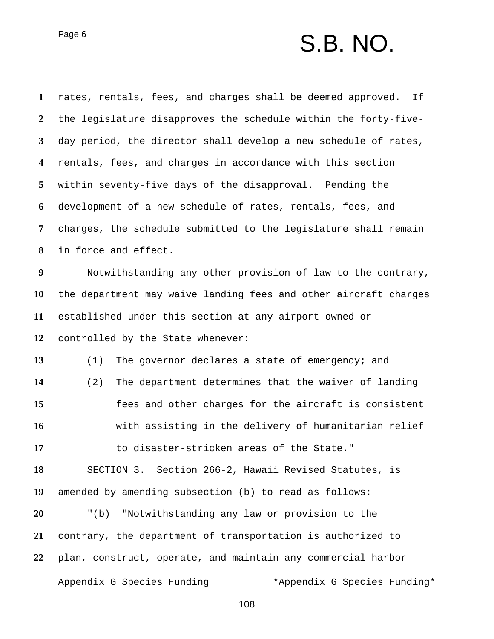### $Page 6$   $S.B. NO.$

Appendix G Species Funding \*Appendix G Species Funding\* rates, rentals, fees, and charges shall be deemed approved. If the legislature disapproves the schedule within the forty-five- day period, the director shall develop a new schedule of rates, rentals, fees, and charges in accordance with this section within seventy-five days of the disapproval. Pending the development of a new schedule of rates, rentals, fees, and charges, the schedule submitted to the legislature shall remain in force and effect. Notwithstanding any other provision of law to the contrary, the department may waive landing fees and other aircraft charges established under this section at any airport owned or controlled by the State whenever: (1) The governor declares a state of emergency; and (2) The department determines that the waiver of landing fees and other charges for the aircraft is consistent with assisting in the delivery of humanitarian relief to disaster-stricken areas of the State." SECTION 3. Section 266-2, Hawaii Revised Statutes, is amended by amending subsection (b) to read as follows: "(b) "Notwithstanding any law or provision to the contrary, the department of transportation is authorized to plan, construct, operate, and maintain any commercial harbor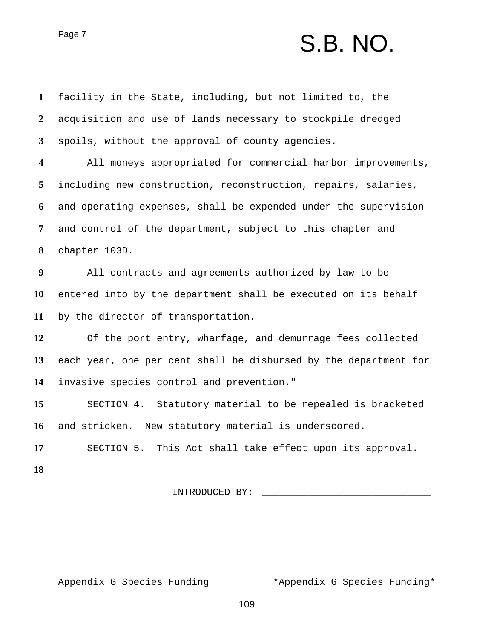# Page 7 S.B. NO.

| $\mathbf{1}$     | facility in the State, including, but not limited to, the        |
|------------------|------------------------------------------------------------------|
| $\boldsymbol{2}$ | acquisition and use of lands necessary to stockpile dredged      |
| $\mathbf{3}$     | spoils, without the approval of county agencies.                 |
| 4                | All moneys appropriated for commercial harbor improvements,      |
| 5                | including new construction, reconstruction, repairs, salaries,   |
| 6                | and operating expenses, shall be expended under the supervision  |
| 7                | and control of the department, subject to this chapter and       |
| 8                | chapter 103D.                                                    |
| $\boldsymbol{9}$ | All contracts and agreements authorized by law to be             |
| 10               | entered into by the department shall be executed on its behalf   |
| 11               | by the director of transportation.                               |
| 12               | Of the port entry, wharfage, and demurrage fees collected        |
| 13               | each year, one per cent shall be disbursed by the department for |
| 14               | invasive species control and prevention."                        |
| 15               | SECTION 4. Statutory material to be repealed is bracketed        |
| 16               | and stricken. New statutory material is underscored.             |
| 17               | SECTION 5. This Act shall take effect upon its approval.         |
| 18               |                                                                  |
|                  | INTRODUCED BY:                                                   |
|                  |                                                                  |

Appendix G Species Funding \*\* \*Appendix G Species Funding\*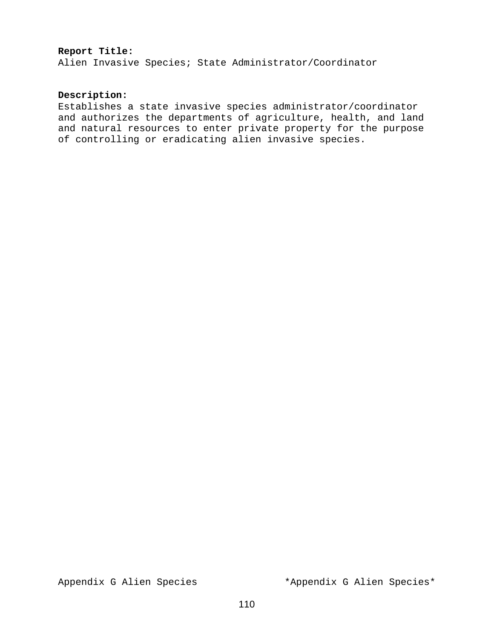#### **Report Title:**

Alien Invasive Species; State Administrator/Coordinator

#### **Description:**

Establishes a state invasive species administrator/coordinator and authorizes the departments of agriculture, health, and land and natural resources to enter private property for the purpose of controlling or eradicating alien invasive species.

Appendix G Alien Species \*Appendix G Alien Species\*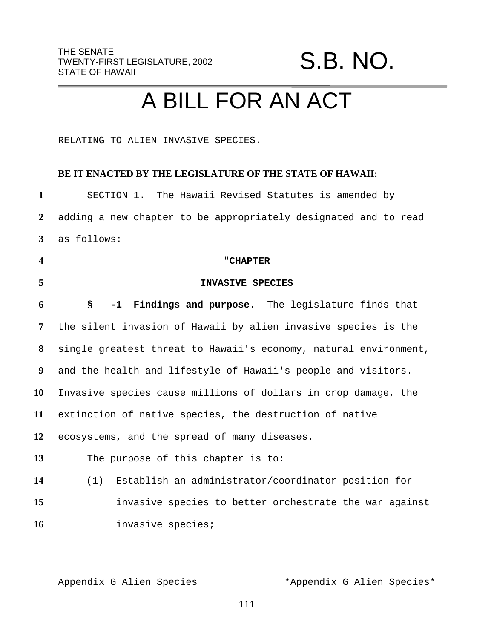### S.B. NO.

## A BILL FOR AN ACT

RELATING TO ALIEN INVASIVE SPECIES.

#### **BE IT ENACTED BY THE LEGISLATURE OF THE STATE OF HAWAII:**

| $\mathbf{1}$            | SECTION 1. The Hawaii Revised Statutes is amended by             |
|-------------------------|------------------------------------------------------------------|
| $\overline{2}$          | adding a new chapter to be appropriately designated and to read  |
| $\mathbf{3}$            | as follows:                                                      |
| $\overline{\mathbf{4}}$ | "CHAPTER                                                         |
| 5                       | INVASIVE SPECIES                                                 |
| 6                       | -1 Findings and purpose. The legislature finds that<br>S         |
| 7                       | the silent invasion of Hawaii by alien invasive species is the   |
| 8                       | single greatest threat to Hawaii's economy, natural environment, |
| 9                       | and the health and lifestyle of Hawaii's people and visitors.    |
| 10                      | Invasive species cause millions of dollars in crop damage, the   |
| 11                      | extinction of native species, the destruction of native          |
| 12                      | ecosystems, and the spread of many diseases.                     |
| 13                      | The purpose of this chapter is to:                               |
| 14                      | Establish an administrator/coordinator position for<br>(1)       |
| 15                      | invasive species to better orchestrate the war against           |
| 16                      | invasive species;                                                |

Appendix G Alien Species \*Appendix G Alien Species\*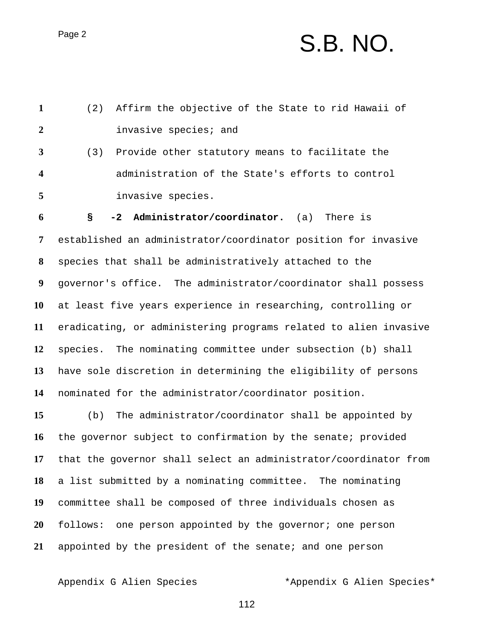## $P<sub>age 2</sub>$  S.B. NO.

| $\mathbf{1}$     | Affirm the objective of the State to rid Hawaii of<br>(2)        |
|------------------|------------------------------------------------------------------|
| $\overline{2}$   | invasive species; and                                            |
| $\mathbf{3}$     | Provide other statutory means to facilitate the<br>(3)           |
| 4                | administration of the State's efforts to control                 |
| 5                | invasive species.                                                |
| 6                | Administrator/coordinator. (a)<br>There is<br>$-2$<br>S          |
| 7                | established an administrator/coordinator position for invasive   |
| 8                | species that shall be administratively attached to the           |
| $\boldsymbol{9}$ | governor's office. The administrator/coordinator shall possess   |
| <b>10</b>        | at least five years experience in researching, controlling or    |
| 11               | eradicating, or administering programs related to alien invasive |
| 12               | species. The nominating committee under subsection (b) shall     |
| 13               | have sole discretion in determining the eligibility of persons   |
| 14               | nominated for the administrator/coordinator position.            |
| 15               | The administrator/coordinator shall be appointed by<br>(b)       |
| 16               | the governor subject to confirmation by the senate; provided     |
| 17               | that the governor shall select an administrator/coordinator from |
| 18               | a list submitted by a nominating committee.<br>The nominating    |

committee shall be composed of three individuals chosen as

follows: one person appointed by the governor; one person

appointed by the president of the senate; and one person

Appendix G Alien Species \*Appendix G Alien Species\*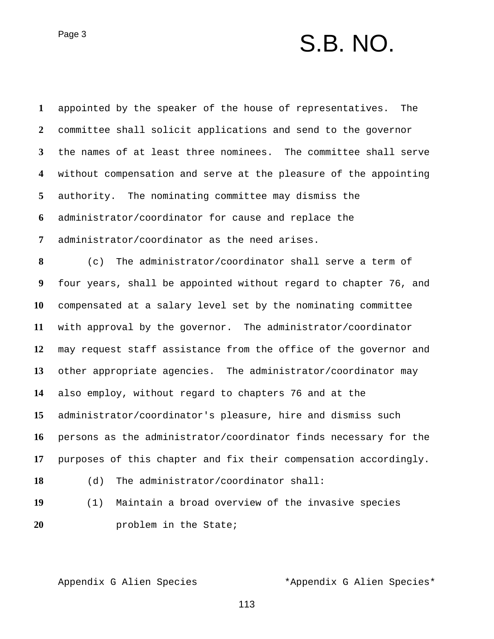### $Page 3$   $S.B. NO.$

 appointed by the speaker of the house of representatives. The committee shall solicit applications and send to the governor the names of at least three nominees. The committee shall serve without compensation and serve at the pleasure of the appointing authority. The nominating committee may dismiss the administrator/coordinator for cause and replace the administrator/coordinator as the need arises. (c) The administrator/coordinator shall serve a term of four years, shall be appointed without regard to chapter 76, and compensated at a salary level set by the nominating committee with approval by the governor. The administrator/coordinator may request staff assistance from the office of the governor and other appropriate agencies. The administrator/coordinator may also employ, without regard to chapters 76 and at the administrator/coordinator's pleasure, hire and dismiss such persons as the administrator/coordinator finds necessary for the purposes of this chapter and fix their compensation accordingly. (d) The administrator/coordinator shall: (1) Maintain a broad overview of the invasive species problem in the State;

Appendix G Alien Species \*Appendix G Alien Species\*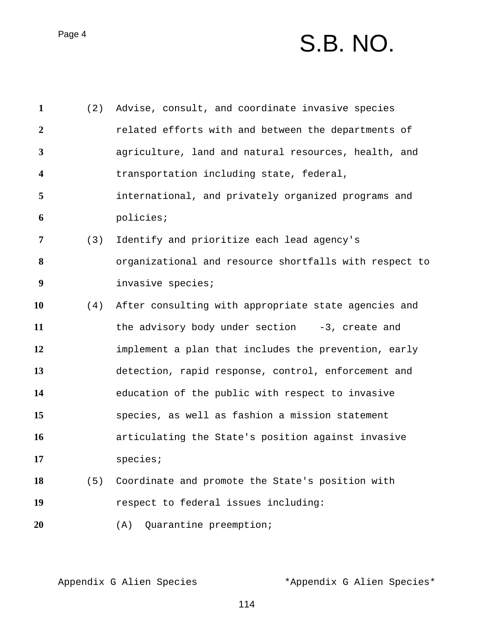# Page 4 S.B. NO.

| $\mathbf{1}$            | (2) | Advise, consult, and coordinate invasive species       |
|-------------------------|-----|--------------------------------------------------------|
| $\boldsymbol{2}$        |     | related efforts with and between the departments of    |
| 3                       |     | agriculture, land and natural resources, health, and   |
| $\overline{\mathbf{4}}$ |     | transportation including state, federal,               |
| 5                       |     | international, and privately organized programs and    |
| 6                       |     | policies;                                              |
| 7                       | (3) | Identify and prioritize each lead agency's             |
| 8                       |     | organizational and resource shortfalls with respect to |
| 9                       |     | invasive species;                                      |
| 10                      | (4) | After consulting with appropriate state agencies and   |
| 11                      |     | the advisory body under section $-3$ , create and      |
| 12                      |     | implement a plan that includes the prevention, early   |
| 13                      |     | detection, rapid response, control, enforcement and    |
| 14                      |     | education of the public with respect to invasive       |
| 15                      |     | species, as well as fashion a mission statement        |
| 16                      |     | articulating the State's position against invasive     |
| 17                      |     | species                                                |
| 18                      | (5) | Coordinate and promote the State's position with       |
| 19                      |     | respect to federal issues including:                   |
| 20                      |     | Quarantine preemption;<br>(A)                          |
|                         |     |                                                        |

Appendix G Alien Species \*Appendix G Alien Species\*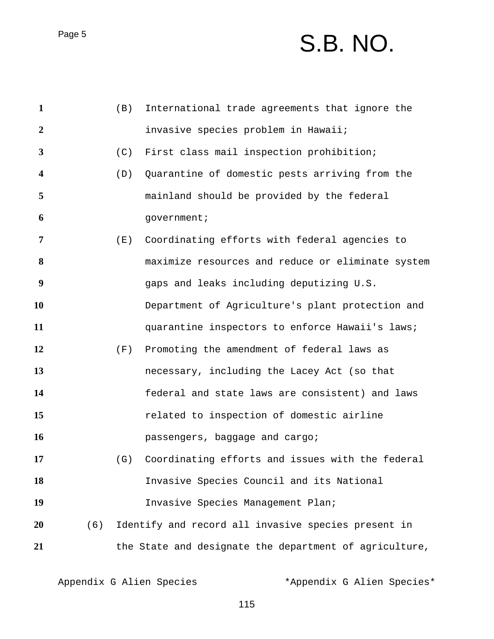# Page 5 S.B. NO.

| $\mathbf{1}$   |     | (B) | International trade agreements that ignore the         |
|----------------|-----|-----|--------------------------------------------------------|
| $\overline{2}$ |     |     | invasive species problem in Hawaii;                    |
| $\mathbf{3}$   |     | (C) | First class mail inspection prohibition;               |
| 4              |     | (D) | Quarantine of domestic pests arriving from the         |
| 5              |     |     | mainland should be provided by the federal             |
| 6              |     |     | government;                                            |
| 7              |     | (E) | Coordinating efforts with federal agencies to          |
| 8              |     |     | maximize resources and reduce or eliminate system      |
| 9              |     |     | gaps and leaks including deputizing U.S.               |
| 10             |     |     | Department of Agriculture's plant protection and       |
| 11             |     |     | quarantine inspectors to enforce Hawaii's laws;        |
| 12             |     | (F) | Promoting the amendment of federal laws as             |
| 13             |     |     | necessary, including the Lacey Act (so that            |
| 14             |     |     | federal and state laws are consistent) and laws        |
| 15             |     |     | related to inspection of domestic airline              |
| 16             |     |     | passengers, baggage and cargo;                         |
| 17             |     | (G) | Coordinating efforts and issues with the federal       |
| 18             |     |     | Invasive Species Council and its National              |
| 19             |     |     | Invasive Species Management Plan;                      |
| 20             | (6) |     | Identify and record all invasive species present in    |
| 21             |     |     | the State and designate the department of agriculture, |

Appendix G Alien Species \*Appendix G Alien Species\*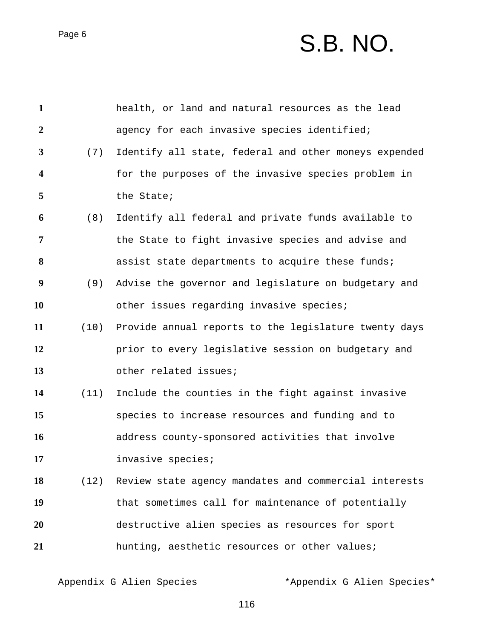# Page 6  $S.B. NO.$

| $\mathbf{1}$     |      | health, or land and natural resources as the lead          |
|------------------|------|------------------------------------------------------------|
| $\boldsymbol{2}$ |      | agency for each invasive species identified;               |
| 3                | (7)  | Identify all state, federal and other moneys expended      |
| 4                |      | for the purposes of the invasive species problem in        |
| 5                |      | the State;                                                 |
| 6                | (8)  | Identify all federal and private funds available to        |
| 7                |      | the State to fight invasive species and advise and         |
| 8                |      | assist state departments to acquire these funds;           |
| 9                | (9)  | Advise the governor and legislature on budgetary and       |
| 10               |      | other issues regarding invasive species;                   |
| 11               |      | (10) Provide annual reports to the legislature twenty days |
| 12               |      | prior to every legislative session on budgetary and        |
| 13               |      | other related issues;                                      |
| 14               | (11) | Include the counties in the fight against invasive         |
| 15               |      | species to increase resources and funding and to           |
| 16               |      | address county-sponsored activities that involve           |
| 17               |      | invasive species;                                          |
| 18               |      | (12) Review state agency mandates and commercial interests |
| 19               |      | that sometimes call for maintenance of potentially         |
| 20               |      | destructive alien species as resources for sport           |
| 21               |      | hunting, aesthetic resources or other values;              |

Appendix G Alien Species \*Appendix G Alien Species\*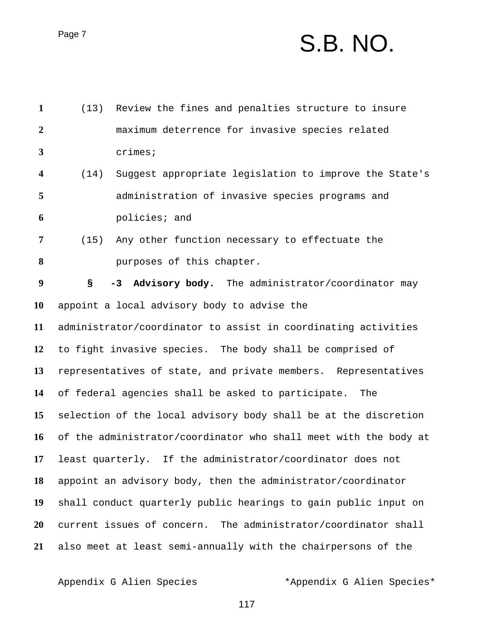## Page 7 S.B. NO.

| $\mathbf{1}$     | (13)                                                             | Review the fines and penalties structure to insure             |  |  |
|------------------|------------------------------------------------------------------|----------------------------------------------------------------|--|--|
| $\overline{2}$   |                                                                  | maximum deterrence for invasive species related                |  |  |
| $\mathbf{3}$     |                                                                  | crimes;                                                        |  |  |
| 4                | (14)                                                             | Suggest appropriate legislation to improve the State's         |  |  |
| 5                |                                                                  | administration of invasive species programs and                |  |  |
| 6                |                                                                  | policies; and                                                  |  |  |
| $\overline{7}$   | (15)                                                             | Any other function necessary to effectuate the                 |  |  |
| 8                |                                                                  | purposes of this chapter.                                      |  |  |
| $\boldsymbol{9}$ | S                                                                | -3 Advisory body. The administrator/coordinator may            |  |  |
| 10               |                                                                  | appoint a local advisory body to advise the                    |  |  |
| 11               | administrator/coordinator to assist in coordinating activities   |                                                                |  |  |
| 12               | to fight invasive species. The body shall be comprised of        |                                                                |  |  |
| 13               | representatives of state, and private members. Representatives   |                                                                |  |  |
| 14               | of federal agencies shall be asked to participate. The           |                                                                |  |  |
| 15               | selection of the local advisory body shall be at the discretion  |                                                                |  |  |
| 16               | of the administrator/coordinator who shall meet with the body at |                                                                |  |  |
| 17               |                                                                  | least quarterly. If the administrator/coordinator does not     |  |  |
| 18               | appoint an advisory body, then the administrator/coordinator     |                                                                |  |  |
| 19               | shall conduct quarterly public hearings to gain public input on  |                                                                |  |  |
| 20               |                                                                  | current issues of concern. The administrator/coordinator shall |  |  |
| 21               |                                                                  | also meet at least semi-annually with the chairpersons of the  |  |  |

Appendix G Alien Species \*Appendix G Alien Species\*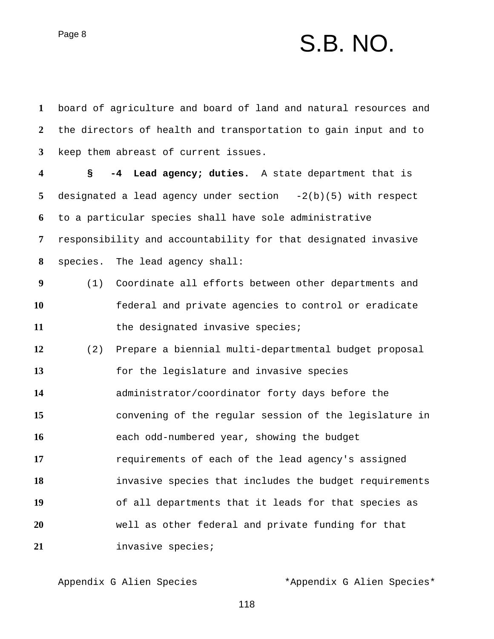Page 8  $S.B. NO.$ 

 board of agriculture and board of land and natural resources and the directors of health and transportation to gain input and to keep them abreast of current issues. **§ -4 Lead agency; duties.** A state department that is designated a lead agency under section -2(b)(5) with respect to a particular species shall have sole administrative responsibility and accountability for that designated invasive species. The lead agency shall: (1) Coordinate all efforts between other departments and federal and private agencies to control or eradicate 11 the designated invasive species; (2) Prepare a biennial multi-departmental budget proposal for the legislature and invasive species administrator/coordinator forty days before the convening of the regular session of the legislature in each odd-numbered year, showing the budget **17** requirements of each of the lead agency's assigned invasive species that includes the budget requirements of all departments that it leads for that species as well as other federal and private funding for that invasive species;

Appendix G Alien Species \*Appendix G Alien Species\*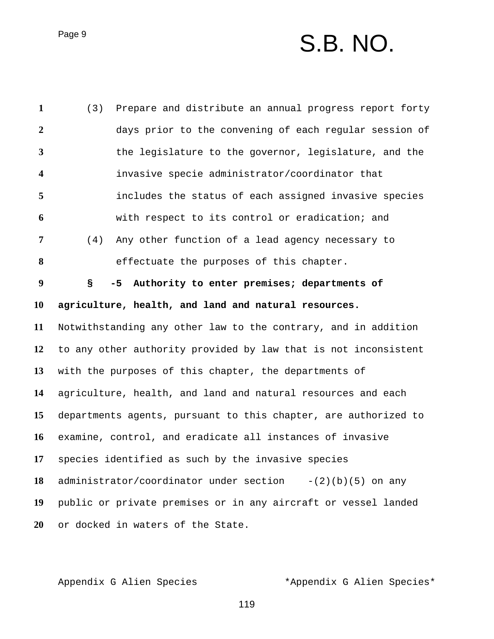## $P\text{age 9}$   $S.B. NO.$

 (3) Prepare and distribute an annual progress report forty days prior to the convening of each regular session of the legislature to the governor, legislature, and the invasive specie administrator/coordinator that includes the status of each assigned invasive species with respect to its control or eradication; and (4) Any other function of a lead agency necessary to effectuate the purposes of this chapter. **§ -5 Authority to enter premises; departments of agriculture, health, and land and natural resources.** Notwithstanding any other law to the contrary, and in addition to any other authority provided by law that is not inconsistent with the purposes of this chapter, the departments of agriculture, health, and land and natural resources and each departments agents, pursuant to this chapter, are authorized to examine, control, and eradicate all instances of invasive species identified as such by the invasive species administrator/coordinator under section -(2)(b)(5) on any public or private premises or in any aircraft or vessel landed or docked in waters of the State.

Appendix G Alien Species \*Appendix G Alien Species\*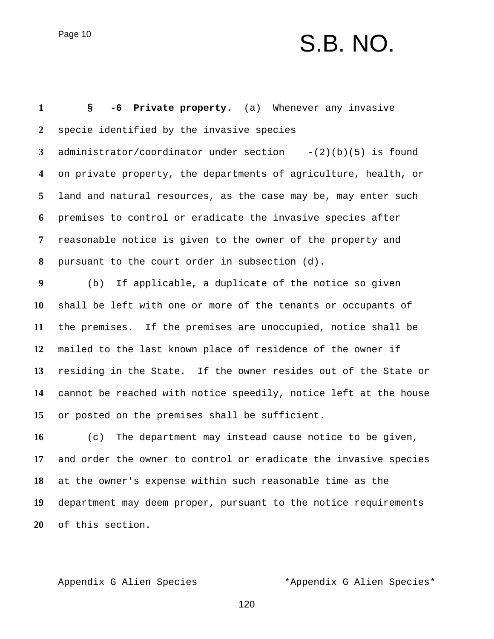## Page 10  $S.B. NO.$

 **§ -6 Private property.** (a) Whenever any invasive specie identified by the invasive species administrator/coordinator under section -(2)(b)(5) is found on private property, the departments of agriculture, health, or land and natural resources, as the case may be, may enter such premises to control or eradicate the invasive species after reasonable notice is given to the owner of the property and pursuant to the court order in subsection (d). (b) If applicable, a duplicate of the notice so given shall be left with one or more of the tenants or occupants of the premises. If the premises are unoccupied, notice shall be mailed to the last known place of residence of the owner if residing in the State. If the owner resides out of the State or cannot be reached with notice speedily, notice left at the house or posted on the premises shall be sufficient. (c) The department may instead cause notice to be given, and order the owner to control or eradicate the invasive species

 at the owner's expense within such reasonable time as the department may deem proper, pursuant to the notice requirements of this section.

Appendix G Alien Species \*Appendix G Alien Species\*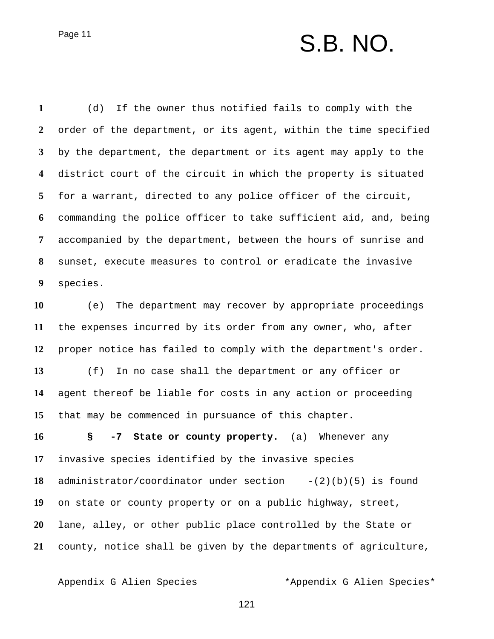## Page 11 S.B. NO.

 (d) If the owner thus notified fails to comply with the order of the department, or its agent, within the time specified by the department, the department or its agent may apply to the district court of the circuit in which the property is situated for a warrant, directed to any police officer of the circuit, commanding the police officer to take sufficient aid, and, being accompanied by the department, between the hours of sunrise and sunset, execute measures to control or eradicate the invasive species.

 (e) The department may recover by appropriate proceedings the expenses incurred by its order from any owner, who, after proper notice has failed to comply with the department's order. (f) In no case shall the department or any officer or agent thereof be liable for costs in any action or proceeding that may be commenced in pursuance of this chapter.

 **§ -7 State or county property.** (a) Whenever any invasive species identified by the invasive species administrator/coordinator under section -(2)(b)(5) is found on state or county property or on a public highway, street, lane, alley, or other public place controlled by the State or county, notice shall be given by the departments of agriculture,

Appendix G Alien Species \*Appendix G Alien Species\*